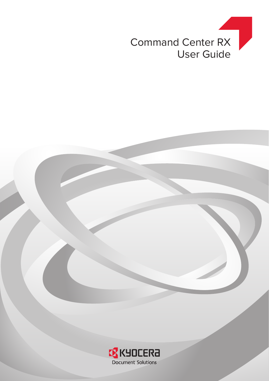

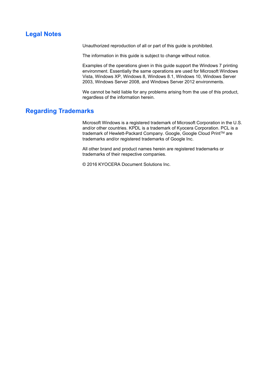# <span id="page-1-0"></span>**Legal Notes**

Unauthorized reproduction of all or part of this guide is prohibited.

The information in this guide is subject to change without notice.

Examples of the operations given in this guide support the Windows 7 printing environment. Essentially the same operations are used for Microsoft Windows Vista, Windows XP, Windows 8, Windows 8.1, Windows 10, Windows Server 2003, Windows Server 2008, and Windows Server 2012 environments.

We cannot be held liable for any problems arising from the use of this product, regardless of the information herein.

## <span id="page-1-1"></span>**Regarding Trademarks**

Microsoft Windows is a registered trademark of Microsoft Corporation in the U.S. and/or other countries. KPDL is a trademark of Kyocera Corporation. PCL is a trademark of Hewlett-Packard Company. Google, Google Cloud Print™ are trademarks and/or registered trademarks of Google Inc.

All other brand and product names herein are registered trademarks or trademarks of their respective companies.

© 2016 KYOCERA Document Solutions Inc.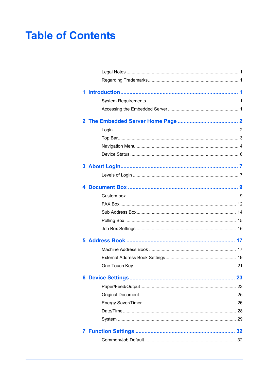# **Table of Contents**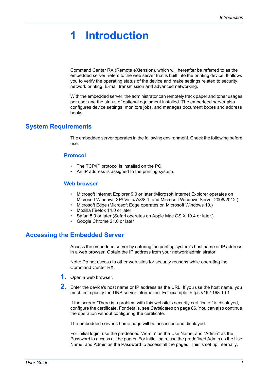# <span id="page-4-0"></span>**1 Introduction**

Command Center RX (Remote eXtension), which will hereafter be referred to as the embedded server, refers to the web server that is built into the printing device. It allows you to verify the operating status of the device and make settings related to security, network printing, E-mail transmission and advanced networking.

With the embedded server, the administrator can remotely track paper and toner usages per user and the status of optional equipment installed. The embedded server also configures device settings, monitors jobs, and manages document boxes and address books.

## <span id="page-4-1"></span>**System Requirements**

The embedded server operates in the following environment. Check the following before use.

## **Protocol**

- The TCP/IP protocol is installed on the PC.
- An IP address is assigned to the printing system.

## **Web browser**

- Microsoft Internet Explorer 9.0 or later (Microsoft Internet Explorer operates on Microsoft Windows XP/ Vista/7/8/8.1, and Microsoft Windows Server 2008/2012.)
- Microsoft Edge (Microsoft Edge operates on Microsoft Windows 10.)
- Mozilla Firefox 14.0 or later
- Safari 5.0 or later (Safari operates on Apple Mac OS X 10.4 or later.)
- Google Chrome 21.0 or later

# <span id="page-4-2"></span>**Accessing the Embedded Server**

Access the embedded server by entering the printing system's host name or IP address in a web browser. Obtain the IP address from your network administrator.

Note: Do not access to other web sites for security reasons while operating the Command Center RX.

- **1.** Open a web browser.
- **2.** Enter the device's host name or IP address as the URL. If you use the host name, you must first specify the DNS server information. For example, https://192.168.10.1.

If the screen "There is a problem with this website's security certificate." is displayed, configure the certificate. For details, see *Certificates* [on page 86](#page-89-0). You can also continue the operation without configuring the certificate.

The embedded server's home page will be accessed and displayed.

For initial login, use the predefined "Admin" as the Use Name, and "Admin" as the Password to access all the pages. For initial login, use the predefined Admin as the Use Name, and Admin as the Password to access all the pages. This is set up internally.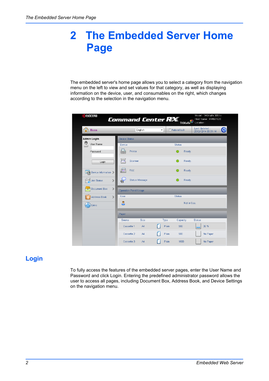# <span id="page-5-0"></span>**2 The Embedded Server Home Page**

The embedded server's home page allows you to select a category from the navigation menu on the left to view and set values for that category, as well as displaying information on the device, user, and consumables on the right, which changes according to the selection in the navigation menu.

| KYOCERA                            | Model: TASKalfa 3051ci<br>Command Center <b>RE</b><br>Host Name: KM66162E<br><b>TASKalfa</b><br>Location: |
|------------------------------------|-----------------------------------------------------------------------------------------------------------|
| ⋒<br>Home                          | Last Updated:<br>O<br>English<br>Auto-refresh<br>$\blacktriangledown$<br>2012/12/14 03:31:14              |
| Admin Login                        | <b>Device Status</b>                                                                                      |
| p<br>User Name                     | Device<br>Status                                                                                          |
| Password                           | Printer<br>Ready.                                                                                         |
| Login                              | Scanner<br>Ready.                                                                                         |
| Device Information >               | FAX<br>Ready.                                                                                             |
| <b>Job Status</b><br>$\mathcal{P}$ | <b>Status Message</b><br>Ready.<br>è                                                                      |
| $\rightarrow$<br>Document Box      | <b>Operation Panel Usage</b>                                                                              |
| Address Book<br>$\rightarrow$      | <b>Status</b><br>User                                                                                     |
| Links                              | ዶ<br>Not in Use.                                                                                          |
|                                    | Paper                                                                                                     |
|                                    | <b>Size</b><br>Capacity<br><b>Status</b><br>Source<br>Type                                                |
|                                    | Plain<br>30 %<br>Cassette 1<br>AA<br>500                                                                  |
|                                    | Plain<br>500<br>No Paper<br>Cassette 2<br>AA                                                              |
|                                    | Plain<br>No Paper<br>Cassette 3<br>AA<br>1500                                                             |

# <span id="page-5-1"></span>**Login**

To fully access the features of the embedded server pages, enter the User Name and Password and click Login. Entering the predefined administrator password allows the user to access all pages, including Document Box, Address Book, and Device Settings on the navigation menu.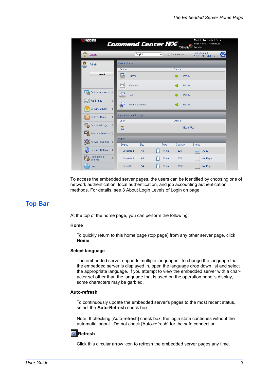| KYOCERƏ                                      | <b>Command Center REX</b>            | <b>TASKalfa</b>                      | Model: TASKalfa 3051ci<br>Host Name: KM66162E<br>Location: |
|----------------------------------------------|--------------------------------------|--------------------------------------|------------------------------------------------------------|
| ĥ<br>Home                                    | English                              | Auto-refresh<br>$\blacktriangledown$ | Last Updated:<br>$\mathbf C$<br>2012/12/14 03:36:23        |
| Admin                                        | <b>Device Status</b>                 |                                      |                                                            |
|                                              | Device                               | <b>Status</b>                        |                                                            |
| Logout                                       | Printer                              | Ready.                               |                                                            |
|                                              | Scanner                              | Ready.                               |                                                            |
| Device Information >                         | FAX                                  | Ready.                               |                                                            |
| <b>Job Status</b><br>$\rightarrow$           | <b>Status Message</b><br>ġ           | Ready.                               |                                                            |
| $\mathcal{P}$<br>Document Box                |                                      |                                      |                                                            |
| $\mathbf{L}$<br>Address Book                 | <b>Operation Panel Usage</b><br>User | <b>Status</b>                        |                                                            |
| 悍<br><b>Device Settings</b><br>$\mathcal{P}$ | β                                    | Not in Use.                          |                                                            |
| ▣<br>Function Settings >                     |                                      |                                      |                                                            |
| Network Settings                             | Paper<br>Size<br>Source              | Capacity<br>Type                     | <b>Status</b>                                              |
| Security Settings >                          | Cassette 1<br>A4                     | Plain<br>500                         | 30 %                                                       |
| Management<br>$\mathcal{P}$<br>Settings      | Cassette 2<br>AA                     | Plain<br>500                         | No Paper                                                   |
| Links                                        | Cassette 3<br>AA                     | Plain<br>1500                        | No Paper                                                   |

To access the embedded server pages, the users can be identified by choosing one of network authentication, local authentication, and job accounting authentication methods. For details, see 3 About Login Levels of Login on page.

# <span id="page-6-0"></span>**Top Bar**

At the top of the home page, you can perform the following:

## **Home**

To quickly return to this home page (top page) from any other server page, click **Home**.

## **Select language**

The embedded server supports multiple languages. To change the language that the embedded server is displayed in, open the language drop down list and select the appropriate language. If you attempt to view the embedded server with a character set other than the language that is used on the operation panel's display, some characters may be garbled.

#### **Auto-refresh**

To continuously update the embedded server's pages to the most recent status, select the **Auto-Refresh** check box.

Note: If checking [Auto-refresh] check box, the login state continues without the automatic logout. Do not check [Auto-refresh] for the safe connection.

## **Refresh**

Click this circular arrow icon to refresh the embedded server pages any time.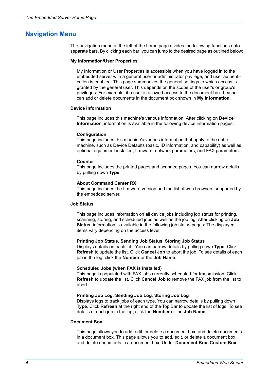## <span id="page-7-0"></span>**Navigation Menu**

The navigation menu at the left of the home page divides the following functions onto separate bars. By clicking each bar, you can jump to the desired page as outlined below:

#### **My Information/User Properties**

My Information or User Properties is accessible when you have logged in to the embedded server with a general user or administrator privilege, and user authentication is enabled. This page summarizes the general settings to which access is granted by the general user. This depends on the scope of the user's or group's privileges. For example, if a user is allowed access to the document box, he/she can add or delete documents in the document box shown in **My Information**.

## **Device Information**

This page includes this machine's various information. After clicking on **Device Information**, information is available in the following device information pages:

#### **Configuration**

This page includes this machine's various information that apply to the entire machine, such as Device Defaults (basic, ID information, and capability) as well as optional equipment installed, firmware, network parameters, and FAX parameters.

#### **Counter**

This page includes the printed pages and scanned pages. You can narrow details by pulling down **Type**.

#### **About Command Center RX**

This page includes the firmware version and the list of web browsers supported by the embedded server.

#### **Job Status**

This page includes information on all device jobs including job status for printing, scanning, storing, and scheduled jobs as well as the job log. After clicking on **Job Status**, information is available in the following job status pages: The displayed items vary depending on the access level.

## **Printing Job Status**, **Sending Job Status**, **Storing Job Status**

Displays details on each job. You can narrow details by pulling down **Type**. Click **Refresh** to update the list. Click **Cancel Job** to abort the job. To see details of each job in the log, click the **Number** or the **Job Name**.

#### **Scheduled Jobs (when FAX is installed)**

This page is populated with FAX jobs currently scheduled for transmission. Click **Refresh** to update the list. Click **Cancel Job** to remove the FAX job from the list to abort.

#### **Printing Job Log**, **Sending Job Log**, **Storing Job Log**

Displays logs to track jobs of each type. You can narrow details by pulling down **Type**. Click **Refresh** at the right end of the Top Bar to update the list of logs. To see details of each job in the log, click the **Number** or the **Job Name**.

## **Document Box**

This page allows you to add, edit, or delete a document box, and delete documents in a document box. This page allows you to add, edit, or delete a document box, and delete documents in a document box. Under **Document Box**, **Custom Box**,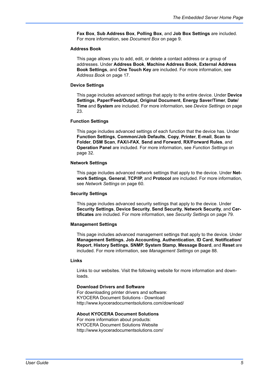**Fax Box**, **Sub Address Box**, **Polling Box**, and **Job Box Settings** are included. For more information, see *[Document Box](#page-12-0)* on page 9.

#### **Address Book**

This page allows you to add, edit, or delete a contact address or a group of addresses. Under **Address Book**, **Machine Address Book**, **External Address Book Settings**, and **One Touch Key** are included. For more information, see *[Address Book](#page-20-0)* on page 17.

#### **Device Settings**

This page includes advanced settings that apply to the entire device. Under **Device Settings**, **Paper/Feed/Output**, **Original Document**, **Energy Saver/Timer**, **Date/ Time** and **System** are included. For more information, see *[Device Settings](#page-26-0)* on page [23](#page-26-0).

#### **Function Settings**

This page includes advanced settings of each function that the device has. Under **Function Settings**, **Common/Job Defaults**, **Copy**, **Printer**, **E-mail**, **Scan to Folder**, **DSM Scan**, **FAX/i-FAX**, **Send and Forward**, **RX/Forward Rules**, and **Operation Panel** are included. For more information, see *[Function Settings](#page-35-0)* on [page 32.](#page-35-0)

## **Network Settings**

This page includes advanced network settings that apply to the device. Under **Network Settings**, **General**, **TCP/IP**, and **Protocol** are included. For more information, see *[Network Settings](#page-63-0)* on page 60.

#### **Security Settings**

This page includes advanced security settings that apply to the device. Under **Security Settings**, **Device Security**, **Send Security**, **Network Security**, and **Certificates** are included. For more information, see *[Security Settings](#page-82-0)* on page 79.

## **Management Settings**

This page includes advanced management settings that apply to the device. Under **Management Settings**, **Job Accounting**, **Authentication**, **ID Card**, **Notification/ Report**, **History Settings**, **SNMP**, **System Stamp**, **Message Board**, and **Reset** are included. For more information, see *[Management Settings](#page-91-0)* on page 88.

## **Links**

Links to our websites. Visit the following website for more information and downloads.

## **Download Drivers and Software**

For downloading printer drivers and software: KYOCERA Document Solutions - Download http://www.kyoceradocumentsolutions.com/download/

#### **About KYOCERA Document Solutions**

For more information about products: KYOCERA Document Solutions Website http://www.kyoceradocumentsolutions.com/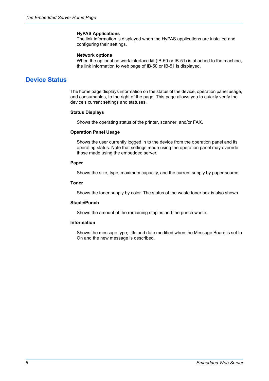#### **HyPAS Applications**

The link information is displayed when the HyPAS applications are installed and configuring their settings.

#### **Network options**

When the optional network interface kit (IB-50 or IB-51) is attached to the machine, the link information to web page of IB-50 or IB-51 is displayed.

## <span id="page-9-0"></span>**Device Status**

The home page displays information on the status of the device, operation panel usage, and consumables, to the right of the page. This page allows you to quickly verify the device's current settings and statuses.

## **Status Displays**

Shows the operating status of the printer, scanner, and/or FAX.

## **Operation Panel Usage**

Shows the user currently logged in to the device from the operation panel and its operating status. Note that settings made using the operation panel may override those made using the embedded server.

## **Paper**

Shows the size, type, maximum capacity, and the current supply by paper source.

## **Toner**

Shows the toner supply by color. The status of the waste toner box is also shown.

#### **Staple/Punch**

Shows the amount of the remaining staples and the punch waste.

#### **Information**

Shows the message type, title and date modified when the Message Board is set to On and the new message is described.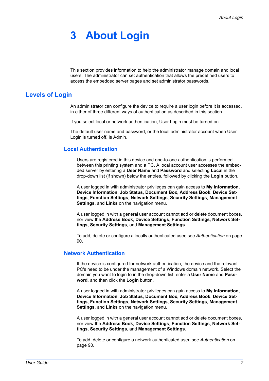# <span id="page-10-0"></span>**3 About Login**

This section provides information to help the administrator manage domain and local users. The administrator can set authentication that allows the predefined users to access the embedded server pages and set administrator passwords.

# <span id="page-10-1"></span>**Levels of Login**

An administrator can configure the device to require a user login before it is accessed, in either of three different ways of authentication as described in this section.

If you select local or network authentication, User Login must be turned on.

The default user name and password, or the local administrator account when User Login is turned off, is Admin.

## **Local Authentication**

Users are registered in this device and one-to-one authentication is performed between this printing system and a PC. A local account user accesses the embedded server by entering a **User Name** and **Password** and selecting **Local** in the drop-down list (if shown) below the entries, followed by clicking the **Login** button.

A user logged in with administrator privileges can gain access to **My Information**, **Device Information**, **Job Status**, **Document Box**, **Address Book**, **Device Settings**, **Function Settings**, **Network Settings**, **Security Settings**, **Management Settings**, and **Links** on the navigation menu.

A user logged in with a general user account cannot add or delete document boxes, nor view the **Address Book**, **Device Settings**, **Function Settings**, **Network Settings**, **Security Settings**, and **Management Settings**.

To add, delete or configure a locally authenticated user, see *[Authentication](#page-93-0)* on page [90](#page-93-0).

## **Network Authentication**

If the device is configured for network authentication, the device and the relevant PC's need to be under the management of a Windows domain network. Select the domain you want to login to in the drop-down list, enter a **User Name** and **Password**, and then click the **Login** button.

A user logged in with administrator privileges can gain access to **My Information**, **Device Information**, **Job Status**, **Document Box**, **Address Book**, **Device Settings**, **Function Settings**, **Network Settings**, **Security Settings**, **Management Settings**, and **Links** on the navigation menu.

A user logged in with a general user account cannot add or delete document boxes, nor view the **Address Book**, **Device Settings**, **Function Settings**, **Network Settings**, **Security Settings**, and **Management Settings**.

To add, delete or configure a network authenticated user, see *[Authentication](#page-93-0)* on [page 90.](#page-93-0)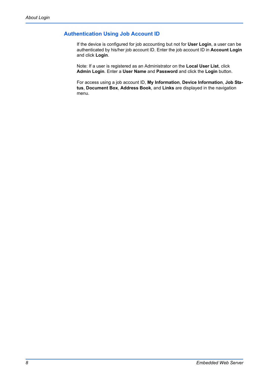## **Authentication Using Job Account ID**

If the device is configured for job accounting but not for **User Login**, a user can be authenticated by his/her job account ID. Enter the job account ID in **Account Login** and click **Login**.

Note: If a user is registered as an Administrator on the **Local User List**, click **Admin Login**. Enter a **User Name** and **Password** and click the **Login** button.

For access using a job account ID, **My Information**, **Device Information**, **Job Status**, **Document Box**, **Address Book**, and **Links** are displayed in the navigation menu.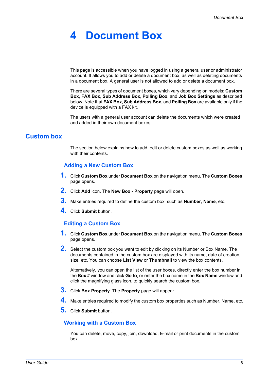# <span id="page-12-0"></span>**4 Document Box**

This page is accessible when you have logged in using a general user or administrator account. It allows you to add or delete a document box, as well as deleting documents in a document box. A general user is not allowed to add or delete a document box.

There are several types of document boxes, which vary depending on models: **Custom Box**, **FAX Box**, **Sub Address Box**, **Polling Box**, and **Job Box Settings** as described below. Note that **FAX Box**, **Sub Address Box**, and **Polling Box** are available only if the device is equipped with a FAX kit.

The users with a general user account can delete the documents which were created and added in their own document boxes.

## <span id="page-12-1"></span>**Custom box**

The section below explains how to add, edit or delete custom boxes as well as working with their contents.

## **Adding a New Custom Box**

- **1.** Click **Custom Box** under **Document Box** on the navigation menu. The **Custom Boxes** page opens.
- **2.** Click **Add** icon. The **New Box Property** page will open.
- **3.** Make entries required to define the custom box, such as **Number**, **Name**, etc.
- **4.** Click **Submit** button.

## **Editing a Custom Box**

- **1.** Click **Custom Box** under **Document Box** on the navigation menu. The **Custom Boxes** page opens.
- **2.** Select the custom box you want to edit by clicking on its Number or Box Name. The documents contained in the custom box are displayed with its name, date of creation, size, etc. You can choose **List View** or **Thumbnail** to view the box contents.

Alternatively, you can open the list of the user boxes, directly enter the box number in the **Box #** window and click **Go to**, or enter the box name in the **Box Name** window and click the magnifying glass icon, to quickly search the custom box.

- **3.** Click **Box Property**. The **Property** page will appear.
- **4.** Make entries required to modify the custom box properties such as Number, Name, etc.
- **5.** Click **Submit** button.

## **Working with a Custom Box**

You can delete, move, copy, join, download, E-mail or print documents in the custom box.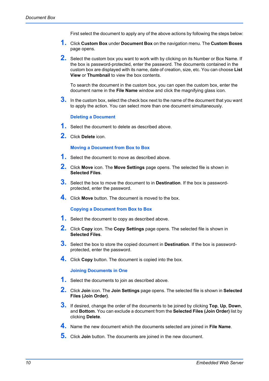First select the document to apply any of the above actions by following the steps below:

- **1.** Click **Custom Box** under **Document Box** on the navigation menu. The **Custom Boxes** page opens.
- **2.** Select the custom box you want to work with by clicking on its Number or Box Name. If the box is password-protected, enter the password. The documents contained in the custom box are displayed with its name, date of creation, size, etc. You can choose **List View** or **Thumbnail** to view the box contents.

To search the document in the custom box, you can open the custom box, enter the document name in the **File Name** window and click the magnifying glass icon.

**3.** In the custom box, select the check box next to the name of the document that you want to apply the action. You can select more than one document simultaneously.

## **Deleting a Document**

- **1.** Select the document to delete as described above.
- **2.** Click **Delete** icon.

## **Moving a Document from Box to Box**

- **1.** Select the document to move as described above.
- **2.** Click **Move** icon. The **Move Settings** page opens. The selected file is shown in **Selected Files**.
- **3.** Select the box to move the document to in **Destination**. If the box is passwordprotected, enter the password.
- **4.** Click **Move** button. The document is moved to the box.

**Copying a Document from Box to Box**

- **1.** Select the document to copy as described above.
- **2.** Click **Copy** icon. The **Copy Settings** page opens. The selected file is shown in **Selected Files**.
- **3.** Select the box to store the copied document in **Destination**. If the box is passwordprotected, enter the password.
- **4.** Click **Copy** button. The document is copied into the box.

## **Joining Documents in One**

- **1.** Select the documents to join as described above.
- **2.** Click **Join** icon. The **Join Settings** page opens. The selected file is shown in **Selected Files (Join Order)**.
- **3.** If desired, change the order of the documents to be joined by clicking **Top**, **Up**, **Down**, and **Bottom**. You can exclude a document from the **Selected Files (Join Order)** list by clicking **Delete**.
- **4.** Name the new document which the documents selected are joined in **File Name**.
- **5.** Click **Join** button. The documents are joined in the new document.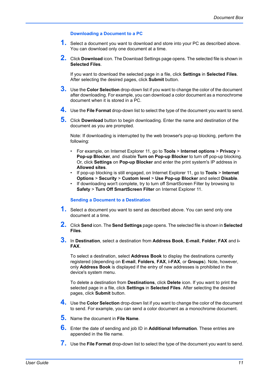## **Downloading a Document to a PC**

- **1.** Select a document you want to download and store into your PC as described above. You can download only one document at a time.
- **2.** Click **Download** icon. The Download Settings page opens. The selected file is shown in **Selected Files**.

If you want to download the selected page in a file, click **Settings** in **Selected Files**. After selecting the desired pages, click **Submit** button.

- **3.** Use the **Color Selection** drop-down list if you want to change the color of the document after downloading. For example, you can download a color document as a monochrome document when it is stored in a PC.
- **4.** Use the **File Format** drop-down list to select the type of the document you want to send.
- **5.** Click **Download** button to begin downloading. Enter the name and destination of the document as you are prompted.

Note: If downloading is interrupted by the web browser's pop-up blocking, perform the following:

- For example, on Internet Explorer 11, go to **Tools** > **Internet options** > **Privacy** > **Pop-up Blocker**, and disable **Turn on Pop-up Blocker** to turn off pop-up blocking. Or, click **Settings** on **Pop-up Blocker** and enter the print system's IP address in **Allowed sites**.
- If pop-up blocking is still engaged, on Internet Explorer 11, go to **Tools** > **Internet Options** > **Security** > **Custom level** > **Use Pop-up Blocker** and select **Disable**.
- If downloading won't complete, try to turn off SmartScreen Filter by browsing to **Safety** > **Turn Off SmartScreen Filter** on Internet Explorer 11.

#### **Sending a Document to a Destination**

- **1.** Select a document you want to send as described above. You can send only one document at a time.
- **2.** Click **Send** icon. The **Send Settings** page opens. The selected file is shown in **Selected Files**.
- **3.** In **Destination**, select a destination from **Address Book**, **E-mail**, **Folder**, **FAX** and **i-FAX**.

To select a destination, select **Address Book** to display the destinations currently registered (depending on **E-mail**, **Folders**, **FAX**, **i-FAX**, or **Groups**). Note, however, only **Address Book** is displayed if the entry of new addresses is prohibited in the device's system menu.

To delete a destination from **Destinations**, click **Delete** icon. If you want to print the selected page in a file, click **Settings** in **Selected Files**. After selecting the desired pages, click **Submit** button.

- **4.** Use the **Color Selection** drop-down list if you want to change the color of the document to send. For example, you can send a color document as a monochrome document.
- **5.** Name the document in **File Name**.
- **6.** Enter the date of sending and job ID in **Additional Information**. These entries are appended in the file name.
- **7.** Use the **File Format** drop-down list to select the type of the document you want to send.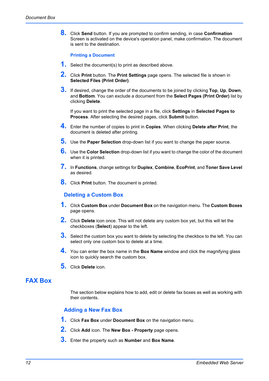**8.** Click **Send** button. If you are prompted to confirm sending, in case **Confirmation** Screen is activated on the device's operation panel, make confirmation. The document is sent to the destination.

## **Printing a Document**

- **1.** Select the document(s) to print as described above.
- **2.** Click **Print** button. The **Print Settings** page opens. The selected file is shown in **Selected Files (Print Order)**.
- **3.** If desired, change the order of the documents to be joined by clicking **Top**, **Up**, **Down**, and **Bottom**. You can exclude a document from the **Select Pages (Print Order)** list by clicking **Delete**.

If you want to print the selected page in a file, click **Settings** in **Selected Pages to Process**. After selecting the desired pages, click **Submit** button.

- **4.** Enter the number of copies to print in **Copies**. When clicking **Delete after Print**, the document is deleted after printing.
- **5.** Use the **Paper Selection** drop-down list if you want to change the paper source.
- **6.** Use the **Color Selection** drop-down list if you want to change the color of the document when it is printed.
- **7.** In **Functions**, change settings for **Duplex**, **Combine**, **EcoPrint**, and **Toner Save Level** as desired.
- **8.** Click **Print** button. The document is printed.

## **Deleting a Custom Box**

- **1.** Click **Custom Box** under **Document Box** on the navigation menu. The **Custom Boxes** page opens.
- **2.** Click **Delete** icon once. This will not delete any custom box yet, but this will let the checkboxes (**Select**) appear to the left.
- **3.** Select the custom box you want to delete by selecting the checkbox to the left. You can select only one custom box to delete at a time.
- **4.** You can enter the box name in the **Box Name** window and click the magnifying glass icon to quickly search the custom box.
- **5.** Click **Delete** icon.

# <span id="page-15-0"></span>**FAX Box**

The section below explains how to add, edit or delete fax boxes as well as working with their contents.

## **Adding a New Fax Box**

- **1.** Click **Fax Box** under **Document Box** on the navigation menu.
- **2.** Click **Add** icon. The **New Box Property** page opens.
- **3.** Enter the property such as **Number** and **Box Name**.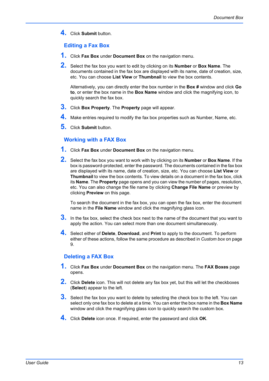**4.** Click **Submit** button.

# **Editing a Fax Box**

- **1.** Click **Fax Box** under **Document Box** on the navigation menu.
- **2.** Select the fax box you want to edit by clicking on its **Number** or **Box Name**. The documents contained in the fax box are displayed with its name, date of creation, size, etc. You can choose **List View** or **Thumbnail** to view the box contents.

Alternatively, you can directly enter the box number in the **Box #** window and click **Go to**, or enter the box name in the **Box Name** window and click the magnifying icon, to quickly search the fax box.

- **3.** Click **Box Property**. The **Property** page will appear.
- **4.** Make entries required to modify the fax box properties such as Number, Name, etc.
- **5.** Click **Submit** button.

## **Working with a FAX Box**

- **1.** Click **Fax Box** under **Document Box** on the navigation menu.
- **2.** Select the fax box you want to work with by clicking on its **Number** or **Box Name**. If the box is password-protected, enter the password. The documents contained in the fax box are displayed with its name, date of creation, size, etc. You can choose **List View** or **Thumbnail** to view the box contents. To view details on a document in the fax box, click its **Name**. The **Property** page opens and you can view the number of pages, resolution, etc. You can also change the file name by clicking **Change File Name** or preview by clicking **Preview** on this page.

To search the document in the fax box, you can open the fax box, enter the document name in the **File Name** window and click the magnifying glass icon.

- **3.** In the fax box, select the check box next to the name of the document that you want to apply the action. You can select more than one document simultaneously.
- **4.** Select either of **Delete**, **Download**, and **Print** to apply to the document. To perform either of these actions, follow the same procedure as described in *[Custom box](#page-12-1)* on page [9](#page-12-1).

## **Deleting a FAX Box**

- **1.** Click **Fax Box** under **Document Box** on the navigation menu. The **FAX Boxes** page opens.
- **2.** Click **Delete** icon. This will not delete any fax box yet, but this will let the checkboxes (**Select**) appear to the left.
- **3.** Select the fax box you want to delete by selecting the check box to the left. You can select only one fax box to delete at a time. You can enter the box name in the **Box Name** window and click the magnifying glass icon to quickly search the custom box.
- **4.** Click **Delete** icon once. If required, enter the password and click **OK**.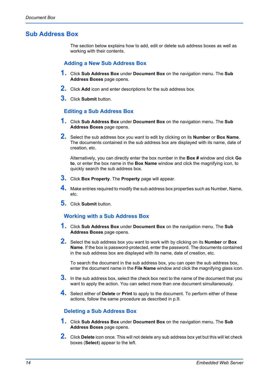# <span id="page-17-0"></span>**Sub Address Box**

The section below explains how to add, edit or delete sub address boxes as well as working with their contents.

## **Adding a New Sub Address Box**

- **1.** Click **Sub Address Box** under **Document Box** on the navigation menu. The **Sub Address Boxes** page opens.
- **2.** Click **Add** icon and enter descriptions for the sub address box.
- **3.** Click **Submit** button.

## **Editing a Sub Address Box**

- **1.** Click **Sub Address Box** under **Document Box** on the navigation menu. The **Sub Address Boxes** page opens.
- **2.** Select the sub address box you want to edit by clicking on its **Number** or **Box Name**. The documents contained in the sub address box are displayed with its name, date of creation, etc.

Alternatively, you can directly enter the box number in the **Box #** window and click **Go to**, or enter the box name in the **Box Name** window and click the magnifying icon, to quickly search the sub address box.

- **3.** Click **Box Property**. The **Property** page will appear.
- **4.** Make entries required to modify the sub address box properties such as Number, Name, etc.
- **5.** Click **Submit** button.

## **Working with a Sub Address Box**

- **1.** Click **Sub Address Box** under **Document Box** on the navigation menu. The **Sub Address Boxes** page opens.
- **2.** Select the sub address box you want to work with by clicking on its **Number** or **Box Name**. If the box is password-protected, enter the password. The documents contained in the sub address box are displayed with its name, date of creation, etc.

To search the document in the sub address box, you can open the sub address box, enter the document name in the **File Name** window and click the magnifying glass icon.

- **3.** In the sub address box, select the check box next to the name of the document that you want to apply the action. You can select more than one document simultaneously.
- **4.** Select either of **Delete** or **Print** to apply to the document. To perform either of these actions, follow the same procedure as described in p.9.

## **Deleting a Sub Address Box**

- **1.** Click **Sub Address Box** under **Document Box** on the navigation menu. The **Sub Address Boxes** page opens.
- **2.** Click **Delete** icon once. This will not delete any sub address box yet but this will let check boxes (**Select**) appear to the left.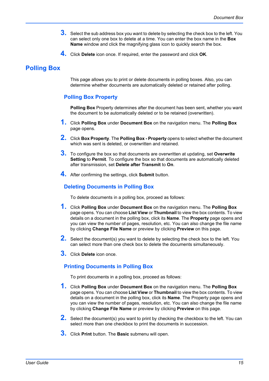- **3.** Select the sub address box you want to delete by selecting the check box to the left. You can select only one box to delete at a time. You can enter the box name in the **Box Name** window and click the magnifying glass icon to quickly search the box.
- **4.** Click **Delete** icon once. If required, enter the password and click **OK**.

# <span id="page-18-0"></span>**Polling Box**

This page allows you to print or delete documents in polling boxes. Also, you can determine whether documents are automatically deleted or retained after polling.

## **Polling Box Property**

**Polling Box** Property determines after the document has been sent, whether you want the document to be automatically deleted or to be retained (overwritten).

- **1.** Click **Polling Box** under **Document Box** on the navigation menu. The **Polling Box** page opens.
- **2.** Click **Box Property**. The **Polling Box Property** opens to select whether the document which was sent is deleted, or overwritten and retained.
- **3.** To configure the box so that documents are overwritten at updating, set **Overwrite Setting** to **Permit**. To configure the box so that documents are automatically deleted after transmission, set **Delete after Transmit** to **On**.
- **4.** After confirming the settings, click **Submit** button.

## **Deleting Documents in Polling Box**

To delete documents in a polling box, proceed as follows:

- **1.** Click **Polling Box** under **Document Box** on the navigation menu. The **Polling Box** page opens. You can choose **List View** or **Thumbnail** to view the box contents. To view details on a document in the polling box, click its **Name**. The **Property** page opens and you can view the number of pages, resolution, etc. You can also change the file name by clicking **Change File Name** or preview by clicking **Preview** on this page.
- **2.** Select the document(s) you want to delete by selecting the check box to the left. You can select more than one check box to delete the documents simultaneously.
- **3.** Click **Delete** icon once.

## **Printing Documents in Polling Box**

To print documents in a polling box, proceed as follows:

- **1.** Click **Polling Box** under **Document Box** on the navigation menu. The **Polling Box** page opens. You can choose **List View** or **Thumbnail** to view the box contents. To view details on a document in the polling box, click its **Name**. The Property page opens and you can view the number of pages, resolution, etc. You can also change the file name by clicking **Change File Name** or preview by clicking **Preview** on this page.
- **2.** Select the document(s) you want to print by checking the checkbox to the left. You can select more than one checkbox to print the documents in succession.
- **3.** Click **Print** button. The **Basic** submenu will open.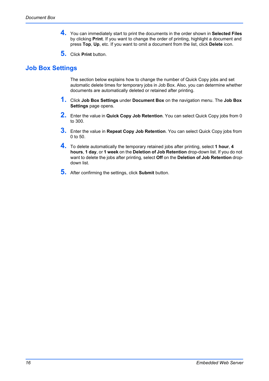- **4.** You can immediately start to print the documents in the order shown in **Selected Files** by clicking **Print**. If you want to change the order of printing, highlight a document and press **Top**, **Up**, etc. If you want to omit a document from the list, click **Delete** icon.
- **5.** Click **Print** button.

# <span id="page-19-0"></span>**Job Box Settings**

The section below explains how to change the number of Quick Copy jobs and set automatic delete times for temporary jobs in Job Box. Also, you can determine whether documents are automatically deleted or retained after printing.

- **1.** Click **Job Box Settings** under **Document Box** on the navigation menu. The **Job Box Settings** page opens.
- **2.** Enter the value in **Quick Copy Job Retention**. You can select Quick Copy jobs from 0 to 300.
- **3.** Enter the value in **Repeat Copy Job Retention**. You can select Quick Copy jobs from 0 to 50.
- **4.** To delete automatically the temporary retained jobs after printing, select **1 hour**, **<sup>4</sup> hours**, **1 day**, or **1 week** on the **Deletion of Job Retention** drop-down list. If you do not want to delete the jobs after printing, select **Off** on the **Deletion of Job Retention** dropdown list.
- **5.** After confirming the settings, click **Submit** button.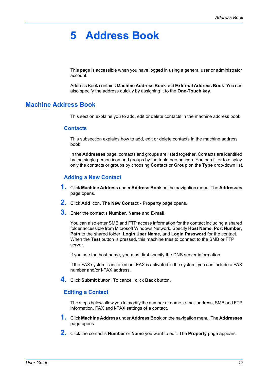# <span id="page-20-0"></span>**5 Address Book**

This page is accessible when you have logged in using a general user or administrator account.

Address Book contains **Machine Address Book** and **External Address Book**. You can also specify the address quickly by assigning it to the **One-Touch key**.

## <span id="page-20-1"></span>**Machine Address Book**

This section explains you to add, edit or delete contacts in the machine address book.

## **Contacts**

This subsection explains how to add, edit or delete contacts in the machine address book.

In the **Addresses** page, contacts and groups are listed together. Contacts are identified by the single person icon and groups by the triple person icon. You can filter to display only the contacts or groups by choosing **Contact** or **Group** on the **Type** drop-down list.

## **Adding a New Contact**

- **1.** Click **Machine Address** under **Address Book** on the navigation menu. The **Addresses** page opens.
- **2.** Click **Add** icon. The **New Contact Property** page opens.
- **3.** Enter the contact's **Number**, **Name** and **E-mail**.

You can also enter SMB and FTP access information for the contact including a shared folder accessible from Microsoft Windows Network. Specify **Host Name**, **Port Number**, **Path** to the shared folder, **Login User Name**, and **Login Password** for the contact. When the **Test** button is pressed, this machine tries to connect to the SMB or FTP server.

If you use the host name, you must first specify the DNS server information.

If the FAX system is installed or i-FAX is activated in the system, you can include a FAX number and/or i-FAX address.

**4.** Click **Submit** button. To cancel, click **Back** button.

## **Editing a Contact**

The steps below allow you to modify the number or name, e-mail address, SMB and FTP information, FAX and i-FAX settings of a contact.

- **1.** Click **Machine Address** under **Address Book** on the navigation menu. The **Addresses** page opens.
- **2.** Click the contact's **Number** or **Name** you want to edit. The **Property** page appears.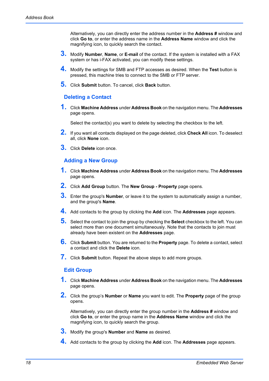Alternatively, you can directly enter the address number in the **Address #** window and click **Go to**, or enter the address name in the **Address Name** window and click the magnifying icon, to quickly search the contact.

- **3.** Modify **Number**, **Name**, or **E-mail** of the contact. If the system is installed with a FAX system or has i-FAX activated, you can modify these settings.
- **4.** Modify the settings for SMB and FTP accesses as desired. When the **Test** button is pressed, this machine tries to connect to the SMB or FTP server.
- **5.** Click **Submit** button. To cancel, click **Back** button.

## **Deleting a Contact**

**1.** Click **Machine Address** under **Address Book** on the navigation menu. The **Addresses** page opens.

Select the contact(s) you want to delete by selecting the checkbox to the left.

- **2.** If you want all contacts displayed on the page deleted, click **Check All** icon. To deselect all, click **None** icon.
- **3.** Click **Delete** icon once.

## **Adding a New Group**

- **1.** Click **Machine Address** under **Address Book** on the navigation menu. The **Addresses** page opens.
- **2.** Click **Add Group** button. The **New Group Property** page opens.
- **3.** Enter the group's **Number**, or leave it to the system to automatically assign a number, and the group's **Name**.
- **4.** Add contacts to the group by clicking the **Add** icon. The **Addresses** page appears.
- **5.** Select the contact to join the group by checking the **Select** checkbox to the left. You can select more than one document simultaneously. Note that the contacts to join must already have been existent on the **Addresses** page.
- **6.** Click **Submit** button. You are returned to the **Property** page. To delete a contact, select a contact and click the **Delete** icon.
- **7.** Click **Submit** button. Repeat the above steps to add more groups.

## **Edit Group**

- **1.** Click **Machine Address** under **Address Book** on the navigation menu. The **Addresses** page opens.
- **2.** Click the group's **Number** or **Name** you want to edit. The **Property** page of the group opens.

Alternatively, you can directly enter the group number in the **Address #** window and click **Go to**, or enter the group name in the **Address Name** window and click the magnifying icon, to quickly search the group.

- **3.** Modify the group's **Number** and **Name** as desired.
- **4.** Add contacts to the group by clicking the **Add** icon. The **Addresses** page appears.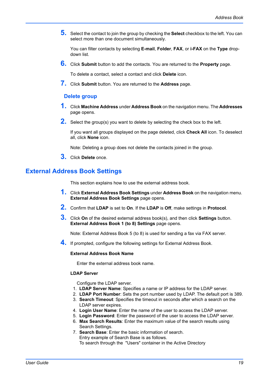**5.** Select the contact to join the group by checking the **Select** checkbox to the left. You can select more than one document simultaneously.

You can filter contacts by selecting **E-mail**, **Folder**, **FAX**, or **i-FAX** on the **Type** dropdown list.

**6.** Click **Submit** button to add the contacts. You are returned to the **Property** page.

To delete a contact, select a contact and click **Delete** icon.

**7.** Click **Submit** button. You are returned to the **Address** page.

## **Delete group**

- **1.** Click **Machine Address** under **Address Book** on the navigation menu. The **Addresses** page opens.
- **2.** Select the group(s) you want to delete by selecting the check box to the left.

If you want all groups displayed on the page deleted, click **Check All** icon. To deselect all, click **None** icon.

Note: Deleting a group does not delete the contacts joined in the group.

**3.** Click **Delete** once.

## <span id="page-22-0"></span>**External Address Book Settings**

This section explains how to use the external address book.

- **1.** Click **External Address Book Settings** under **Address Book** on the navigation menu. **External Address Book Settings** page opens.
- **2.** Confirm that **LDAP** is set to **On**. If the **LDAP** is **Off**, make settings in **Protocol**.
- **3.** Click **On** of the desired external address book(s), and then click **Settings** button. **External Address Book 1 (to 8) Settings** page opens.

Note: External Address Book 5 (to 8) is used for sending a fax via FAX server.

**4.** If prompted, configure the following settings for External Address Book.

## **External Address Book Name**

Enter the external address book name.

#### **LDAP Server**

Configure the LDAP server.

- 1. **LDAP Server Name**: Specifies a name or IP address for the LDAP server.
- 2. **LDAP Port Number**: Sets the port number used by LDAP. The default port is 389.
- 3. **Search Timeout**: Specifies the timeout in seconds after which a search on the LDAP server expires.
- 4. **Login User Name**: Enter the name of the user to access the LDAP server.
- 5. **Login Password**: Enter the password of the user to access the LDAP server.
- 6. **Max Search Results**: Enter the maximum value of the search results using Search Settings.
- 7. **Search Base**: Enter the basic information of search. Entry example of Search Base is as follows. To search through the "Users" container in the Active Directory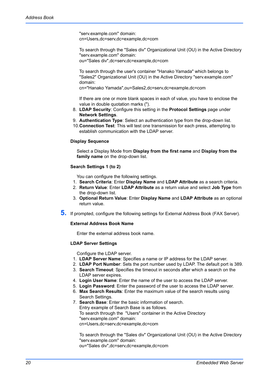"serv.example.com" domain: cn=Users,dc=serv,dc=example,dc=com

To search through the "Sales div" Organizational Unit (OU) in the Active Directory "serv.example.com" domain:

ou="Sales div",dc=serv,dc=example,dc=com

To search through the user's container "Hanako Yamada" which belongs to "Sales2" Organizational Unit (OU) in the Active Directory "serv.example.com" domain:

cn="Hanako Yamada",ou=Sales2,dc=serv,dc=example,dc=com

If there are one or more blank spaces in each of value, you have to enclose the value in double quotation marks (").

- 8. **LDAP Security**: Configure this setting in the **Protocol Settings** page under **Network Settings**.
- 9. **Authentication Type**: Select an authentication type from the drop-down list.
- 10.**Connection Test**: This will test one transmission for each press, attempting to establish communication with the LDAP server.

#### **Display Sequence**

Select a Display Mode from **Display from the first name** and **Display from the family name** on the drop-down list.

## **Search Settings 1 (to 2)**

You can configure the following settings.

- 1. **Search Criteria**: Enter **Display Name** and **LDAP Attribute** as a search criteria.
- 2. **Return Value**: Enter **LDAP Attribute** as a return value and select **Job Type** from the drop-down list.
- 3. **Optional Return Value**: Enter **Display Name** and **LDAP Attribute** as an optional return value.
- **5.** If prompted, configure the following settings for External Address Book (FAX Server).

## **External Address Book Name**

Enter the external address book name.

## **LDAP Server Settings**

Configure the LDAP server.

- 1. **LDAP Server Name**: Specifies a name or IP address for the LDAP server.
- 2. **LDAP Port Number**: Sets the port number used by LDAP. The default port is 389.
- 3. **Search Timeout**: Specifies the timeout in seconds after which a search on the LDAP server expires.
- 4. **Login User Name**: Enter the name of the user to access the LDAP server.
- 5. **Login Password**: Enter the password of the user to access the LDAP server.
- 6. **Max Search Results**: Enter the maximum value of the search results using Search Settings.
- 7. **Search Base**: Enter the basic information of search. Entry example of Search Base is as follows. To search through the "Users" container in the Active Directory "serv.example.com" domain: cn=Users,dc=serv,dc=example,dc=com

To search through the "Sales div" Organizational Unit (OU) in the Active Directory "serv.example.com" domain: ou="Sales div",dc=serv,dc=example,dc=com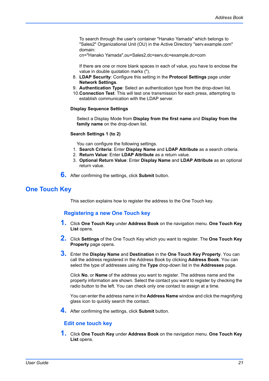To search through the user's container "Hanako Yamada" which belongs to "Sales2" Organizational Unit (OU) in the Active Directory "serv.example.com" domain:

cn="Hanako Yamada",ou=Sales2,dc=serv,dc=example,dc=com

If there are one or more blank spaces in each of value, you have to enclose the value in double quotation marks (").

- 8. **LDAP Security**: Configure this setting in the **Protocol Settings** page under **Network Settings**.
- 9. **Authentication Type**: Select an authentication type from the drop-down list.
- 10.**Connection Test**: This will test one transmission for each press, attempting to establish communication with the LDAP server.

#### **Display Sequence Settings**

Select a Display Mode from **Display from the first name** and **Display from the family name** on the drop-down list.

#### **Search Settings 1 (to 2)**

You can configure the following settings.

- 1. **Search Criteria**: Enter **Display Name** and **LDAP Attribute** as a search criteria.
- 2. **Return Value**: Enter **LDAP Attribute** as a return value.
- 3. **Optional Return Value**: Enter **Display Name** and **LDAP Attribute** as an optional return value.
- **6.** After confirming the settings, click **Submit** button.

## <span id="page-24-0"></span>**One Touch Key**

This section explains how to register the address to the One Touch key.

## **Registering a new One Touch key**

- **1.** Click **One Touch Key** under **Address Book** on the navigation menu. **One Touch Key List** opens.
- **2.** Click **Settings** of the One Touch Key which you want to register. The **One Touch Key Property** page opens.
- **3.** Enter the **Display Name** and **Destination** in the **One Touch Key Property**. You can call the address registered in the Address Book by clicking **Address Book**. You can select the type of addresses using the **Type** drop-down list in the **Addresses** page.

Click **No.** or **Name** of the address you want to register. The address name and the property information are shown. Select the contact you want to register by checking the radio button to the left. You can check only one contact to assign at a time.

You can enter the address name in the **Address Name** window and click the magnifying glass icon to quickly search the contact.

**4.** After confirming the settings, click **Submit** button.

## **Edit one touch key**

**1.** Click **One Touch Key** under **Address Book** on the navigation menu. **One Touch Key List** opens.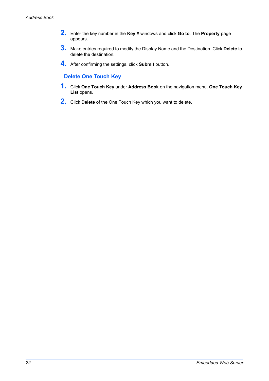- **2.** Enter the key number in the **Key #** windows and click **Go to**. The **Property** page appears.
- **3.** Make entries required to modify the Display Name and the Destination. Click **Delete** to delete the destination.
- **4.** After confirming the settings, click **Submit** button.

## **Delete One Touch Key**

- **1.** Click **One Touch Key** under **Address Book** on the navigation menu. **One Touch Key List** opens.
- **2.** Click **Delete** of the One Touch Key which you want to delete.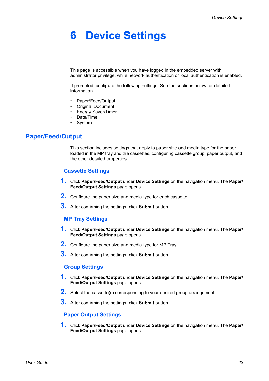# <span id="page-26-0"></span>**6 Device Settings**

This page is accessible when you have logged in the embedded server with administrator privilege, while network authentication or local authentication is enabled.

If prompted, configure the following settings. See the sections below for detailed information.

- Paper/Feed/Output
- Original Document
- Energy Saver/Timer
- Date/Time
- **System**

# <span id="page-26-1"></span>**Paper/Feed/Output**

This section includes settings that apply to paper size and media type for the paper loaded in the MP tray and the cassettes, configuring cassette group, paper output, and the other detailed properties.

## **Cassette Settings**

- **1.** Click **Paper/Feed/Output** under **Device Settings** on the navigation menu. The **Paper/ Feed/Output Settings** page opens.
- **2.** Configure the paper size and media type for each cassette.
- **3.** After confirming the settings, click **Submit** button.

## **MP Tray Settings**

- **1.** Click **Paper/Feed/Output** under **Device Settings** on the navigation menu. The **Paper/ Feed/Output Settings** page opens.
- **2.** Configure the paper size and media type for MP Tray.
- **3.** After confirming the settings, click **Submit** button.

## **Group Settings**

- **1.** Click **Paper/Feed/Output** under **Device Settings** on the navigation menu. The **Paper/ Feed/Output Settings** page opens.
- **2.** Select the cassette(s) corresponding to your desired group arrangement.
- **3.** After confirming the settings, click **Submit** button.

## **Paper Output Settings**

**1.** Click **Paper/Feed/Output** under **Device Settings** on the navigation menu. The **Paper/ Feed/Output Settings** page opens.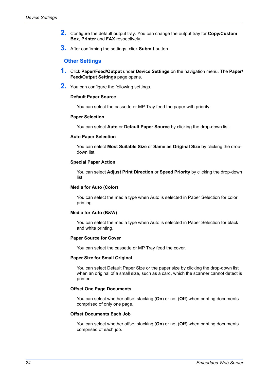- **2.** Configure the default output tray. You can change the output tray for **Copy/Custom Box**, **Printer** and **FAX** respectively.
- **3.** After confirming the settings, click **Submit** button.

## **Other Settings**

- **1.** Click **Paper/Feed/Output** under **Device Settings** on the navigation menu. The **Paper/ Feed/Output Settings** page opens.
- **2.** You can configure the following settings.

## **Default Paper Source**

You can select the cassette or MP Tray feed the paper with priority.

## **Paper Selection**

You can select **Auto** or **Default Paper Source** by clicking the drop-down list.

## **Auto Paper Selection**

You can select **Most Suitable Size** or **Same as Original Size** by clicking the dropdown list.

## **Special Paper Action**

You can select **Adjust Print Direction** or **Speed Priority** by clicking the drop-down list.

## **Media for Auto (Color)**

You can select the media type when Auto is selected in Paper Selection for color printing.

## **Media for Auto (B&W)**

You can select the media type when Auto is selected in Paper Selection for black and white printing.

## **Paper Source for Cover**

You can select the cassette or MP Tray feed the cover.

#### **Paper Size for Small Original**

You can select Default Paper Size or the paper size by clicking the drop-down list when an original of a small size, such as a card, which the scanner cannot detect is printed.

## **Offset One Page Documents**

You can select whether offset stacking (**On**) or not (**Off**) when printing documents comprised of only one page.

## **Offset Documents Each Job**

You can select whether offset stacking (**On**) or not (**Off**) when printing documents comprised of each job.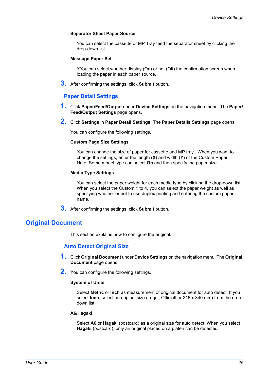## **Separator Sheet Paper Source**

You can select the cassette or MP Tray feed the separator sheet by clicking the drop-down list.

## **Message Paper Set**

YYou can select whether display (On) or not (Off) the confirmation screen when loading the paper in each paper source.

**3.** After confirming the settings, click **Submit** button.

## **Paper Detail Settings**

- **1.** Click **Paper/Feed/Output** under **Device Settings** on the navigation menu. The **Paper/ Feed/Output Settings** page opens.
- **2.** Click **Settings** in **Paper Detail Settings**. The **Paper Details Settings** page opens.

You can configure the following settings.

## **Custom Page Size Settings**

You can change the size of paper for cassette and MP tray . When you want to change the settings, enter the length (**X**) and width (**Y)** of the Custom Paper. Note: Some model type can select **On** and then specify the paper size.

#### **Media Type Settings**

You can select the paper weight for each media type by clicking the drop-down list. When you select the Custom 1 to 4, you can select the paper weight as well as specifying whether or not to use duplex printing and entering the custom paper name.

**3.** After confirming the settings, click **Submit** button.

## <span id="page-28-0"></span>**Original Document**

This section explains how to configure the original.

## **Auto Detect Original Size**

- **1.** Click **Original Document** under **Device Settings** on the navigation menu. The **Original Document** page opens.
- **2.** You can configure the following settings.

## **System of Units**

Select **Metric** or **Inch** as measurement of original document for auto detect. If you select **Inch**, select an original size (Legal, OfficioII or 216 x 340 mm) from the dropdown list.

#### **A6/Hagaki**

Select **A6** or **Hagaki** (postcard) as a original size for auto detect. When you select **Hagaki** (postcard), only an original placed on a platen can be detected.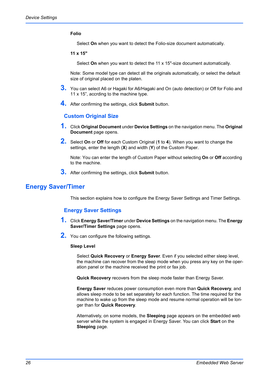## **Folio**

Select **On** when you want to detect the Folio-size document automatically.

**11 x 15"**

Select **On** when you want to detect the 11 x 15"-size document automatically.

Note: Some model type can detect all the originals automatically, or select the default size of original placed on the platen.

- **3.** You can select A6 or Hagaki for A6/Hagaki and On (auto detection) or Off for Folio and 11 x 15", accrding to the machine type.
- **4.** After confirming the settings, click **Submit** button.

## **Custom Original Size**

- **1.** Click **Original Document** under **Device Settings** on the navigation menu. The **Original Document** page opens.
- **2.** Select **On** or **Off** for each Custom Original (**1** to **4**). When you want to change the settings, enter the length (**X**) and width (**Y**) of the Custom Paper.

Note: You can enter the length of Custom Paper without selecting **On** or **Off** according to the machine.

**3.** After confirming the settings, click **Submit** button.

## <span id="page-29-0"></span>**Energy Saver/Timer**

This section explains how to configure the Energy Saver Settings and Timer Settings.

## **Energy Saver Settings**

- **1.** Click **Energy Saver/Timer** under **Device Settings** on the navigation menu. The **Energy Saver/Timer Settings** page opens.
- **2.** You can configure the following settings.

## **Sleep Level**

Select **Quick Recovery** or **Energy Saver**. Even if you selected either sleep level, the machine can recover from the sleep mode when you press any key on the operation panel or the machine received the print or fax job.

**Quick Recovery** recovers from the sleep mode faster than Energy Saver.

**Energy Saver** reduces power consumption even more than **Quick Recovery**, and allows sleep mode to be set separately for each function. The time required for the machine to wake up from the sleep mode and resume normal operation will be longer than for **Quick Recovery**.

Alternatively, on some models, the **Sleeping** page appears on the embedded web server while the system is engaged in Energy Saver. You can click **Start** on the **Sleeping** page.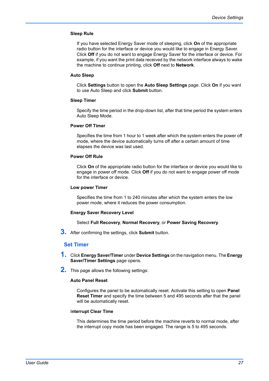## **Sleep Rule**

If you have selected Energy Saver mode of sleeping, click **On** of the appropriate radio button for the interface or device you would like to engage in Energy Saver. Click **Off** if you do not want to engage Energy Saver for the interface or device. For example, if you want the print data received by the network interface always to wake the machine to continue printing, click **Off** next to **Network**.

## **Auto Sleep**

Click **Settings** button to open the **Auto Sleep Settings** page. Click **On** if you want to use Auto Sleep and click **Submit** button.

#### **Sleep Timer**

Specify the time period in the drop-down list, after that time period the system enters Auto Sleep Mode.

## **Power Off Timer**

Specifies the time from 1 hour to 1 week after which the system enters the power off mode, where the device automatically turns off after a certain amount of time elapses the device was last used.

## **Power Off Rule**

Click **On** of the appropriate radio button for the interface or device you would like to engage in power off mode. Click **Off** if you do not want to engage power off mode for the interface or device.

#### **Low power Timer**

Specifies the time from 1 to 240 minutes after which the system enters the low power mode, where it reduces the power consumption.

## **Energy Saver Recovery Level**

## Select **Full Recovery**, **Normal Recovery**, or **Power Saving Recovery**.

**3.** After confirming the settings, click **Submit** button.

## **Set Timer**

- **1.** Click **Energy Saver/Timer** under **Device Settings** on the navigation menu. The **Energy Saver/Timer Settings** page opens.
- **2.** This page allows the following settings:

## **Auto Panel Reset**

Configures the panel to be automatically reset. Activate this setting to open **Panel Reset Timer** and specify the time between 5 and 495 seconds after that the panel will be automatically reset.

## I**nterrupt Clear Time**

This determines the time period before the machine reverts to normal mode, after the interrupt copy mode has been engaged. The range is 5 to 495 seconds.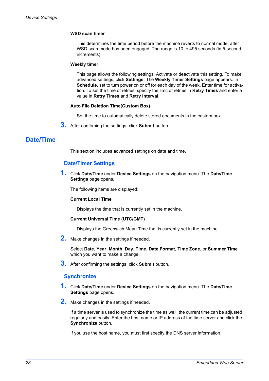## **WSD scan timer**

This determines the time period before the machine reverts to normal mode, after WSD scan mode has been engaged. The range is 10 to 495 seconds (in 5-second increments).

#### **Weekly timer**

This page allows the following settings: Activate or deactivate this setting. To make advanced settings, click **Settings**. The **Weekly Timer Settings** page appears. In **Schedule**, set to turn power on or off for each day of the week. Enter time for activation. To set the time of retries, specify the limit of retries in **Retry Times** and enter a value in **Retry Times** and **Retry Interval**.

## **Auto File Deletion Time(Custom Box)**

Set the time to automatically delete stored documents in the custom box.

**3.** After confirming the settings, click **Submit** button.

# <span id="page-31-0"></span>**Date/Time**

This section includes advanced settings on date and time.

## **Date/Timer Settings**

**1.** Click **Date/Time** under **Device Settings** on the navigation menu. The **Date/Time Settings** page opens.

The following items are displayed:

## **Current Local Time**

Displays the time that is currently set in the machine.

## **Current Universal Time (UTC/GMT)**

Displays the Greenwich Mean Time that is currently set in the machine.

**2.** Make changes in the settings if needed.

Select **Date**, **Year**, **Month**, **Day**, **Time**, **Date Format**, **Time Zone**, or **Summer Time** which you want to make a change.

**3.** After confirming the settings, click **Submit** button.

## **Synchronize**

- **1.** Click **Date/Time** under **Device Settings** on the navigation menu. The **Date/Time Settings** page opens.
- **2.** Make changes in the settings if needed.

If a time server is used to synchronize the time as well, the current time can be adjusted regularly and easily. Enter the host name or IP address of the time server and click the **Synchronize** button.

If you use the host name, you must first specify the DNS server information.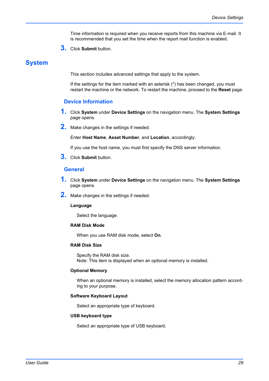Time information is required when you receive reports from this machine via E-mail. It is recommended that you set the time when the report mail function is enabled.

**3.** Click **Submit** button.

## <span id="page-32-0"></span>**System**

This section includes advanced settings that apply to the system.

If the settings for the item marked with an asterisk (\*) has been changed, you must restart the machine or the network. To restart the machine, proceed to the **Reset** page.

## **Device Information**

- **1.** Click **System** under **Device Settings** on the navigation menu. The **System Settings** page opens.
- **2.** Make changes in the settings if needed.

Enter **Host Name**, **Asset Number**, and **Location**, accordingly.

If you use the host name, you must first specify the DNS server information.

**3.** Click **Submit** button.

## **General**

- **1.** Click **System** under **Device Settings** on the navigation menu. The **System Settings** page opens.
- **2.** Make changes in the settings if needed.

#### **Language**

Select the language.

## **RAM Disk Mode**

When you use RAM disk mode, select **On**.

## **RAM Disk Size**

Specify the RAM disk size. Note: This item is displayed when an optional memory is installed.

## **Optional Memory**

When an optional memory is installed, select the memory allocation pattern according to your purpose.

## **Software Keyboard Layout**

Select an appropriate type of keyboard.

#### **USB keyboard type**

Select an appropriate type of USB keyboard.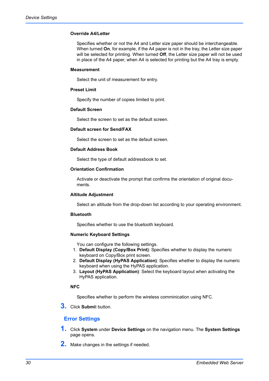## **Override A4/Letter**

Specifies whether or not the A4 and Letter size paper should be interchangeable. When turned **On**, for example, if the A4 paper is not in the tray, the Letter size paper will be selected for printing. When turned **Off**, the Letter size paper will not be used in place of the A4 paper, when A4 is selected for printing but the A4 tray is empty.

#### **Measurement**

Select the unit of measurement for entry.

#### **Preset Limit**

Specify the number of copies limited to print.

## **Default Screen**

Select the screen to set as the default screen.

## **Default screen for Send/FAX**

Select the screen to set as the default screen.

## **Default Address Book**

Select the type of default addressbook to set.

## **Orientation Confirmation**

Activate or deactivate the prompt that confirms the orientation of original documents.

## **Altitude Adjustment**

Select an altitude from the drop-down list according to your operating environment.

## **Bluetooth**

Specifies whether to use the bluetooth keyboard.

## **Numeric Keyboard Settings**

You can configure the following settings.

- 1. **Default Display (Copy/Box Print)**: Specifies whether to display the numeric keyboard on Copy/Box print screen.
- 2. **Default Display (HyPAS Application)**: Specifies whether to display the numeric keyboard when using the HyPAS application.
- 3. **Layout (HyPAS Application)**: Select the keyboard layout when activating the HyPAS application.

## **NFC**

Specifies whether to perform the wireless comminication using NFC.

**3.** Click **Submi**t button.

## **Error Settings**

- **1.** Click **System** under **Device Settings** on the navigation menu. The **System Settings** page opens.
- **2.** Make changes in the settings if needed.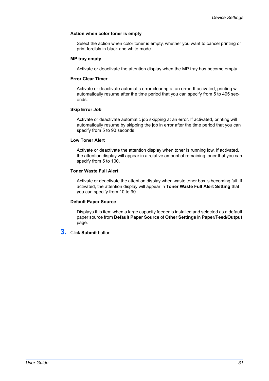## **Action when color toner is empty**

Select the action when color toner is empty, whether you want to cancel printing or print forcibly in black and white mode.

## **MP tray empty**

Activate or deactivate the attention display when the MP tray has become empty.

## **Error Clear Timer**

Activate or deactivate automatic error clearing at an error. If activated, printing will automatically resume after the time period that you can specify from 5 to 495 seconds.

## **Skip Error Job**

Activate or deactivate automatic job skipping at an error. If activated, printing will automatically resume by skipping the job in error after the time period that you can specify from 5 to 90 seconds.

## **Low Toner Alert**

Activate or deactivate the attention display when toner is running low. If activated, the attention display will appear in a relative amount of remaining toner that you can specify from 5 to 100.

## **Toner Waste Full Alert**

Activate or deactivate the attention display when waste toner box is becoming full. If activated, the attention display will appear in **Toner Waste Full Alert Setting** that you can specify from 10 to 90.

## **Default Paper Source**

Displays this item when a large capacity feeder is installed and selected as a default paper source from **Default Paper Source** of **Other Settings** in **Paper/Feed/Output** page.

**3.** Click **Submit** button.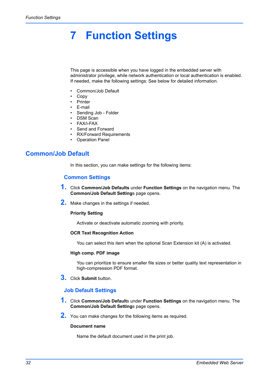# <span id="page-35-0"></span>**7 Function Settings**

This page is accessible when you have logged in the embedded server with administrator privilege, while network authentication or local authentication is enabled. If needed, make the following settings: See below for detailed information.

- Common/Job Default
- Copy
- Printer
- E-mail
- Sending Job Folder
- DSM Scan
- FAX/i-FAX
- Send and Forward
- RX/Forward Requirements
- **Operation Panel**

# <span id="page-35-1"></span>**Common/Job Default**

In this section, you can make settings for the following items:

## **Common Settings**

- **1.** Click **Common/Job Defaults** under **Function Settings** on the navigation menu. The **Common/Job Default Setting**s page opens.
- **2.** Make changes in the settings if needed.

## **Priority Setting**

Activate or deactivate automatic zooming with priority.

## **OCR Text Recognition Action**

You can select this item when the optional Scan Extension kit (A) is activated.

## **High comp. PDF image**

You can prioritize to ensure smaller file sizes or better quality text representation in high-compression PDF format.

**3.** Click **Submit** button.

## **Job Default Settings**

- **1.** Click **Common/Job Default**s under **Function Settings** on the navigation menu. The **Common/Job Default Setting**s page opens.
- **2.** You can make changes for the following items as required.

## **Document name**

Name the default document used in the print job.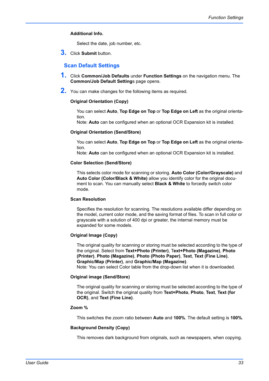## **Additional Info.**

Select the date, job number, etc.

**3.** Click **Submit** button.

## **Scan Default Settings**

- **1.** Click **Common/Job Defaults** under **Function Settings** on the navigation menu. The **Common/Job Default Setting**s page opens.
- **2.** You can make changes for the following items as required.

#### **Original Orientation (Copy)**

You can select **Auto**, **Top Edge on Top** or **Top Edge on Left** as the original orientation.

Note: **Auto** can be configured when an optional OCR Expansion kit is installed.

#### **Original Orientation (Send/Store)**

You can select **Auto**, **Top Edge on Top** or **Top Edge on Left** as the original orientation.

Note: **Auto** can be configured when an optional OCR Expansion kit is installed.

#### **Color Selection (Send/Store)**

This selects color mode for scanning or storing. **Auto Color (Color/Grayscale)** and **Auto Color (Color/Black & White)** allow you identify color for the original document to scan. You can manually select **Black & White** to forcedly switch color mode.

#### **Scan Resolution**

Specifies the resolution for scanning. The resolutions available differ depending on the model, current color mode, and the saving format of files. To scan in full color or grayscale with a solution of 400 dpi or greater, the internal memory must be expanded for some models.

#### **Original Image (Copy)**

The original quality for scanning or storing must be selected according to the type of the original. Select from **Text+Photo (Printer)**, T**ext+Photo (Magazine)**, **Photo (Printer)**, **Photo (Magazine)**, **Photo (Photo Paper)**, **Text**, **Text (Fine Line)**, **Graphic/Map (Printer)**, and **Graphic/Map (Magazine)**.

Note: You can select Color table from the drop-down list when it is downloaded.

## **Original image (Send/Store)**

The original quality for scanning or storing must be selected according to the type of the original. Switch the original quality from **Text+Photo**, **Photo**, **Text**, **Text (for OCR)**, and **Text (Fine Line)**.

#### **Zoom %**

This switches the zoom ratio between **Auto** and **100%**. The default setting is **100%**.

#### **Background Density (Copy)**

This removes dark background from originals, such as newspapers, when copying.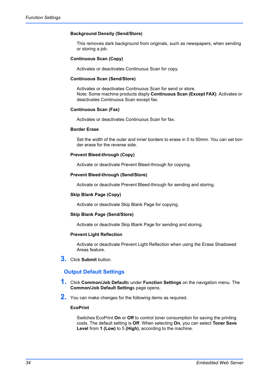## **Background Density (Send/Store)**

This removes dark background from originals, such as newspapers, when sending or storing a job.

## **Continuous Scan (Copy)**

Activates or deactivates Continuous Scan for copy.

#### **Continuous Scan (Send/Store)**

Activates or deactivates Continuous Scan for send or store. Note: Some machine products disply **Continuous Scan (Except FAX)**. Activates or deactivates Continuous Scan except fax.

#### **Continuous Scan (Fax)**

Activates or deactivates Continuous Scan for fax.

#### **Border Erase**

Set the width of the outer and inner borders to erase in 0 to 50mm. You can set border erase for the reverse side.

#### **Prevent Bleed-through (Copy)**

Activate or deactivate Prevent Bleed-through for copying.

#### **Prevent Bleed-through (Send/Store)**

Activate or deactivate Prevent Bleed-through for sending and storing.

#### **Skip Blank Page (Copy)**

Activate or deactivate Skip Blank Page for copying.

#### **Skip Blank Page (Send/Store)**

Activate or deactivate Skip Blank Page for sending and storing.

#### **Prevent Light Reflection**

Activate or deactivate Prevent Light Reflection when using the Erase Shadowed Areas feature.

**3.** Click **Submit** button.

## **Output Default Settings**

- **1.** Click **Common/Job Default**s under **Function Settings** on the navigation menu. The **Common/Job Default Setting**s page opens.
- **2.** You can make changes for the following items as required.

#### **EcoPrint**

Switches EcoPrint **On** or **Off** to control toner consumption for saving the printing costs. The default setting is **Off**. When selecting **On**, you can select **Toner Save Level** from **1 (Low)** to 5 **(High)**, according to the machine.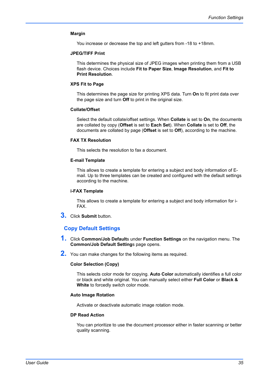#### **Margin**

You increase or decrease the top and left gutters from -18 to +18mm.

#### **JPEG/TIFF Print**

This determines the physical size of JPEG images when printing them from a USB flash device. Choices include **Fit to Paper Size**, **Image Resolution**, and **Fit to Print Resolution**.

#### **XPS Fit to Page**

This determines the page size for printing XPS data. Turn **On** to fit print data over the page size and turn **Off** to print in the original size.

#### **Collate/Offset**

Select the default collate/offset settings. When **Collate** is set to **On**, the documents are collated by copy (**Offset** is set to **Each Set**). When **Collate** is set to **Off**, the documents are collated by page (**Offset** is set to **Off**), according to the machine.

#### **FAX TX Resolution**

This selects the resolution to fax a document.

#### **E-mail Template**

This allows to create a template for entering a subject and body information of Email. Up to three templates can be created and configured with the default settings according to the machine.

#### **i-FAX Template**

This allows to create a template for entering a subject and body information for i-FAX.

**3.** Click **Submit** button.

## **Copy Default Settings**

- **1.** Click **Common/Job Default**s under **Function Settings** on the navigation menu. The **Common/Job Default Setting**s page opens.
- **2.** You can make changes for the following items as required.

#### **Color Selection (Copy)**

This selects color mode for copying. **Auto Color** automatically identifies a full color or black and white original. You can manually select either **Full Color** or **Black & White** to forcedly switch color mode.

#### **Auto Image Rotation**

Activate or deactivate automatic image rotation mode.

#### **DP Read Action**

You can prioritize to use the document processor either in faster scanning or better quality scanning.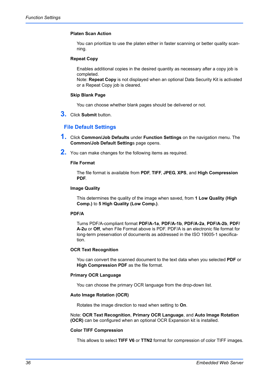## **Platen Scan Action**

You can prioritize to use the platen either in faster scanning or better quality scanning.

## **Repeat Copy**

Enables additional copies in the desired quantity as necessary after a copy job is completed.

Note: **Repeat Copy** is not displayed when an optional Data Security Kit is activated or a Repeat Copy job is cleared.

#### **Skip Blank Page**

You can choose whether blank pages should be delivered or not.

**3.** Click **Submit** button.

## **File Default Settings**

- **1.** Click **Common/Job Defaults** under **Function Settings** on the navigation menu. The **Common/Job Default Setting**s page opens.
- **2.** You can make changes for the following items as required.

#### **File Format**

The file format is available from **PDF**, **TIFF**, **JPEG**, **XPS**, and **High Compression PDF**.

#### **Image Quality**

This determines the quality of the image when saved, from **1 Low Quality (High Comp.)** to **5 High Quality (Low Comp.)**.

#### **PDF/A**

Turns PDF/A-compliant format **PDF/A-1a**, **PDF/A-1b**, **PDF/A-2a**, **PDF/A-2b**, **PDF/ A-2u** or **Off**, when File Format above is PDF. PDF/A is an electronic file format for long-term preservation of documents as addressed in the ISO 19005-1 specification.

#### **OCR Text Recognition**

You can convert the scanned document to the text data when you selected **PDF** or **High Compression PDF** as the file format.

#### **Primary OCR Language**

You can choose the primary OCR language from the drop-down list.

#### **Auto Image Rotation (OCR)**

Rotates the image direction to read when setting to **On**.

Note: **OCR Text Recognition**, **Primary OCR Language**, and **Auto Image Rotation (OCR)** can be configured when an optional OCR Expansion kit is installed.

#### **Color TIFF Compression**

This allows to select **TIFF V6** or **TTN2** format for compression of color TIFF images.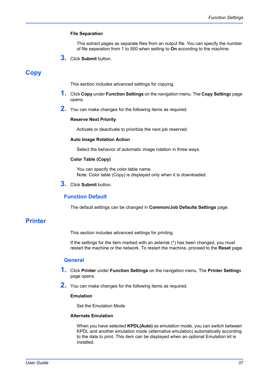#### **File Separation**

This extract pages as separate files from an output file. You can specify the number of file separation from 1 to 500 when setting to **On** according to the machine.

**3.** Click **Submit** button.

# **Copy**

This section includes advanced settings for copying.

- **1.** Click **Copy** under **Function Settings** on the navigation menu. The **Copy Setting**s page opens.
- **2.** You can make changes for the following items as required.

#### **Reserve Next Priority**

Activate or deactivate to prioritize the next job reserved.

#### **Auto Image Rotation Action**

Select the behavior of automatic image rotation in three ways.

#### **Color Table (Copy)**

You can specify the color table name. Note: Color table (Copy) is displayed only when it is downloaded.

**3.** Click **Submit** button.

## **Function Default**

The default settings can be changed in **Common/Job Defaults Settings** page.

# **Printer**

This section includes advanced settings for printing.

If the settings for the item marked with an asterisk (\*) has been changed, you must restart the machine or the network. To restart the machine, proceed to the **Reset** page.

## **General**

- **1.** Click **Printer** under **Function Settings** on the navigation menu. The **Printer Setting**<sup>s</sup> page opens.
- **2.** You can make changes for the following items as required.

## **Emulation**

Set the Emulation Mode.

#### **Alternate Emulation**

When you have selected **KPDL(Auto)** as emulation mode, you can switch between KPDL and another emulation mode (alternative emulation) automatically according to the data to print. This item can be displayed when an optional Emulation kit is installed.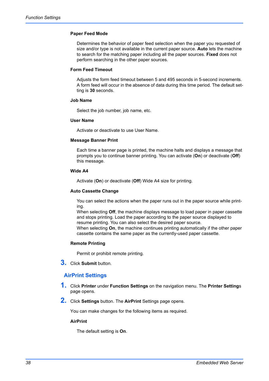#### **Paper Feed Mode**

Determines the behavior of paper feed selection when the paper you requested of size and/or type is not available in the current paper source. **Auto** lets the machine to search for the matching paper including all the paper sources. **Fixed** does not perform searching in the other paper sources.

#### **Form Feed Timeout**

Adjusts the form feed timeout between 5 and 495 seconds in 5-second increments. A form feed will occur in the absence of data during this time period. The default setting is **30** seconds.

#### **Job Name**

Select the job number, job name, etc.

#### **User Name**

Activate or deactivate to use User Name.

#### **Message Banner Print**

Each time a banner page is printed, the machine halts and displays a message that prompts you to continue banner printing. You can activate (**On**) or deactivate (**Off**) this message.

## **Wide A4**

Activate (**On**) or deactivate (**Off**) Wide A4 size for printing.

## **Auto Cassette Change**

You can select the actions when the paper runs out in the paper source while printing.

When selecting **Off**, the machine displays message to load paper in paper cassette and stops printing. Load the paper according to the paper source displayed to resume printing. You can also select the desired paper source.

When selecting **On**, the machine continues printing automatically if the other paper cassette contains the same paper as the currently-used paper cassette.

## **Remote Printing**

Permit or prohibit remote printing.

**3.** Click **Submit** button.

# **AirPrint Settings**

- **1.** Click **Printer** under **Function Settings** on the navigation menu. The **Printer Setting**<sup>s</sup> page opens.
- **2.** Click **Settings** button. The **AirPrint** Settings page opens.

You can make changes for the following items as required.

#### **AirPrint**

The default setting is **On**.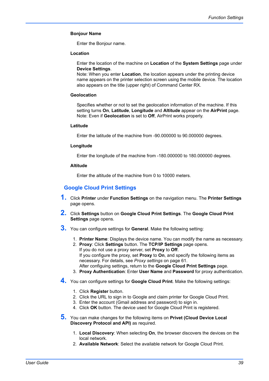## **Bonjour Name**

Enter the Bonjour name.

#### **Location**

Enter the location of the machine on **Location** of the **System Settings** page under **Device Settings**.

Note: When you enter **Location**, the location appears under the printing device name appears on the printer selection screen using the mobile device. The location also appears on the title (upper right) of Command Center RX.

#### **Geolocation**

Specifies whether or not to set the geolocation information of the machine. If this setting turns **On**, **Latitude**, **Longitude** and **Altitude** appear on the **AirPrint** page. Note: Even if **Geolocation** is set to **Off**, AirPrint works properly.

#### **Latitude**

Enter the latitude of the machine from -90.000000 to 90.000000 degrees.

#### **Longitude**

Enter the longitude of the machine from -180.000000 to 180.000000 degrees.

#### **Altitude**

Enter the altitude of the machine from 0 to 10000 meters.

# **Google Cloud Print Settings**

- **1.** Click **Printer** under **Function Settings** on the navigation menu. The **Printer Settings** page opens.
- **2.** Click **Settings** button on **Google Cloud Print Settings**. The **Google Cloud Print Settings** page opens.
- **3.** You can configure settings for **General**. Make the following setting:
	- 1. **Printer Name**: Displays the device name. You can modify the name as necessary.
	- 2. **Proxy**: Click **Settings** button. The **TCP/IP Settings** page opens. If you do not use a proxy server, set **Proxy** to **Off**. If you configure the proxy, set **Proxy** to **On**, and specify the following items as necessary. For details, see *[Proxy settings](#page-64-0)* on page 61. After configuing settings, return to the **Google Cloud Print Settings** page.
	- 3. **Proxy Authentication**: Enter **User Name** and **Password** for proxy authentication.
- **4.** You can configure settings for **Google Cloud Print**. Make the following settings:
	- 1. Click **Register** button.
	- 2. Click the URL to sign in to Google and claim printer for Google Cloud Print.
	- 3. Enter the account (Gmail address and password) to sign in.
	- 4. Click **OK** button. The device used for Google Cloud Print is registered.
- **5.** You can make changes for the following items on **Privet (Cloud Device Local Discovery Protocol and API)** as required.
	- 1. **Local Discovery**: When selecting **On**, the browser discovers the devices on the local network.
	- 2. **Available Network**: Select the available network for Google Cloud Print.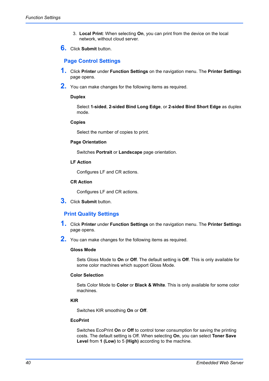- 3. **Local Print**: When selecting **On**, you can print from the device on the local network, without cloud server.
- **6.** Click **Submit** button.

## **Page Control Settings**

- **1.** Click **Printer** under **Function Settings** on the navigation menu. The **Printer Setting**<sup>s</sup> page opens.
- **2.** You can make changes for the following items as required.

## **Duplex**

Select **1-sided**, **2-sided Bind Long Edge**, or **2-sided Bind Short Edge** as duplex mode.

#### **Copies**

Select the number of copies to print.

#### **Page Orientation**

Switches **Portrait** or **Landscape** page orientation.

**LF Action**

Configures LF and CR actions.

## **CR Action**

Configures LF and CR actions.

**3.** Click **Submit** button.

# **Print Quality Settings**

- **1.** Click **Printer** under **Function Settings** on the navigation menu. The **Printer Setting**<sup>s</sup> page opens.
- **2.** You can make changes for the following items as required.

#### **Gloss Mode**

Sets Gloss Mode to **On** or **Off**. The default setting is **Off**. This is only available for some color machines which support Gloss Mode.

## **Color Selection**

Sets Color Mode to **Color** or **Black & White**. This is only available for some color machines.

## **KIR**

Switches KIR smoothing **On** or **Off**.

## **EcoPrint**

Switches EcoPrint **On** or **Off** to control toner consumption for saving the printing costs. The default setting is Off. When selecting **On**, you can select **Toner Save Level** from **1 (Low)** to 5 **(High)** according to the machine.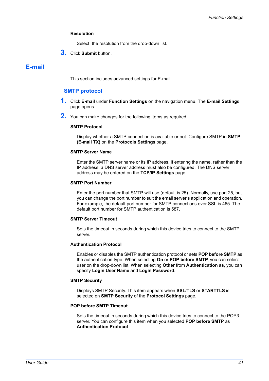## **Resolution**

Select the resolution from the drop-down list.

**3.** Click **Submit** button.

# **E-mail**

This section includes advanced settings for E-mail.

## **SMTP protocol**

- **1.** Click **E-mail** under **Function Settings** on the navigation menu. The **E-mail Setting**<sup>s</sup> page opens.
- **2.** You can make changes for the following items as required.

#### **SMTP Protocol**

Display whether a SMTP connection is available or not. Configure SMTP in **SMTP (E-mail TX)** on the **Protocols Settings** page.

#### **SMTP Server Name**

Enter the SMTP server name or its IP address. If entering the name, rather than the IP address, a DNS server address must also be configured. The DNS server address may be entered on the **TCP/IP Settings** page.

#### **SMTP Port Number**

Enter the port number that SMTP will use (default is 25). Normally, use port 25, but you can change the port number to suit the email server's application and operation. For example, the default port number for SMTP connections over SSL is 465. The default port number for SMTP authentication is 587.

#### **SMTP Server Timeout**

Sets the timeout in seconds during which this device tries to connect to the SMTP server.

#### **Authentication Protocol**

Enables or disables the SMTP authentication protocol or sets **POP before SMTP** as the authentication type. When selecting **On** or **POP before SMTP**, you can select user on the drop-down list. When selecting **Other** from **Authentication as**, you can specify **Login User Name** and **Login Password**.

#### **SMTP Security**

Displays SMTP Security. This item appears when **SSL/TLS** or **STARTTLS** is selected on **SMTP Security** of the **Protocol Settings** page.

## **POP before SMTP Timeout**

Sets the timeout in seconds during which this device tries to connect to the POP3 server. You can configure this item when you selected **POP before SMTP** as **Authentication Protocol**.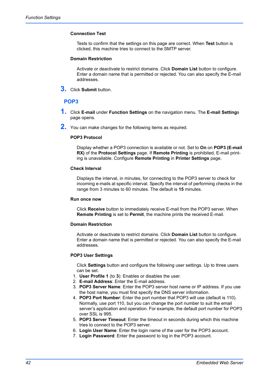## **Connection Test**

Tests to confirm that the settings on this page are correct. When **Test** button is clicked, this machine tries to connect to the SMTP server.

#### **Domain Restriction**

Activate or deactivate to restrict domains. Click **Domain List** button to configure. Enter a domain name that is permitted or rejected. You can also specify the E-mail addresses.

**3.** Click **Submit** button.

# **POP3**

- **1.** Click **E-mail** under **Function Settings** on the navigation menu. The **E-mail Setting**<sup>s</sup> page opens.
- **2.** You can make changes for the following items as required.

#### **POP3 Protocol**

Display whether a POP3 connection is available or not. Set to **On** on **POP3 (E-mail RX)** of the **Protocol Settings** page. If **Remote Printing** is prohibited, E-mail printing is unavailable. Configure **Remote Printing** in **Printer Settings** page.

#### **Check Interval**

Displays the interval, in minutes, for connecting to the POP3 server to check for incoming e-mails at specific interval. Specify the interval of performing checks in the range from 3 minutes to 60 minutes. The default is **15** minutes.

#### **Run once now**

Click **Receive** button to immediately receive E-mail from the POP3 server. When **Remote Printing** is set to **Permit**, the machine prints the received E-mail.

#### **Domain Restriction**

Activate or deactivate to restrict domains. Click **Domain List** button to configure. Enter a domain name that is permitted or rejected. You can also specify the E-mail addresses.

#### **POP3 User Settings**

Click **Settings** button and configure the following user settings. Up to three users can be set.

- 1. **User Profile 1** (to **3**): Enables or disables the user.
- 2. **E-mail Address**: Enter the E-mail address.
- 3. **POP3 Server Name**: Enter the POP3 server host name or IP address. If you use the host name, you must first specify the DNS server information.
- 4. **POP3 Port Number**: Enter the port number that POP3 will use (default is 110). Normally, use port 110, but you can change the port number to suit the email server's application and operation. For example, the default port number for POP3 over SSL is 995.
- 5. **POP3 Server Timeout**: Enter the timeout in seconds during which this machine tries to connect to the POP3 server.
- 6. **Login User Name**: Enter the login name of the user for the POP3 account.
- 7. **Login Password**: Enter the password to log in the POP3 account.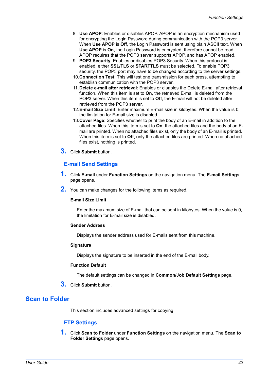- 8. **Use APOP**: Enables or disables APOP. APOP is an encryption mechanism used for encrypting the Login Password during communication with the POP3 server. When **Use APOP** is **Off**, the Login Password is sent using plain ASCII text. When **Use APOP** is **On**, the Login Password is encrypted, therefore cannot be read. APOP requires that the POP3 server supports APOP, and has APOP enabled.
- 9. **POP3 Security**: Enables or disables POP3 Security. When this protocol is enabled, either **SSL/TLS** or **STARTTLS** must be selected. To enable POP3 security, the POP3 port may have to be changed according to the server settings.
- 10.**Connection Test**: This will test one transmission for each press, attempting to establish communication with the POP3 server.
- 11.**Delete e-mail after retrieval**: Enables or disables the Delete E-mail after retrieval function. When this item is set to **On**, the retrieved E-mail is deleted from the POP3 server. When this item is set to **Off**, the E-mail will not be deleted after retrieved from the POP3 server.
- 12.**E-mail Size Limit**: Enter maximum E-mail size in kilobytes. When the value is 0, the limitation for E-mail size is disabled.
- 13.**Cover Page**: Specifies whether to print the body of an E-mail in addition to the attached files. When this item is set to **On**, the attached files and the body of an Email are printed. When no attached files exist, only the body of an E-mail is printed. When this item is set to **Off**, only the attached files are printed. When no attached files exist, nothing is printed.
- **3.** Click **Submit** button.

# **E-mail Send Settings**

- **1.** Click **E-mail** under **Function Settings** on the navigation menu. The **E-mail Setting**<sup>s</sup> page opens.
- **2.** You can make changes for the following items as required.

#### **E-mail Size Limit**

Enter the maximum size of E-mail that can be sent in kilobytes. When the value is 0, the limitation for E-mail size is disabled.

## **Sender Address**

Displays the sender address used for E-mails sent from this machine.

#### **Signature**

Displays the signature to be inserted in the end of the E-mail body.

## **Function Default**

The default settings can be changed in **Common/Job Default Settings** page.

**3.** Click **Submit** button.

# **Scan to Folder**

This section includes advanced settings for copying.

## **FTP Settings**

**1.** Click **Scan to Folder** under **Function Settings** on the navigation menu. The **Scan to Folder Setting**s page opens.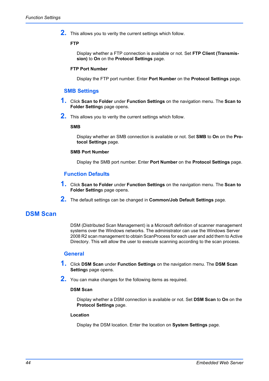**2.** This allows you to verity the current settings which follow.

## **FTP**

Display whether a FTP connection is available or not. Set **FTP Client (Transmission)** to **On** on the **Protocol Settings** page.

## **FTP Port Number**

Display the FTP port number. Enter **Port Number** on the **Protocol Settings** page.

## **SMB Settings**

- **1.** Click **Scan to Folder** under **Function Settings** on the navigation menu. The **Scan to Folder Setting**s page opens.
- **2.** This allows you to verity the current settings which follow.

## **SMB**

Display whether an SMB connection is available or not. Set **SMB** to **On** on the **Protocol Settings** page.

#### **SMB Port Number**

Display the SMB port number. Enter **Port Number** on the **Protocol Settings** page.

## **Function Defaults**

- **1.** Click **Scan to Folder** under **Function Settings** on the navigation menu. The **Scan to Folder Setting**s page opens.
- **2.** The default settings can be changed in **Common/Job Default Settings** page.

# **DSM Scan**

DSM (Distributed Scan Management) is a Microsoft definition of scanner management systems over the Windows networks. The administrator can use the Windows Server 2008 R2 scan management to obtain ScanProcess for each user and add them to Active Directory. This will allow the user to execute scanning according to the scan process.

## **General**

- **1.** Click **DSM Scan** under **Function Settings** on the navigation menu. The **DSM Scan Setting**s page opens.
- **2.** You can make changes for the following items as required.

#### **DSM Scan**

Display whether a DSM connection is available or not. Set **DSM Scan** to **On** on the **Protocol Settings** page.

#### **Location**

Display the DSM location. Enter the location on **System Settings** page.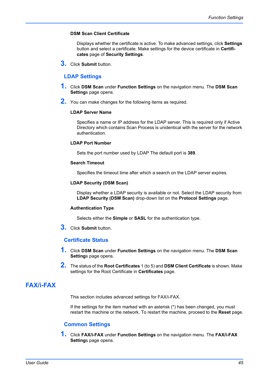## **DSM Scan Client Certificate**

Displays whether the certificate is active. To make advanced settings, click **Settings** button and select a certificate. Make settings for the device certificate in **Certificates** page of **Security Settings**.

**3.** Click **Submit** button.

# **LDAP Settings**

- **1.** Click **DSM Scan** under **Function Settings** on the navigation menu. The **DSM Scan Setting**s page opens.
- **2.** You can make changes for the following items as required.

## **LDAP Server Name**

Specifies a name or IP address for the LDAP server. This is required only if Active Directory which contains Scan Process is unidentical with the server for the network authentication.

#### **LDAP Port Number**

Sets the port number used by LDAP The default port is **389**.

#### **Search Timeout**

Specifies the timeout time after which a search on the LDAP server expires.

#### **LDAP Security (DSM Scan)**

Display whether a LDAP security is available or not. Select the LDAP security from **LDAP Security (DSM Scan)** drop-down list on the **Protocol Settings** page.

#### **Authentication Type**

Selects either the **Simple** or **SASL** for the authentication type.

**3.** Click **Submit** button.

## **Certificate Status**

- **1.** Click **DSM Scan** under **Function Settings** on the navigation menu. The **DSM Scan Setting**s page opens.
- **2.** The status of the **Root Certificates** 1 (to 5) and **DSM Client Certificate** is shown. Make settings for the Root Certificate in **Certificates** page.

# **FAX/i-FAX**

This section includes advanced settings for FAX/i-FAX.

If the settings for the item marked with an asterisk (\*) has been changed, you must restart the machine or the network. To restart the machine, proceed to the **Reset** page.

## **Common Settings**

**1.** Click **FAX/i-FAX** under **Function Settings** on the navigation menu. The **FAX/i-FAX Setting**s page opens.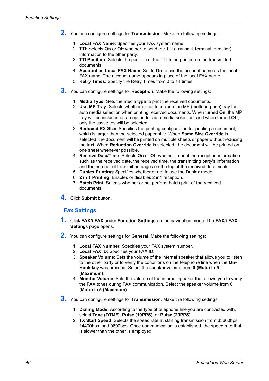- **2.** You can configure settings for **Transmission**. Make the following settings:
	- 1. **Local FAX Name**: Specifies your FAX system name.
	- 2. **TTI**: Selects **On** or **Off** whether to send the TTI (Transmit Terminal Identifier) information to the other party.
	- 3. **TTI Position**: Selects the position of the TTI to be printed on the transmitted documents.
	- 4. **Account as Local FAX Name**: Set to **On** to use the account name as the local FAX name. The account name appears in place of the local FAX name.
	- 5. **Retry Times**: Specify the Retry Times from 0 to 14 times.
- **3.** You can configure settings for **Reception**. Make the following settings:
	- 1. **Media Type**: Sets the media type to print the received documents.
	- 2. **Use MP Tray**: Selects whether or not to include the MP (multi-purpose) tray for auto media selection when printing received documents. When turned **On**, the MP tray will be included as an option for auto media selection, and when turned **Off**, only the cassettes will be selected.
	- 3. **Reduced RX Size**: Specifies the printing configuration for printing a document, which is larger than the selected paper size. When **Same Size Override** is selected, the document will be printed on multiple sheets of paper without reducing the text. When **Reduction Override** is selected, the document will be printed on one sheet whenever possible.
	- 4. **Receive Data/Time**: Selects **On** or **Off** whether to print the reception information such as the received date, the received time, the transmitting party's information and the number of transmitted pages on the top of the received documents.
	- 5. **Duplex Printing**: Specifies whether or not to use the Duplex mode.
	- 6. **2 in 1 Printing**: Enables or disables 2 in1 reception.
	- 7. **Batch Print**: Selects whether or not perform batch print of the received documents.
- **4.** Click **Submit** button.

# **Fax Settings**

- **1.** Click **FAX/i-FAX** under **Function Settings** on the navigation menu. The **FAX/i-FAX Setting**s page opens.
- **2.** You can configure settings for **General**. Make the following settings:
	- 1. **Local FAX Number**: Specifies your FAX system number.
	- 2. **Local FAX ID**: Specifies your FAX ID.
	- 3. **Speaker Volume**: Sets the volume of the internal speaker that allows you to listen to the other party or to verify the conditions on the telephone line when the **On-Hook** key was pressed. Select the speaker volume from **0 (Mute)** to **5 (Maximum)**.
	- 4. **Monitor Volume**: Sets the volume of the internal speaker that allows you to verify the FAX tones during FAX communication. Select the speaker volume from **0 (Mute)** to **5 (Maximum)**.
- **3.** You can configure settings for **Transmission**. Make the following settings:
	- 1. **Dialing Mode**: According to the type of telephone line you are contracted with, select **Tone (DTMF)**, **Pulse (10PPS)**, or **Pulse (20PPS)**.
	- 2. **TX Start Speed**: Selects the speed rate at starting transmission from 33600bps, 14400bps, and 9600bps. Once communication is established, the speed rate that is slower than the other is employed.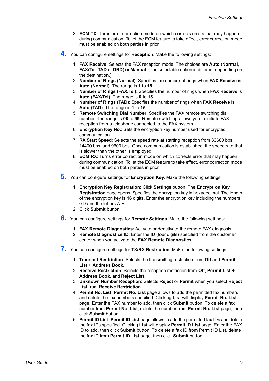- 3. **ECM TX**: Turns error correction mode on which corrects errors that may happen during communication. To let the ECM feature to take effect, error correction mode must be enabled on both parties in prior.
- **4.** You can configure settings for **Reception**. Make the following settings:
	- 1. **FAX Receive**: Selects the FAX reception mode. The choices are **Auto** (**Normal**, **FAX/Tel**, **TAD** or **DRD**) or **Manual**. (The selectable option is different depending on the destination.)
	- 2. **Number of Rings (Normal)**: Specifies the number of rings when **FAX Receive** is **Auto (Normal)**. The range is **1** to **15**.
	- 3. **Number of Rings (FAX/Tel)**: Specifies the number of rings when **FAX Receive** is **Auto (FAX/Tel)**. The range is **0** to **15**.
	- 4. **Number of Rings (TAD)**: Specifies the number of rings when **FAX Receive** is **Auto (TAD)**. The range is **1** to **15**.
	- 5. **Remote Switching Dial Number**: Specifies the FAX remote switching dial number. The range is **00** to **99**. Remote switching allows you to initiate FAX reception from a telephone connected to the FAX system.
	- 6. **Encryption Key No.**: Sets the encryption key number used for encrypted communication.
	- 7. **RX Start Speed**: Selects the speed rate at starting reception from 33600 bps, 14400 bps, and 9600 bps. Once communication is established, the speed rate that is slower than the other is employed.
	- 8. **ECM RX**: Turns error correction mode on which corrects error that may happen during communication. To let the ECM feature to take effect, error correction mode must be enabled on both parties in prior.
- **5.** You can configure settings for **Encryption Key**. Make the following settings:
	- 1. **Encryption Key Registration**: Click **Settings** button. The **Encryption Key Registration** page opens. Specifies the encryption key in hexadecimal. The length of the encryption key is 16 digits. Enter the encryption key including the numbers 0-9 and the letters A-F.
	- 2. Click **Submit** button.
- **6.** You can configure settings for **Remote Settings**. Make the following settings:
	- 1. **FAX Remote Diagnostics**: Activate or deactivate the remote FAX diagnosis.
	- 2. **Remote Diagnostics ID**: Enter the ID (four digits) specified from the customer center when you activate the **FAX Remote Diagnostics**.
- **7.** You can configure settings for **TX/RX Restriction**. Make the following settings:
	- 1. **Transmit Restriction**: Selects the transmitting restriction from **Off** and **Permit List + Address Book**.
	- 2. **Receive Restriction**: Selects the reception restriction from **Off**, **Permit List + Address Book**, and **Reject List**.
	- 3. **Unknown Number Reception**: Selects **Reject** or **Permit** when you select **Reject List** from **Receive Restriction**.
	- 4. **Permit No. List**: **Permit No. List** page allows to add the permitted fax numbers and delete the fax numbers specified. Clicking **List** will display **Permit No. List** page. Enter the FAX number to add, then click **Submit** button. To delete a fax number from **Permit No. List**, delete the number from **Permit No. List** page, then click **Submit** button.
	- 5. **Permit ID List**: **Permit ID List** page allows to add the permitted fax IDs and delete the fax IDs specified. Clicking **List** will display **Permit ID List** page. Enter the FAX ID to add, then click **Submit** button. To delete a fax ID from Permit ID List, delete the fax ID from **Permit ID List** page, then click **Submit** button.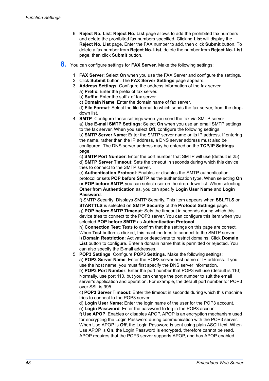- 6. **Reject No. List**: **Reject No. List** page allows to add the prohibited fax numbers and delete the prohibited fax numbers specified. Clicking **List** will display the **Reject No. List** page. Enter the FAX number to add, then click **Submit** button. To delete a fax number from **Reject No. List**, delete the number from **Reject No. List** page, then click **Submit** button.
- **8.** You can configure settings for **FAX Server**. Make the following settings:
	- 1. **FAX Server**: Select **On** when you use the FAX Server and configure the settings.
	- 2. Click **Submit** button. The **FAX Server Settings** page appears.
	- 3. **Address Settings**: Configure the address information of the fax server. a) **Prefix**: Enter the prefix of fax server.
		- b) **Suffix**: Enter the suffix of fax server.
		- c) **Domain Name**: Enter the domain name of fax server.

d) **File Format**: Select the file format to which sends the fax server, from the dropdown list.

4. **SMTP**: Configure these settings when you send the fax via SMTP server. a) **Use E-mail SMTP Settings**: Select **On** when you use an email SMTP settings to the fax server. When you select **Off**, configure the following settings. b) **SMTP Server Name**: Enter the SMTP server name or its IP address. If entering the name, rather than the IP address, a DNS server address must also be configured. The DNS server address may be entered on the **TCP/IP Settings** page.

c) **SMTP Port Number**: Enter the port number that SMTP will use (default is 25) d) **SMTP Server Timeout**: Sets the timeout in seconds during which this device tries to connect to the SMTP server.

e) **Authentication Protocol**: Enables or disables the SMTP authentication protocol or sets **POP before SMTP** as the authentication type. When selecting **On** or **POP before SMTP**, you can select user on the drop-down list. When selecting **Other** from **Authentication** as, you can specify **Login User Name** and **Login Password**.

f) SMTP Security: Displays SMTP Security. This item appears when **SSL/TLS** or **STARTTLS** is selected on **SMTP Security** of the **Protocol Settings** page. g) **POP before SMTP Timeout**: Sets the timeout in seconds during which this device tries to connect to the POP3 server. You can configure this item when you selected **POP before SMTP** as **Authentication Protocol**.

h) **Connection Test**: Tests to confirm that the settings on this page are correct. When **Test** button is clicked, this machine tries to connect to the SMTP server. i) **Domain Restriction**: Activate or deactivate to restrict domains. Click **Domain List** button to configure. Enter a domain name that is permitted or rejected. You can also specify the E-mail addresses.

5. **POP3 Settings**: Configure **POP3 Settings**. Make the following settings: a) **POP3 Server Name**: Enter the POP3 server host name or IP address. If you use the host name, you must first specify the DNS server information. b) **POP3 Port Number**: Enter the port number that POP3 will use (default is 110). Normally, use port 110, but you can change the port number to suit the email server's application and operation. For example, the default port number for POP3 over SSL is 995.

c) **POP3 Server Timeout**: Enter the timeout in seconds during which this machine tries to connect to the POP3 server.

d) **Login User Name**: Enter the login name of the user for the POP3 account. e) **Login Password**: Enter the password to log in the POP3 account.

f) **Use APOP**: Enables or disables APOP. APOP is an encryption mechanism used for encrypting the Login Password during communication with the POP3 server. When Use APOP is **Off**, the Login Password is sent using plain ASCII text. When Use APOP is **On**, the Login Password is encrypted, therefore cannot be read. APOP requires that the POP3 server supports APOP, and has APOP enabled.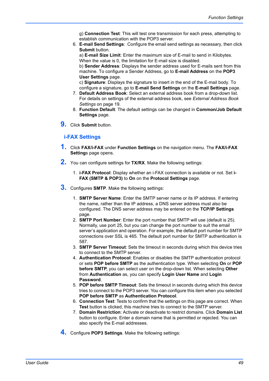- g) **Connection Test**: This will test one transmission for each press, attempting to establish communication with the POP3 server.
- 6. **E-mail Send Settings**: Configure the email send settings as necessary, then click **Submit** button.

a) **E-mail Size Limit**: Enter the maximum size of E-mail to send in Kilobytes. When the value is 0, the limitation for E-mail size is disabled.

b) **Sender Address**: Displays the sender address used for E-mails sent from this machine. To configure a Sender Address, go to **E-mail Address** on the **POP3 User Settings** page.

c) **Signature**: Displays the signature to insert in the end of the E-mail body. To configure a signature, go to **E-mail Send Settings** on the **E-mail Settings** page.

- 7. **Default Address Book**: Select an external address book from a drop-down list. For details on settings of the external address book, see *[External Address Book](#page-22-0)  Settings* [on page 19](#page-22-0).
- 8. **Function Default**: The default settings can be changed in **Common/Job Default Settings** page.
- **9.** Click **Submit** button.

# **i-FAX Settings**

- **1.** Click **FAX/i-FAX** under **Function Settings** on the navigation menu. The **FAX/i-FAX Setting**s page opens.
- **2.** You can configure settings for **TX/RX**. Make the following settings:
	- 1. **i-FAX Protocol**: Display whether an i-FAX connection is available or not. Set **i-FAX (SMTP & POP3)** to **On** on the **Protocol Settings** page.
- **3.** Configures **SMTP**. Make the following settings:
	- 1. **SMTP Server Name**: Enter the SMTP server name or its IP address. If entering the name, rather than the IP address, a DNS server address must also be configured. The DNS server address may be entered on the **TCP/IP Settings** page.
	- 2. **SMTP Port Number**: Enter the port number that SMTP will use (default is 25). Normally, use port 25, but you can change the port number to suit the email server's application and operation. For example, the default port number for SMTP connections over SSL is 465. The default port number for SMTP authentication is 587.
	- 3. **SMTP Server Timeout**: Sets the timeout in seconds during which this device tries to connect to the SMTP server.
	- 4. **Authentication Protocol**: Enables or disables the SMTP authentication protocol or sets **POP before SMTP** as the authentication type. When selecting **On** or **POP before SMTP**, you can select user on the drop-down list. When selecting **Other** from **Authentication** as, you can specify **Login User Name** and **Login Password**.
	- 5. **POP before SMTP Timeout**: Sets the timeout in seconds during which this device tries to connect to the POP3 server. You can configure this item when you selected **POP before SMTP** as **Authentication Protocol**.
	- 6. **Connection Test**: Tests to confirm that the settings on this page are correct. When **Test** button is clicked, this machine tries to connect to the SMTP server.
	- 7. **Domain Restriction**: Activate or deactivate to restrict domains. Click **Domain List** button to configure. Enter a domain name that is permitted or rejected. You can also specify the E-mail addresses.
- **4.** Configure **POP3 Settings**. Make the following settings: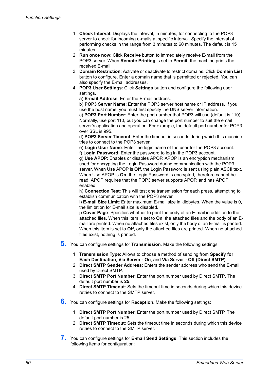- 1. **Check Interval**: Displays the interval, in minutes, for connecting to the POP3 server to check for incoming e-mails at specific interval. Specify the interval of performing checks in the range from 3 minutes to 60 minutes. The default is **15** minutes.
- 2. **Run once now**: Click **Receive** button to immediately receive E-mail from the POP3 server. When **Remote Printing** is set to **Permit**, the machine prints the received E-mail.
- 3. **Domain Restriction**: Activate or deactivate to restrict domains. Click **Domain List** button to configure. Enter a domain name that is permitted or rejected. You can also specify the E-mail addresses.
- 4. **POP3 User Settings**: Click **Settings** button and configure the following user settings.
	- a) **E-mail Address**: Enter the E-mail address.

b) **POP3 Server Name**: Enter the POP3 server host name or IP address. If you use the host name, you must first specify the DNS server information.

c) **POP3 Port Number**: Enter the port number that POP3 will use (default is 110). Normally, use port 110, but you can change the port number to suit the email server's application and operation. For example, the default port number for POP3 over SSL is 995.

d) **POP3 Server Timeout**: Enter the timeout in seconds during which this machine tries to connect to the POP3 server.

e) **Login User Name**: Enter the login name of the user for the POP3 account.

f) **Login Password**: Enter the password to log in the POP3 account.

g) **Use APOP**: Enables or disables APOP. APOP is an encryption mechanism used for encrypting the Login Password during communication with the POP3 server. When Use APOP is **Off**, the Login Password is sent using plain ASCII text. When Use APOP is **On**, the Login Password is encrypted, therefore cannot be read. APOP requires that the POP3 server supports APOP, and has APOP enabled.

h) **Connection Test**: This will test one transmission for each press, attempting to establish communication with the POP3 server.

i) **E-mail Size Limit**: Enter maximum E-mail size in kilobytes. When the value is 0, the limitation for E-mail size is disabled.

j) **Cover Page**: Specifies whether to print the body of an E-mail in addition to the attached files. When this item is set to **On**, the attached files and the body of an Email are printed. When no attached files exist, only the body of an E-mail is printed. When this item is set to **Off**, only the attached files are printed. When no attached files exist, nothing is printed.

- **5.** You can configure settings for **Transmission**. Make the following settings:
	- 1. **Transmission Type**: Allows to choose a method of sending from **Specify for Each Destination**, **Via Server - On**, and **Via Server - Off (Direct SMTP)**.
	- 2. **Direct SMTP Sender Address**: Enters the sender address who send the E-mail used by Direct SMTP.
	- 3. **Direct SMTP Port Number**: Enter the port number used by Direct SMTP. The default port number is **25**.
	- 4. **Direct SMTP Timeout**: Sets the timeout time in seconds during which this device retries to connect to the SMTP server.
- **6.** You can configure settings for **Reception**. Make the following settings:
	- 1. **Direct SMTP Port Number**: Enter the port number used by Direct SMTP. The default port number is 25.
	- 2. **Direct SMTP Timeout**: Sets the timeout time in seconds during which this device retries to connect to the SMTP server.
- **7.** You can configure settings for **E-mail Send Settings**. This section includes the following items for configuration: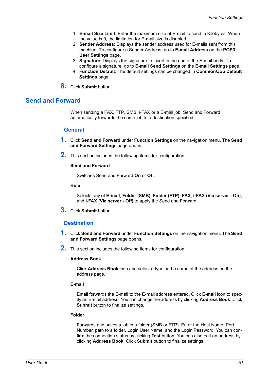- 1. **E-mail Size Limit**: Enter the maximum size of E-mail to send in Kilobytes. When the value is 0, the limitation for E-mail size is disabled.
- 2. **Sender Address**: Displays the sender address used for E-mails sent from this machine. To configure a Sender Address, go to **E-mail Address** on the **POP3 User Settings** page.
- 3. **Signature**: Displays the signature to insert in the end of the E-mail body. To configure a signature, go to **E-mail Send Settings** on the **E-mail Settings** page.
- 4. **Function Default**: The default settings can be changed in **Common/Job Default Settings** page.
- **8.** Click **Submit** button.

# **Send and Forward**

When sending a FAX, FTP, SMB, i-FAX or a E-mail job, Send and Forward automatically forwards the same job to a destination specified.

#### **General**

- **1.** Click **Send and Forward** under **Function Settings** on the navigation menu. The **Send and Forward Setting**s page opens.
- **2.** This section includes the following items for configuration.

## **Send and Forward**

Switches Send and Forward **On** or **Off**.

#### **Rule**

Selects any of **E-mail**, **Folder (SMB)**, **Folder (FTP)**, **FAX**, **i-FAX (Via server - On)**, and **i-FAX (Via server - Off)** to apply the Send and Forward.

**3.** Click **Submit** button.

## **Destination**

- **1.** Click **Send and Forward** under **Function Settings** on the navigation menu. The **Send and Forward Setting**s page opens.
- **2.** This section includes the following items for configuration.

#### **Address Book**

Click **Address Book** icon and select a type and a name of the address on the address page.

## **E-mail**

Email forwards the E-mail to the E-mail address entered. Click **E-mail** icon to specify an E-mail address. You can change the address by clicking **Address Book**. Click **Submit** button to finalize settings.

#### **Folder**

Forwards and saves a job in a folder (SMB or FTP). Enter the Host Name, Port Number, path to a folder, Login User Name, and the Login Password. You can confirm the connection status by clicking **Test** button. You can also edit an address by clicking **Address Book**. Click **Submit** button to finalize settings.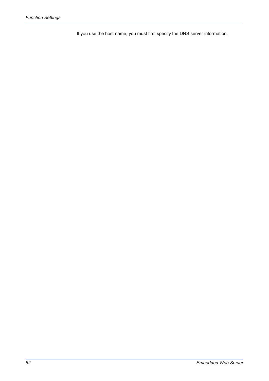If you use the host name, you must first specify the DNS server information.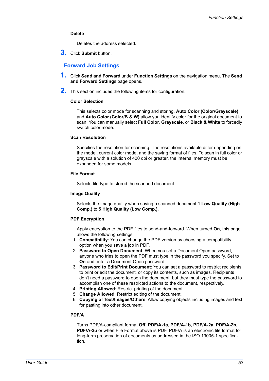## **Delete**

Deletes the address selected.

**3.** Click **Submit** button.

## **Forward Job Settings**

- **1.** Click **Send and Forward** under **Function Settings** on the navigation menu. The **Send and Forward Setting**s page opens.
- **2.** This section includes the following items for configuration.

#### **Color Selection**

This selects color mode for scanning and storing. **Auto Color (Color/Grayscale)** and **Auto Color (Color/B & W)** allow you identify color for the original document to scan. You can manually select **Full Color**, **Grayscale**, or **Black & White** to forcedly switch color mode.

#### **Scan Resolution**

Specifies the resolution for scanning. The resolutions available differ depending on the model, current color mode, and the saving format of files. To scan in full color or grayscale with a solution of 400 dpi or greater, the internal memory must be expanded for some models.

#### **File Format**

Selects file type to stored the scanned document.

#### **Image Quality**

Selects the image quality when saving a scanned document **1 Low Quality (High Comp.)** to **5 High Quality (Low Comp.)**.

#### **PDF Encryption**

Apply encryption to the PDF files to send-and-forward. When turned **On**, this page allows the following settings:

- 1. **Compatibility**: You can change the PDF version by choosing a compatibility option when you save a job in PDF.
- 2. **Password to Open Document**: When you set a Document Open password, anyone who tries to open the PDF must type in the password you specify. Set to **On** and enter a Document Open password.
- 3. **Password to Edit/Print Document**: You can set a password to restrict recipients to print or edit the document, or copy its contents, such as images. Recipients don't need a password to open the document, but they must type the password to accomplish one of these restricted actions to the document, respectively.
- 4. **Printing Allowed**: Restrict printing of the document.
- 5. **Change Allowed**: Restrict editing of the document. 6. **Copying of Text/Images/Others**: Allow copying objects including images and text for pasting into other document.

#### **PDF/A**

Turns PDF/A-compliant format **Off**, **PDF/A-1a**, **PDF/A-1b**, **PDF/A-2a**, **PDF/A-2b, PDF/A-2u** or when File Format above is PDF. PDF/A is an electronic file format for long-term preservation of documents as addressed in the ISO 19005-1 specification.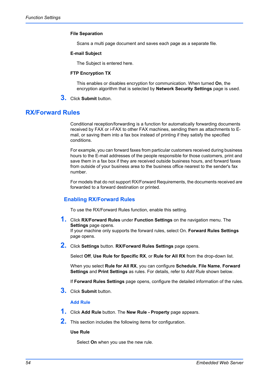#### **File Separation**

Scans a multi page document and saves each page as a separate file.

#### **E-mail Subject**

The Subject is entered here.

#### **FTP Encryption TX**

This enables or disables encryption for communication. When turned **On**, the encryption algorithm that is selected by **Network Security Settings** page is used.

**3.** Click **Submit** button.

# **RX/Forward Rules**

Conditional reception/forwarding is a function for automatically forwarding documents received by FAX or i-FAX to other FAX machines, sending them as attachments to Email, or saving them into a fax box instead of printing if they satisfy the specified conditions.

For example, you can forward faxes from particular customers received during business hours to the E-mail addresses of the people responsible for those customers, print and save them in a fax box if they are received outside business hours, and forward faxes from outside of your business area to the business office nearest to the sender's fax number.

For models that do not support RX/Forward Requirements, the documents received are forwarded to a forward destination or printed.

## **Enabling RX/Forward Rules**

To use the RX/Forward Rules function, enable this setting.

**1.** Click **RX/Forward Rules** under **Function Settings** on the navigation menu. The **Settings** page opens. If your machine only supports the forward rules, select On. **Forward Rules Settings**

page opens.

**2.** Click **Settings** button. **RX/Forward Rules Settings** page opens.

Select **Off**, **Use Rule for Specific RX**, or **Rule for All RX** from the drop-down list.

When you select **Rule for All RX**, you can configure **Schedule**, **File Name**, **Forward Settings** and **Print Settings** as rules. For details, refer to *Add Rule* shown below.

If **Forward Rules Settings** page opens, configure the detailed information of the rules.

**3.** Click **Submit** button.

#### **Add Rule**

- **1.** Click **Add Rule** button. The **New Rule Property** page appears.
- **2.** This section includes the following items for configuration.

#### **Use Rule**

Select **On** when you use the new rule.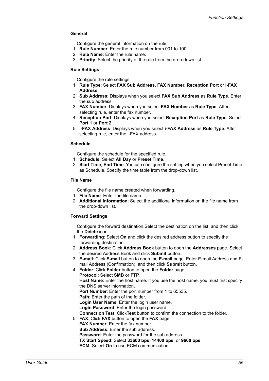#### **General**

Configure the general information on the rule.

- 1. **Rule Number**: Enter the rule number from 001 to 100.
- 2. **Rule Name**: Enter the rule name.
- 3. **Priority**: Select the priority of the rule from the drop-down list.

#### **Rule Settings**

Configure the rule settings.

- 1. **Rule Type**: Select **FAX Sub Address**, **FAX Number**, **Reception Port** or **i-FAX Address**.
- 2. **Sub Address**: Displays when you select **FAX Sub Address** as **Rule Type**. Enter the sub address.
- 3. **FAX Number**: Displays when you select **FAX Number** as **Rule Type**. After selecting rule, enter the fax number.
- 4. **Reception Port**: Displays when you select **Reception Port** as **Rule Type**. Select **Port 1** or **Port 2**.
- 5. **i-FAX Address**: Displays when you select **i-FAX Address** as **Rule Type**. After selecting rule, enter the i-FAX address.

#### **Schedule**

Configure the schedule for the specified rule.

- 1. **Schedule**: Select **All Day** or **Preset Time**.
- 2. **Start Time**, **End Time**: You can configure the setting when you select Preset Time as Schedule. Specify the time table from the drop-down list.

#### **File Name**

Configure the file name created when forwarding.

- 1. **File Name**: Enter the file name.
- 2. **Additional Information**: Select the additional information on the file name from the drop-down list.

## **Forward Settings**

Configure the forward destination.Select the destination on the list, and then click the **Delete** icon.

- 1. **Forwarding**: Select **On** and click the desired address button to specify the forwarding destination.
- 2. **Address Book**: Click **Address Book** button to open the **Addresses** page. Select the desired Address Book and click **Submit** button.
- 3. **E-mail**: Click **E-mail** button to open the **E-mail** page. Enter E-mail Address and Email Address (Confirmation), and then click **Submit** button.
- 4. **Folder**: Click **Folder** button to open the **Folder** page. **Protocol**: Select **SMB** or **FTP**. **Host Name**: Enter the host name. If you use the host name, you must first specify the DNS server information. **Port Number**: Enter the port number from 1 to 65535. **Path**: Enter the path of the folder. **Login User Name**: Enter the login user name. **Login Password**: Enter the login password. **Connection Test**: Click**Test** button to confirm the connection to the folder. 5. **FAX**: Click **FAX** button to open the **FAX** page. **FAX Number**: Enter the fax number. **Sub Address**: Enter the sub address. **Password**: Enter the password for the sub address.
	- **TX Start Speed**: Select **33600 bps**, **14400 bps**, or **9600 bps**.

**ECM**: Select **On** to use ECM communication.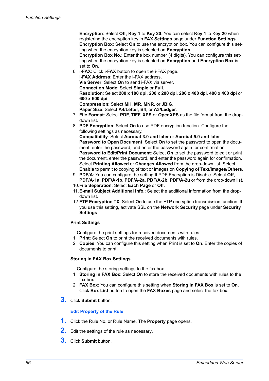**Encryption**: Select **Off**, **Key 1** to **Key 20**. You can select **Key 1** to K**ey 20** when registering the encryption key in **FAX Settings** page under **Function Settings**. **Encryption Box**: Select **On** to use the encryption box. You can configure this setting when the encryption key is selected on **Encryption**.

**Encryption Box No.:** Enter the box number (4 digits). You can configure this setting when the encryption key is selected on **Encryption** and **Encryption Box** is set to **On**.

- 6. **i-FAX**: Click **i-FAX** button to open the i-FAX page. **i-FAX Address**: Enter the i-FAX address. **Via Server**: Select **On** to send i-FAX via server. **Connection Mode**: Select **Simple** or **Full**. **Resolution**: Select **200 x 100 dpi**, **200 x 200 dpi**, **200 x 400 dpi**, **400 x 400 dpi** or **600 x 600 dpi**. **Compression**: Select **MH**, **MR**, **MNR**, or **JBIG**. **Paper Size**: Select **A4/Letter**, **B4**, or **A3/Ledger**.
- 7. **File Format**: Select **PDF**, **TIFF**, **XPS** or **OpenXPS** as the file format from the dropdown list.
- 8. **PDF Encryption**: Select **On** to use PDF encryption function. Configure the following settings as necessary. **Compatibility**: Select **Acrobat 3.0 and later** or **Acrobat 5.0 and later**. **Password to Open Document**: Select **On** to set the password to open the document, enter the password, and enter the password again for confirmation. **Password to Edit/Print Document**: Select **On** to set the password to edit or print the document, enter the password, and enter the password again for confirmation. Select **Printing Allowed** or **Changes Allowed** from the drop-down list. Select **Enable** to permit to copying of text or images on **Copying of Text/Images/Others**.
- 9. **PDF/A**: You can configure the setting If PDF Encryption is Disable. Select **Off**, **PDF/A-1a**, **PDF/A-1b**, **PDF/A-2a**, **PDF/A-2b**, **PDF/A-2u** or from the drop-down list.
- 10.**File Separation**: Select **Each Page** or **Off**.
- 11.**E-mail Subject Additional Info.**: Select the additional information from the dropdown list.
- 12.**FTP Encryption TX**: Select **On** to use the FTP encryption transmission function. If you use this setting, activate SSL on the **Network Security** page under **Security Settings**.

## **Print Settings**

Configure the print settings for received documents with rules.

- 1. **Print**: Select **On** to print the received documents with rules.
- 2. **Copies**: You can configure this setting when Print is set to **On**. Enter the copies of documents to print.

#### **Storing in FAX Box Settings**

Configure the storing settings to the fax box.

- 1. **Storing in FAX Box**: Select **On** to store the received documents with rules to the fax box.
- 2. **FAX Box**: You can configure this setting when **Storing in FAX Box** is set to **On**. Click **Box List** button to open the **FAX Boxes** page and select the fax box.
- **3.** Click **Submit** button.

## **Edit Property of the Rule**

- **1.** Click the Rule No. or Rule Name. The **Property** page opens.
- **2.** Edit the settings of the rule as necessary.
- **3.** Click **Submit** button.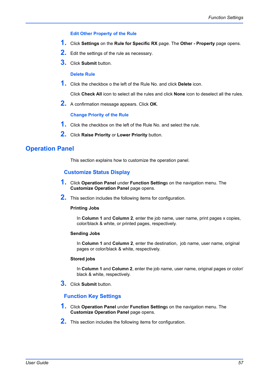## **Edit Other Property of the Rule**

- **1.** Click **Settings** on the **Rule for Specific RX** page. The **Other Property** page opens.
- **2.** Edit the settings of the rule as necessary.
- **3.** Click **Submit** button.

#### **Delete Rule**

**1.** Click the checkbox o the left of the Rule No. and click **Delete** icon.

Click **Check All** icon to select all the rules and click **None** icon to deselect all the rules.

**2.** A confirmation message appears. Click **OK**.

#### **Change Priority of the Rule**

- **1.** Click the checkbox on the left of the Rule No. and select the rule.
- **2.** Click **Raise Priority** or **Lower Priority** button.

# **Operation Panel**

This section explains how to customize the operation panel.

## **Customize Status Display**

- **1.** Click **Operation Panel** under **Function Setting**s on the navigation menu. The **Customize Operation Panel** page opens.
- **2.** This section includes the following items for configuration.

#### **Printing Jobs**

In **Column 1** and **Column 2**, enter the job name, user name, print pages x copies, color/black & white, or printed pages, respectively.

#### **Sending Jobs**

In **Column 1** and **Column 2**, enter the destination, job name, user name, original pages or color/black & white, respectively.

#### **Stored jobs**

In **Column 1** and **Column 2**, enter the job name, user name, original pages or color/ black & white, respectively.

**3.** Click **Submit** button.

## **Function Key Settings**

- **1.** Click **Operation Panel** under **Function Setting**s on the navigation menu. The **Customize Operation Panel** page opens.
- **2.** This section includes the following items for configuration.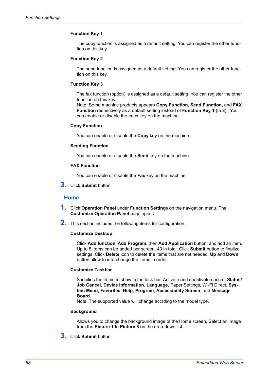## **Function Key 1**

The copy function is assigned as a default setting. You can register the other function on this key.

#### **Function Key 2**

The send function is assigned as a default setting. You can register the other function on this key.

#### **Function Key 3**

The fax function (option) is assigned as a default setting. You can register the other function on this key.

Note: Some machine products appears **Copy Function**, **Send Function**, and **FAX Function** respectively as a default setting instead of **Function Key 1** (to **3**) . You can enable or disable the each key on the machine.

## **Copy Function**

You can enable or disable the **Copy** key on the machine.

#### **Sending Function**

You can enable or disable the **Send** key on the machine.

## **FAX Function**

You can enable or disable the **Fax** key on the machine.

**3.** Click **Submit** button.

#### **Home**

- **1.** Click **Operation Panel** under **Function Setting**s on the navigation menu. The **Customize Operation Panel** page opens.
- **2.** This section includes the following items for configuration.

#### **Customize Desktop**

Click **Add function**, **Add Program**, then **Add Application** button, and add an item. Up to 8 items can be added per screen, 40 in total. Click **Submit** button to finalize settings. Click **Delete** icon to delete the items that are not needed. **Up** and **Down** button allow to interchange the items in order.

#### **Customize Taskbar**

Specifies the items to show in the task bar. Activate and deactivate each of **Status/ Job Cancel**, **Device Information**, **Language**, Paper Settings, Wi-Fi Direct, **System Menu**, **Favorites**, **Help**, **Program**, **Accessibility Screen**, and **Message Board**.

Note: The supported value will change accrding to the model type.

#### **Background**

Allows you to change the background image of the Home screen. Select an image from the **Picture 1** to **Picture 8** on the drop-down list.

**3.** Click **Submit** button.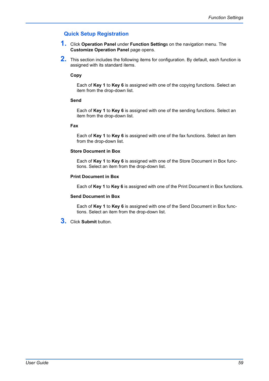# **Quick Setup Registration**

- **1.** Click **Operation Panel** under **Function Setting**s on the navigation menu. The **Customize Operation Panel** page opens.
- **2.** This section includes the following items for configuration. By default, each function is assigned with its standard items.

## **Copy**

Each of **Key 1** to **Key 6** is assigned with one of the copying functions. Select an item from the drop-down list.

#### **Send**

Each of **Key 1** to **Key 6** is assigned with one of the sending functions. Select an item from the drop-down list.

#### **Fax**

Each of **Key 1** to **Key 6** is assigned with one of the fax functions. Select an item from the drop-down list.

#### **Store Document in Box**

Each of **Key 1** to **Key 6** is assigned with one of the Store Document in Box functions. Select an item from the drop-down list.

#### **Print Document in Box**

Each of **Key 1** to **Key 6** is assigned with one of the Print Document in Box functions.

#### **Send Document in Box**

Each of **Key 1** to **Key 6** is assigned with one of the Send Document in Box functions. Select an item from the drop-down list.

**3.** Click **Submit** button.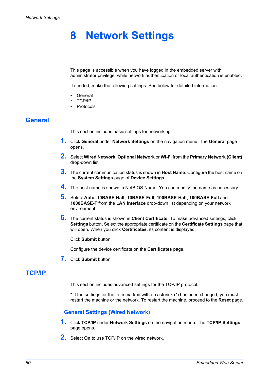# **8 Network Settings**

This page is accessible when you have logged in the embedded server with administrator privilege, while network authentication or local authentication is enabled.

If needed, make the following settings: See below for detailed information.

- **General**
- TCP/IP
- Protocols

# **General**

This section includes basic settings for networking.

- **1.** Click **General** under **Network Settings** on the navigation menu. The **General** page opens.
- **2.** Select **Wired Network**, **Optional Network** or **Wi-Fi** from the **Primary Network (Client)** drop-down list
- **3.** The current communication status is shown in **Host Name**. Configure the host name on the **System Settings** page of **Device Settings**.
- **4.** The host name is shown in NetBIOS Name. You can modify the name as necessary.
- **5.** Select **Auto**, **10BASE-Half**, **10BASE-Full**, **100BASE-Half**, **100BASE-Full** and **1000BASE-T** from the **LAN Interface** drop-down list depending on your network environment.
- **6.** The current status is shown in **Client Certificate**. To make advanced settings, click **Settings** button. Select the appropriate certificate on the **Certificate Settings** page that will open. When you click **Certificates**, its content is displayed.

Click **Submit** button.

Configure the device certificate on the **Certificates** page.

**7.** Click **Submit** button.

# **TCP/IP**

This section includes advanced settings for the TCP/IP protocol.

\* If the settings for the item marked with an asterisk (\*) has been changed, you must restart the machine or the network. To restart the machine, proceed to the **Reset** page.

## **General Settings (Wired Network)**

- **1.** Click **TCP/IP** under **Network Settings** on the navigation menu. The **TCP/IP Settings** page opens.
- **2.** Select **On** to use TCP/IP on the wired network.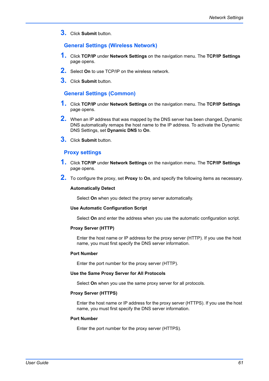**3.** Click **Submit** button.

## **General Settings (Wireless Network)**

- **1.** Click **TCP/IP** under **Network Settings** on the navigation menu. The **TCP/IP Settings** page opens.
- **2.** Select **On** to use TCP/IP on the wireless network.
- **3.** Click **Submit** button.

## **General Settings (Common)**

- **1.** Click **TCP/IP** under **Network Settings** on the navigation menu. The **TCP/IP Settings** page opens.
- **2.** When an IP address that was mapped by the DNS server has been changed, Dynamic DNS automatically remaps the host name to the IP address. To activate the Dynamic DNS Settings, set **Dynamic DNS** to **On**.
- <span id="page-64-0"></span>**3.** Click **Submit** button.

## **Proxy settings**

- **1.** Click **TCP/IP** under **Network Settings** on the navigation menu. The **TCP/IP Settings** page opens.
- **2.** To configure the proxy, set **Proxy** to **On**, and specify the following items as necessary.

#### **Automatically Detect**

Select **On** when you detect the proxy server automatically.

## **Use Automatic Configuration Script**

Select **On** and enter the address when you use the automatic configuration script.

#### **Proxy Server (HTTP)**

Enter the host name or IP address for the proxy server (HTTP). If you use the host name, you must first specify the DNS server information.

#### **Port Number**

Enter the port number for the proxy server (HTTP).

#### **Use the Same Proxy Server for All Protocols**

Select **On** when you use the same proxy server for all protocols.

#### **Proxy Server (HTTPS)**

Enter the host name or IP address for the proxy server (HTTPS). If you use the host name, you must first specify the DNS server information.

#### **Port Number**

Enter the port number for the proxy server (HTTPS).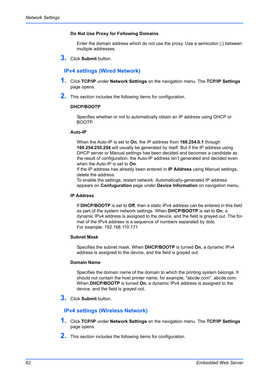## **Do Not Use Proxy for Following Domains**

Enter the domain address which do not use the proxy. Use a semicolon (;) between multiple addresses.

**3.** Click **Submit** button.

# **IPv4 settings (Wired Network)**

- **1.** Click **TCP/IP** under **Network Settings** on the navigation menu. The **TCP/IP Settings** page opens.
- **2.** This section includes the following items for configuration.

## **DHCP/BOOTP**

Specifies whether or not to automatically obtain an IP address using DHCP or BOOTP.

#### **Auto-IP**

When the Auto-IP is set to **On**, the IP address from **169.254.0.1** through **169.254.255.254** will usually be generated by itself. But if the IP address using DHCP server or Manual settings has been decided and becomes a candidate as the result of configuration, the Auto-IP address isn't generated and decided even when the Auto-IP is set to **On**.

If the IP address has already been entered in **IP Address** using Manual settings, delete the address.

To enable the settings, restart network. Automatically-generated IP address appears on **Confuguration** page under **Device Information** on navigation menu.

## **IP Address**

If **DHCP/BOOTP** is set to **Off**, then a static IPv4 address can be entered in this field as part of the system network settings. When **DHCP/BOOTP** is set to **On**, a dynamic IPv4 address is assigned to the device, and the field is grayed out. The format of the IPv4 address is a sequence of numbers separated by dots. For example: 192.168.110.171

#### **Subnet Mask**

Specifies the subnet mask. When **DHCP/BOOTP** is turned **On**, a dynamic IPv4 address is assigned to the device, and the field is grayed out.

#### **Domain Name**

Specifies the domain name of the domain to which the printing system belongs. It should not contain the host printer name, for example, "abcde.com". abcde.com. When **DHCP/BOOTP** is turned **On**, a dynamic IPv4 address is assigned to the device, and the field is grayed out.

**3.** Click **Submit** button.

## **IPv4 settings (Wireless Network)**

- **1.** Click **TCP/IP** under **Network Settings** on the navigation menu. The **TCP/IP Settings** page opens.
- **2.** This section includes the following items for configuration.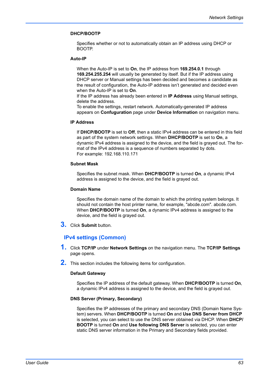## **DHCP/BOOTP**

Specifies whether or not to automatically obtain an IP address using DHCP or BOOTP.

#### **Auto-IP**

When the Auto-IP is set to **On**, the IP address from **169.254.0.1** through **169.254.255.254** will usually be generated by itself. But if the IP address using DHCP server or Manual settings has been decided and becomes a candidate as the result of configuration, the Auto-IP address isn't generated and decided even when the Auto-IP is set to **On**.

If the IP address has already been entered in **IP Address** using Manual settings, delete the address.

To enable the settings, restart network. Automatically-generated IP address appears on **Confuguration** page under **Device Information** on navigation menu.

## **IP Address**

If **DHCP/BOOTP** is set to **Off**, then a static IPv4 address can be entered in this field as part of the system network settings. When **DHCP/BOOTP** is set to **On**, a dynamic IPv4 address is assigned to the device, and the field is grayed out. The format of the IPv4 address is a sequence of numbers separated by dots. For example: 192.168.110.171

#### **Subnet Mask**

Specifies the subnet mask. When **DHCP/BOOTP** is turned **On**, a dynamic IPv4 address is assigned to the device, and the field is grayed out.

#### **Domain Name**

Specifies the domain name of the domain to which the printing system belongs. It should not contain the host printer name, for example, "abcde.com". abcde.com. When **DHCP/BOOTP** is turned **On**, a dynamic IPv4 address is assigned to the device, and the field is grayed out.

**3.** Click **Submit** button.

## **IPv4 settings (Common)**

- **1.** Click **TCP/IP** under **Network Settings** on the navigation menu. The **TCP/IP Settings** page opens.
- **2.** This section includes the following items for configuration.

#### **Default Gateway**

Specifies the IP address of the default gateway. When **DHCP/BOOTP** is turned **On**, a dynamic IPv4 address is assigned to the device, and the field is grayed out.

#### **DNS Server (Primary, Secondary)**

Specifies the IP addresses of the primary and secondary DNS (Domain Name System) servers. When **DHCP/BOOTP** is turned **On** and **Use DNS Server from DHCP** is selected, you can select to use the DNS server obtained via DHCP. When **DHCP/ BOOTP** is turned **On** and **Use following DNS Server** is selected, you can enter static DNS server information in the Primary and Secondary fields provided.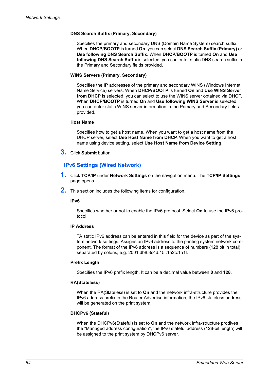## **DNS Search Suffix (Primary, Secondary)**

Specifies the primary and secondary DNS (Domain Name System) search suffix. When **DHCP/BOOTP** is turned **On**, you can select **DNS Search Suffix (Primary)** or **Use following DNS Search Suffix**. When **DHCP/BOOTP** is turned **On** and **Use following DNS Search Suffix** is selected, you can enter static DNS search suffix in the Primary and Secondary fields provided.

## **WINS Servers (Primary, Secondary)**

Specifies the IP addresses of the primary and secondary WINS (Windows Internet Name Service) servers. When **DHCP/BOOTP** is turned **On** and **Use WINS Server from DHCP** is selected, you can select to use the WINS server obtained via DHCP. When **DHCP/BOOTP** is turned **On** and **Use following WINS Server** is selected, you can enter static WINS server information in the Primary and Secondary fields provided.

## **Host Name**

Specifies how to get a host name. When you want to get a host name from the DHCP server, select **Use Host Name from DHCP**. When you want to get a host name using device setting, select **Use Host Name from Device Setting**.

**3.** Click **Submit** button.

# **IPv6 Settings (Wired Network)**

- **1.** Click **TCP/IP** under **Network Settings** on the navigation menu. The **TCP/IP Settings** page opens.
- **2.** This section includes the following items for configuration.

#### **IPv6**

Specifies whether or not to enable the IPv6 protocol. Select **On** to use the IPv6 protocol.

## **IP Address**

TA static IPv6 address can be entered in this field for the device as part of the system network settings. Assigns an IPv6 address to the printing system network component. The format of the IPv6 address is a sequence of numbers (128 bit in total) separated by colons, e.g. 2001:db8:3c4d:15::1a2c:1a1f.

#### **Prefix Length**

Specifies the IPv6 prefix length. It can be a decimal value between **0** and **128**.

#### **RA(Stateless)**

When the RA(Stateless) is set to **On** and the network infra-structure provides the IPv6 address prefix in the Router Advertise information, the IPv6 stateless address will be generated on the print system.

#### **DHCPv6 (Stateful)**

When the DHCPv6(Stateful) is set to **On** and the network infra-structure prodives the "Managed address configuration", the IPv6 stateful address (128-bit length) will be assigned to the print system by DHCPv6 server.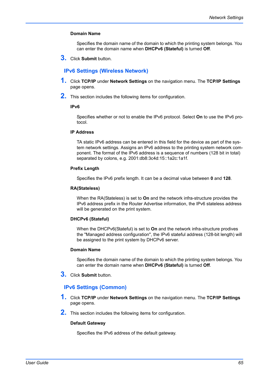## **Domain Name**

Specifies the domain name of the domain to which the printing system belongs. You can enter the domain name when **DHCPv6 (Stateful)** is turned **Off**.

**3.** Click **Submit** button.

## **IPv6 Settings (Wireless Network)**

- **1.** Click **TCP/IP** under **Network Settings** on the navigation menu. The **TCP/IP Settings** page opens.
- **2.** This section includes the following items for configuration.

## **IPv6**

Specifies whether or not to enable the IPv6 protocol. Select **On** to use the IPv6 protocol.

## **IP Address**

TA static IPv6 address can be entered in this field for the device as part of the system network settings. Assigns an IPv6 address to the printing system network component. The format of the IPv6 address is a sequence of numbers (128 bit in total) separated by colons, e.g. 2001:db8:3c4d:15::1a2c:1a1f.

#### **Prefix Length**

Specifies the IPv6 prefix length. It can be a decimal value between **0** and **128**.

#### **RA(Stateless)**

When the RA(Stateless) is set to **On** and the network infra-structure provides the IPv6 address prefix in the Router Advertise information, the IPv6 stateless address will be generated on the print system.

#### **DHCPv6 (Stateful)**

When the DHCPv6(Stateful) is set to **On** and the network infra-structure prodives the "Managed address configuration", the IPv6 stateful address (128-bit length) will be assigned to the print system by DHCPv6 server.

#### **Domain Name**

Specifies the domain name of the domain to which the printing system belongs. You can enter the domain name when **DHCPv6 (Stateful)** is turned **Off**.

**3.** Click **Submit** button.

## **IPv6 Settings (Common)**

- **1.** Click **TCP/IP** under **Network Settings** on the navigation menu. The **TCP/IP Settings** page opens.
- **2.** This section includes the following items for configuration.

#### **Default Gateway**

Specifies the IPv6 address of the default gateway.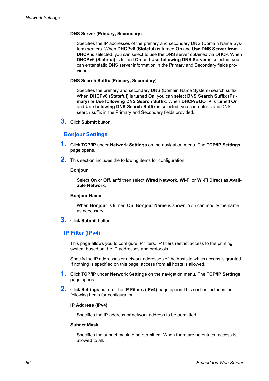#### **DNS Server (Primary, Secondary)**

Specifies the IP addresses of the primary and secondary DNS (Domain Name System) servers. When **DHCPv6 (Stateful)** is turned **On** and **Use DNS Server from DHCP** is selected, you can select to use the DNS server obtained via DHCP. When **DHCPv6 (Stateful)** is turned **On** and **Use following DNS Server** is selected, you can enter static DNS server information in the Primary and Secondary fields provided.

#### **DNS Search Suffix (Primary, Secondary)**

Specifies the primary and secondary DNS (Domain Name System) search suffix. When **DHCPv6 (Stateful)** is turned **On**, you can select **DNS Search Suffix (Primary)** or **Use following DNS Search Suffix**. When **DHCP/BOOTP** is turned **On** and **Use following DNS Search Suffix** is selected, you can enter static DNS search suffix in the Primary and Secondary fields provided.

**3.** Click **Submit** button.

## **Bonjour Settings**

- **1.** Click **TCP/IP** under **Network Settings** on the navigation menu. The **TCP/IP Settings** page opens.
- **2.** This section includes the following items for configuration.

#### **Bonjour**

Select **On** or **Off**, anfd then select **Wired Network**, **Wi-Fi** or **Wi-Fi Direct** as **Available Network**.

#### **Bonjour Name**

When **Bonjour** is turned **On**, **Bonjour Name** is shown. You can modify the name as necessary.

**3.** Click **Submit** button.

## **IP Filter (IPv4)**

This page allows you to configure IP filters. IP filters restrict access to the printing system based on the IP addresses and protocols.

Specify the IP addresses or network addresses of the hosts to which access is granted. If nothing is specified on this page, access from all hosts is allowed.

- **1.** Click **TCP/IP** under **Network Settings** on the navigation menu. The **TCP/IP Settings** page opens.
- **2.** Click **Settings** button. The **IP Filters (IPv4)** page opens.This section includes the following items for configuration.

#### **IP Address (IPv4)**

Specifies the IP address or network address to be permitted.

## **Subnet Mask**

Specifies the subnet mask to be permitted. When there are no entries, access is allowed to all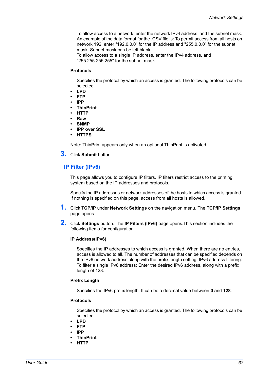To allow access to a network, enter the network IPv4 address, and the subnet mask. An example of the data format for the .CSV file is: To permit access from all hosts on network 192, enter "192.0.0.0" for the IP address and "255.0.0.0" for the subnet mask. Subnet mask can be left blank.

To allow access to a single IP address, enter the IPv4 address, and "255.255.255.255" for the subnet mask.

#### **Protocols**

Specifies the protocol by which an access is granted. The following protocols can be selected.

- **LPD**
- **FTP**
- **IPP**
- **ThinPrint**
- **HTTP**
- **Raw**
- **SNMP**
- **IPP over SSL**
- **HTTPS**

Note: ThinPrint appears only when an optional ThinPrint is activated.

**3.** Click **Submit** button.

## **IP Filter (IPv6)**

This page allows you to configure IP filters. IP filters restrict access to the printing system based on the IP addresses and protocols.

Specify the IP addresses or network addresses of the hosts to which access is granted. If nothing is specified on this page, access from all hosts is allowed.

- **1.** Click **TCP/IP** under **Network Settings** on the navigation menu. The **TCP/IP Settings** page opens.
- **2.** Click **Settings** button. The **IP Filters (IPv6)** page opens.This section includes the following items for configuration.

#### **IP Address(IPv6)**

Specifies the IP addresses to which access is granted. When there are no entries, access is allowed to all. The number of addresses that can be specified depends on the IPv6 network address along with the prefix length setting. IPv6 address filtering: To filter a single IPv6 address: Enter the desired IPv6 address, along with a prefix length of 128.

#### **Prefix Length**

Specifies the IPv6 prefix length. It can be a decimal value between **0** and **128**.

#### **Protocols**

Specifies the protocol by which an access is granted. The following protocols can be selected.

- **LPD**
- **FTP**
- **IPP**
- **ThinPrint**
- **HTTP**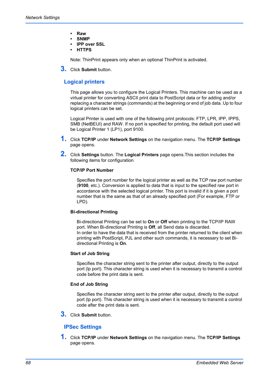- **Raw**
- **SNMP**
- **IPP over SSL**
- **HTTPS**

Note: ThinPrint appears only when an optional ThinPrint is activated.

**3.** Click **Submit** button.

# **Logical printers**

This page allows you to configure the Logical Printers. This machine can be used as a virtual printer for converting ASCII print data to PostScript data or for adding and/or replacing a character strings (commands) at the beginning or end of job data. Up to four logical printers can be set.

Logical Printer is used with one of the following print protocols: FTP, LPR, IPP, IPPS, SMB (NetBEUI) and RAW. If no port is specified for printing, the default port used will be Logical Printer 1 (LP1), port 9100.

- **1.** Click **TCP/IP** under **Network Settings** on the navigation menu. The **TCP/IP Settings** page opens.
- **2.** Click **Settings** button. The **Logical Printers** page opens.This section includes the following items for configuration

## **TCP/IP Port Number**

Specifies the port number for the logical printer as well as the TCP raw port number (**9100**, etc.). Conversion is applied to data that is input to the specified raw port in accordance with the selected logical printer. This port is invalid if it is given a port number that is the same as that of an already specified port (For example, FTP or LPD).

## **Bi-directional Printing**

Bi-directional Printing can be set to **On** or **Off** when printing to the TCP/IP RAW port. When Bi-directional Printing is **Off**, all Send data is discarded. In order to have the data that is received from the printer returned to the client when printing with PostScript, PJL and other such commands, it is necessary to set Bidirectional Printing is **On**.

## **Start of Job String**

Specifies the character string sent to the printer after output, directly to the output port (lp port). This character string is used when it is necessary to transmit a control code before the print data is sent.

## **End of Job String**

Specifies the character string sent to the printer after output, directly to the output port (lp port). This character string is used when it is necessary to transmit a control code after the print data is sent.

**3.** Click **Submit** button.

# **IPSec Settings**

**1.** Click **TCP/IP** under **Network Settings** on the navigation menu. The **TCP/IP Settings** page opens.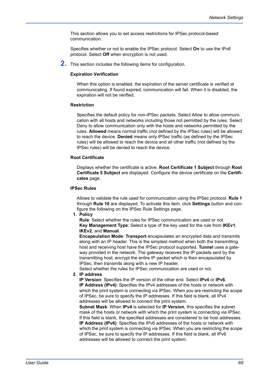This section allows you to set access restrictions for IPSec protocol-based communication.

Specifies whether or not to enable the IPSec protocol. Select **On** to use the IPv6 protocol. Select **Off** when encryption is not used.

**2.** This section includes the following items for configuration.

## **Expiration Verification**

When this option is enabled, the expiration of the server certificate is verified at communicating. If found expired, communication will fail. When it is disabled, the expiration will not be verified.

#### **Restriction**

Specifies the default policy for non-IPSec packets. Select Allow to allow communication with all hosts and networks including those not permitted by the rules. Select Deny to allow communication only with the hosts and networks permitted by the rules. **Allowed** means normal traffic (not defined by the IPSec rules) will be allowed to reach the device. **Denied** means only IPSec traffic (as defined by the IPSec rules) will be allowed to reach the device and all other traffic (not defined by the IPSec rules) will be denied to reach the device.

#### **Root Certificate**

Displays whether the certificate is active. **Root Certificate 1 Subject** through **Root Certificate 5 Subject** are displayed. Configure the device certificate on the **Certificates** page.

#### **IPSec Rules**

Allows to validate the rule used for communication using the IPSec protocol. **Rule 1** through **Rule 10** are displayed. To activate this item, click **Settings** button and configure the following on the IPSec Rule Settings page.

**1. Policy**

**Rule**: Select whether the rules for IPSec communication are used or not. **Key Management Type**: Select a type of the key used for the rule from **IKEv1**, **IKEv2**, and **Manual**.

**Encapsulation Mode**: **Transport** encapsulates an encrypted data and transmits along with an IP header. This is the simplest method when both the transmitting host and receiving host have the IPSec protocol supported. **Tunnel** uses a gateway provided in the network. The gateway receives the IP packets sent by the transmitting host, encrypt the entire IP packet which is then encapsulated by IPSec, then transmits along with a new IP header.

Select whether the rules for IPSec communication are used or not.

# **2. IP address**

**IP Version**: Specifies the IP version of the other end. Select **IPv4** or **IPv6**. **IP Address (IPv4)**: Specifies the IPv4 addresses of the hosts or network with which the print system is connecting via IPSec. When you are restricting the scope of IPSec, be sure to specify the IP addresses. If this field is blank, all IPv4 addresses will be allowed to connect the print system.

**Subnet Mask**: When **IPv4** is selected for **IP Version**, this specifies the subnet mask of the hosts or network with which the print system is connecting via IPSec. If this field is blank, the specified addresses are considered to be host addresses. **IP Address (IPv6)**: Specifies the IPv6 addresses of the hosts or network with which the print system is connecting via IPSec. When you are restricting the scope of IPSec, be sure to specify the IP addresses. If this field is blank, all IPv6 addresses will be allowed to connect the print system.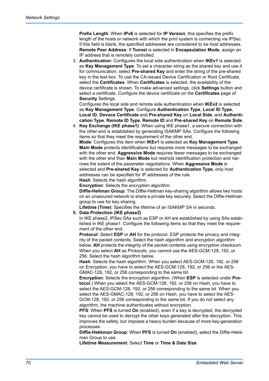**Prefix Length**: When **IPv6** is selected for **IP Version**, this specifies the prefix length of the hosts or network with which the print system is connecting via IPSec. If this field is blank, the specified addresses are considered to be host addresses. **Remote Peer Address**: If **Tunnel** is selected in **Encapsulation Mode**, assign an IP address that is remotely controlled.

3. **Authentication**: Configures the local side authentication when **IKEv1** is selected as **Key Management Type**. To set a character string as the shared key and use it for communication, select **Pre-shared Key** and enter the string of the pre-shared key in the text box. To use the CA-issued Device Certification or Root Certificate, select the **Certificates**. When **Certificates** is selected, the availability of the device certificate is shown. To make advanced settings, click **Settings** button and select a certificate. Configure the device certificate on the **Certificates** page of **Security** Settings.

Configures the local side and remote side authentication when **IKEv2** is selected as **Key Management Type**. Configure **Authentication Type**, **Local ID Type**, **Local ID**, **Devoce Certificate** and **Pre-shared Key** on **Local Side**, and **Authentication Type**, **Remote ID Type**, **Remote ID** and **Pre-shared Key** on **Remote Side**.

4. **Key Exchange (IKE phase1)**: When using IKE phase1, a secure connection with the other end is established by generating ISAKMP SAs. Configure the following items so that they meet the requirement of the other end.

**Mode**: Configures this item when **IKEv1** is selected as **Key Management Type**. **Main Mode** protects identifications but requires more messages to be exchanged with the other end. **Aggressive Mode** requires fewer messages to be exchanged with the other end than **Main Mode** but restricts identification protection and narrows the extent of the parameter negotiations. When **Aggressive Mode** is selected and **Pre-shared Key** is selected for **Authentication Type**, only host addresses can be specified for IP addresses of the rule.

**Hash**: Selects the hash algorithm.

**Encryption**: Selects the encryption algorithm.

**Diffie-Hellman Group**: The Diffie-Hellman key-sharing algorithm allows two hosts on an unsecured network to share a private key securely. Select the Diffie-Hellman group to use for key sharing.

**Lifetime (Time)**: Specifies the lifetime of an ISAKMP SA in seconds.

# **5. Data Protection (IKE phase2)**

In IKE phase2, IPSec SAs such as ESP or AH are established by using SAs established in IKE phase1. Configure the following items so that they meet the requirement of the other end.

**Protocol**: Select **ESP** or **AH** for the protocol. ESP protects the privacy and integrity of the packet contents. Select the hash algorithm and encryption algorithm below. **AH** protects the integrity of the packet contents using encryption checksum. When you select **AH** as Protocols, you cannot use the AES-GCM-128, 192, or 256. Select the hash algorithm below.

**Hash**: Selects the hash algorithm. When you select AES-GCM-128, 192, or 256 on Encryption, you have to select the AES-GCM-128, 192, or 256 or the AES-GMAC-128, 192, or 256 corresponding to the same bit.

**Encryption**: Selects the encryption algorithm. (When **ESP** is selected under **Protocol**.) When you select the AES-GCM-128, 192, or 256 on Hash, you have to select the AES-GCM-128, 192, or 256 corresponding to the same bit. When you select the AES-GMAC-128, 192, or 256 on Hash, you have to select the AES-GCM-128, 192, or 256 corresponding to the same bit. If you do not select any algorithm, the machine authenticates without encryption.

**PFS**: When **PFS** is turned **On** (enabled), even if a key is decrypted, the decrypted key cannot be used to decrypt the other keys generated after the decryption. This improves the safety, but imposes a heavy burden because of more key-generation processes.

**Diffie-Hekkman Group**: When **PFS** is turned **On** (enabled), select the Diffie-Hekkman Group to use.

**Lifetime Measurement**: Select **Time** or **Time & Data Size**.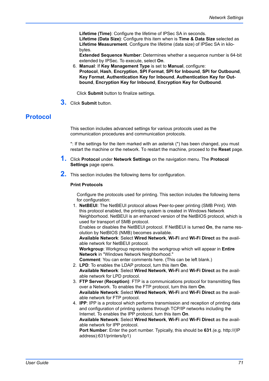**Lifetime (Time)**: Configure the lifetime of IPSec SA in seconds. **Lifetime (Data Size)**: Configure this item when is **Time & Data Size** selected as **Lifetime Measurement**. Configure the lifetime (data size) of IPSec SA in kilobytes.

**Extended Sequence Number**: Determines whether a sequence number is 64-bit extended by IPSec. To execute, select **On**.

6. **Manual**: If **Key Management Type** is set to **Manual**, configure: **Protocol**, **Hash**, **Encryption**, **SPI Format**, **SPI for Inbound**, **SPI for Outbound**, **Key Format**, **Authentication Key for Inbound**, **Authentication Key for Outbound**, **Encryption Key for Inbound**, **Encryption Key for Outbound**.

Click **Submit** button to finalize settings.

**3.** Click **Submit** button.

# **Protocol**

This section includes advanced settings for various protocols used as the communication procedures and communication protocols.

\*: If the settings for the item marked with an asterisk (\*) has been changed, you must restart the machine or the network. To restart the machine, proceed to the **Reset** page.

- **1.** Click **Protocol** under **Network Settings** on the navigation menu. The **Protocol Settings** page opens.
- **2.** This section includes the following items for configuration.

# **Print Protocols**

Configure the protocols used for printing. This section includes the following items for configuration:

1. **NetBEUI**: The NetBEUI protocol allows Peer-to-peer printing (SMB Print). With this protocol enabled, the printing system is created in Windows Network Neighborhood. NetBEUI is an enhanced version of the NetBIOS protocol, which is used for transport of SMB protocol.

Enables or disables the NetBEUI protocol. If NetBEUI is turned **On**, the name resolution by NetBIOS (NMB) becomes available.

**Available Network**: Select **Wired Network**, **Wi-Fi** and **Wi-Fi Direct** as the available network for NetBEUI protocol.

**Workgroup**: Workgroup represents the workgroup which will appear in **Entire Network** in "Windows Network Neighborhood."

**Comment**: You can enter comments here. (This can be left blank.)

- 2. **LPD**: To enables the LDAP protocol, turn this item **On**. **Available Network**: Select **Wired Network**, **Wi-Fi** and **Wi-Fi Direct** as the available network for LPD protocol.
- 3. **FTP Server (Reception)**: FTP is a communications protocol for transmitting files over a Network. To enables the FTP protocol, turn this item **On**. **Available Network**: Select **Wired Network**, **Wi-Fi** and **Wi-Fi Direct** as the available network for FTP protocol.
- 4. **IPP**: IPP is a protocol which performs transmission and reception of printing data and configuration of printing systems through TCP/IP networks including the Internet. To enables the IPP protocol, turn this item **On**. **Available Network**: Select **Wired Network**, **Wi-Fi** and **Wi-Fi Direct** as the avail-

able network for IPP protocol.

**Port Number**: Enter the port number. Typically, this should be **631**.(e.g. http://(IP address):631/printers/lp1)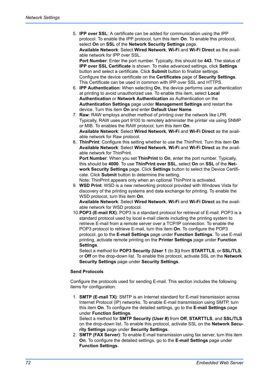5. **IPP over SSL**: A certificate can be added for communication using the IPP protocol. To enable the IPP protocol, turn this item **On**. To enable this protocol, select **On** on **SSL** of the **Network Security Settings** page. **Available Network**: Select **Wired Network**, **Wi-Fi** and **Wi-Fi Direct** as the available network for IPP over SSL. **Port Number**: Enter the port number. Typically, this should be **443**. The status of **IPP over SSL Certificate** is shown. To make advanced settings, click **Settings**

button and select a certificate. Click **Submit** button to finalize settings. Configure the device certificate on the **Certificates** page of **Security Settings**. This Certificate can be used in common with IPP over SSL and HTTPS.

- 6. **IPP Authentication**: When selecting **On**, the device performs user authentication at printing to avoid unauthorized use. To enable this item, select **Local Authentication** or **Network Authentication** as Authentication on the **Authentication Settings** page under **Management Settings** and restart the device. Turn this item **On** and enter **Default User Name**.
- 7. **Raw**: RAW employs another method of printing over the network like LPR. Typically, RAW uses port 9100 to remotely administer the printer via using SNMP or MIB. To enables the RAW protocol, turn this item **On**. **Available Network**: Select **Wired Network**, **Wi-Fi** and **Wi-Fi Direct** as the available network for Raw protocol.
- 8. **ThinPrint**: Configure this setting whether to use the ThinPrint. Turn this item **On Available Network**: Select **Wired Network**, **Wi-Fi** and **Wi-Fi Direct** as the available network for ThinPrint.

**Port Number**: When you set **ThinPrint** to **On**, enter the port number. Typically, this should be **4000**. To use **ThinPrint over SSL**, select **On** on **SSL** of the **Network Security Settings** page. Click **Settings** button to select the Device Certificate. Click **Submit** button to determine the setting.

Note: ThinPrint appears only when an optional ThinPrint is activated.

9. **WSD Print**: WSD is a new networking protocol provided with Windows Vista for discovery of the printing systems and data exchange for printing. To enable the WSD protocol, turn this item **On**.

**Available Network**: Select **Wired Network**, **Wi-Fi** and **Wi-Fi Direct** as the available network for WSD protocol.

10.**POP3 (E-mail RX)**: POP3 is a standard protocol for retrieval of E-mail. POP3 is a standard protocol used by local e-mail clients including the printing system to retrieve E-mail from a remote server over a TCP/IP connection. To enable the POP3 protocol to retrieve E-mail, turn this item **On**. To configure the POP3 protocol, go to the **E-mail Settings** page under **Function Settings**. To use E-mail printing, activate remote printing on the **Printer Settings** page under **Function Settings**.

Select a method for **POP3 Security (User 1** (to **3**)**)** from **STARTTLS**, or **SSL/TLS**, or **Off** on the drop-down list. To enable this protocol, activate SSL on the **Network Security Settings** page under **Security Settings**.

#### **Send Protocols**

Configure the protocols used for sending E-mail. This section includes the following items for configuration:

- 1. **SMTP (E-mail TX)**: SMTP is an Internet standard for E-mail transmission across Internet Protocol (IP) networks. To enable E-mail transmission using SMTP, turn this item **On**. To configure the detailed settings, go to the **E-mail Settings** page under **Function Settings**. Select a method for **SMTP Security (User #)** from **Off**, **STARTTLS**, and **SSL/TLS** on the drop-down list. To enable this protocol, activate SSL on the **Network Security Settings** page under **Security Settings**.
- 2. **SMTP (FAX Server)**: To enable E-mail transmission using fax server, turn this item **On**. To configure the detailed settings, go to the **E-mail Settings** page under **Function Settings**.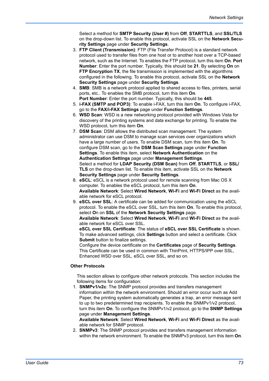Select a method for **SMTP Security (User #)** from **Off**, **STARTTLS**, and **SSL/TLS** on the drop-down list. To enable this protocol, activate SSL on the **Network Security Settings** page under **Security Settings**.

- 3. **FTP Client (Transmission)**: FTP (File Transfer Protocol) is a standard network protocol used to transfer files from one host or to another host over a TCP-based network, such as the Internet. To enables the FTP protocol, turn this item **On**. **Port Number**: Enter the port number. Typically, this should be **21**. By selecting **On** on **FTP Encryption TX**, the file transmission is implemented with the algorithms configured in the following. To enable this protocol, activate SSL on the **Network Security Settings** page under **Security Settings**.
- 4. **SMB**: SMB is a network protocol applied to shared access to files, printers, serial ports, etc.. To enables the SMB protocol, turn this item **On**. **Port Number**: Enter the port number. Typically, this should be **445**.
- 5. **i-FAX (SMTP and POP3)**: To enable i-FAX, turn this item **On**. To configure i-FAX, go to the **FAX/i-FAX Settings** page under **Function Settings**.
- 6. **WSD Scan**: WSD is a new networking protocol provided with Windows Vista for discovery of the printing systems and data exchange for printing. To enable the WSD protocol, turn this item **On**.
- 7. **DSM Scan**: DSM allows the distributed scan management. The system administrator can use DSM to manage scan services over organizations which have a large number of users. To enable DSM scan, turn this item **On**. To configure DSM scan, go to the **DSM Scan Settings** page under **Function Settings**. To enable this item, select **Network Authentication** on the **Authentication Settings** page under **Management Settings**. Select a method for **LDAP Security (DSM Scan)** from **Off**, **STARTTLS**, or **SSL/ TLS** on the drop-down list. To enable this item, activate SSL on the **Network Security Settings** page under **Security Settings**.
- 8. **eSCL**: eSCL is a network protocol used for remote scanning from Mac OS X computer. To enables the eSCL protocol, turn this item **On**. **Available Network**: Select **Wired Network**, **Wi-Fi** and **Wi-Fi Direct** as the available network for eSCL protocol.
- 9. **eSCL over SSL**: A certificate can be added for communication using the eSCL protocol. To enable the eSCL over SSL, turn this item **On**. To enable this protocol, select **O**n on **SSL** of the **Network Security Settings** page.

**Available Network**: Select **Wired Network**, **Wi-Fi** and **Wi-Fi Direct** as the available network for eSCL over SSL.

**eSCL over SSL Certificate**: The status of **eSCL over SSL Certificate** is shown. To make advanced settings, click **Settings** button and select a certificate. Click **Submit** button to finalize settings.

Configure the device certificate on the **Certificates** page of **Security Settings**. This Certificate can be used in common with ThinPrint, HTTPS/IPP over SSL, Enhanced WSD over SSL, eSCL over SSL, and so on.

# **Other Protocols**

This section allows to configure other network protocols. This section includes the following items for configuration:

1. **SNMPv1/v2c**: The SNMP protocol provides and transfers management information within the network environment. Should an error occur such as Add Paper, the printing system automatically generates a trap, an error message sent to up to two predetermined trap recipients. To enable the SNMPv1/v2 protocol, turn this item **On**. To configure the SNMPv1/v2 protocol, go to the **SNMP Settings** page under **Management Settings**.

**Available Network**: Select **Wired Network**, **Wi-Fi** and **Wi-Fi Direct** as the available network for SNMP protocol.

2. **SNMPv3**: The SNMP protocol provides and transfers management information within the network environment. To enable the SNMPv3 protocol, turn this item **On**.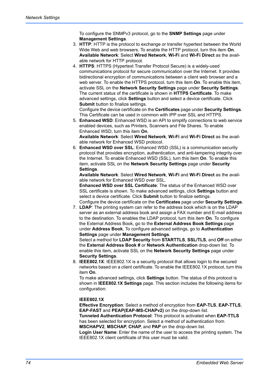To configure the SNMPv3 protocol, go to the **SNMP Settings** page under **Management Settings**.

- 3. **HTTP**: HTTP is the protocol to exchange or transfer hypertext between the World Wide Web and web browsers. To enable the HTTP protocol, turn this item **On**. **Available Network**: Select **Wired Network**, **Wi-Fi** and **Wi-Fi Direct** as the available network for HTTP protocol.
- 4. **HTTPS**: HTTPS (Hypertext Transfer Protocol Secure) is a widely-used communications protocol for secure communication over the Internet. It provides bidirectional encryption of communications between a client web browser and a web server. To enable the HTTPS protocol, turn this item **On**. To enable this item, activate SSL on the **Network Security Settings** page under **Security Settings**. The current status of the certificate is shown in **HTTPS Certificate**. To make advanced settings, click **Settings** button and select a device certificate. Click **Submit** button to finalize settings.

Configure the device certificate on the **Certificates** page under **Security Settings**. This Certificate can be used in common with IPP over SSL and HTTPS.

- 5. **Enhanced WSD**: Enhanced WSD is an API to simplify connections to web service enabled devices, such as Printers, Scanners and File Shares. To enable Enhanced WSD, turn this item **On**. **Available Network**: Select **Wired Network**, **Wi-Fi** and **Wi-Fi Direct** as the available network for Enhanced WSD protocol.
- 6. **Enhanced WSD over SSL**: Enhanced WSD (SSL) is a communication security protocol that provides encryption, authentication, and anti-tampering integrity over the Internet. To enable Enhanced WSD (SSL), turn this item **On**. To enable this item, activate SSL on the **Network Security Settings** page under **Security Settings**.

**Available Network**: Select **Wired Network**, **Wi-Fi** and **Wi-Fi Direct** as the available network for Enhanced WSD over SSL.

**Enhanced WSD over SSL Certificate**: The status of the Enhanced WSD over SSL certificate is shown. To make advanced settings, click **Settings** button and select a device certificate. Click **Submit** button to finalize settings. Configure the device certificate on the **Certificates** page under **Security Settings**.

7. **LDAP**: The printing system can refer to the address book which is on the LDAP server as an external address book and assign a FAX number and E-mail address to the destination. To enables the LDAP protocol, turn this item **On**. To configure the External Address Book, go to the **External Address Book Settings** page under **Address Book**. To configure advanced settings, go to **Authentication Settings** page under **Management Settings**.

Select a method for **LDAP Security** from **STARTTLS**, **SSL/TLS**, and **Off** on either the **External Address Book #** or **Network Authentication** drop-down list. To enable this item, activate SSL on the **Network Security Settings** page under **Security Settings**.

8. **IEEE802.1X**: IEEE802.1X is a security protocol that allows login to the secured networks based on a client certificate. To enable the IEEE802.1X protocol, turn this item **On**.

To make advanced settings, click **Settings** button. The status of this protocol is shown in **IEEE802.1X Settings** page. This section includes the following items for configuration:

# **IEEE802.1X**

**Effective Encryption**: Select a method of encryption from **EAP-TLS**, **EAP-TTLS**, **EAP-FAST** and **PEAP(EAP-MS-CHAPv2)** on the drop-down list.

**Tunneled Authentication Protocol**: This protocol is activated when **EAP-TTLS** has been selected for encryption. Select a method of authentication from **MSCHAPV2**, **MSCHAP**, **CHAP**, and **PAP** on the drop-down list.

**Login User Name**: Enter the name of the user to access the printing system. The IEEE802.1X client certificate of this user must be valid.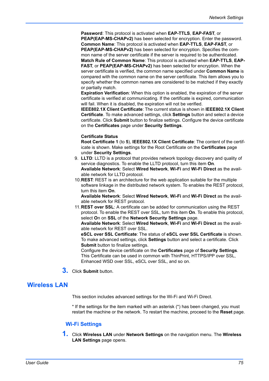**Password**: This protocol is activated when **EAP-TTLS**, **EAP-FAST**, or **PEAP(EAP-MS-CHAPv2)** has been selected for encryption. Enter the password. **Common Name**: This protocol is activated when **EAP-TTLS**, **EAP-FAST**, or **PEAP(EAP-MS-CHAPv2)** has been selected for encryption. Specifies the common name of the server certificate if the server is required to be authenticated. **Match Rule of Common Name**: This protocol is activated when **EAP-TTLS**, **EAP-FAST**, or **PEAP(EAP-MS-CHAPv2)** has been selected for encryption. When the server certificate is verified, the common name specified under **Common Name** is compared with the common name on the server certificate. This item allows you to specify whether the common names are considered to be matched if they exactly or partially match.

**Expiration Verification**: When this option is enabled, the expiration of the server certificate is verified at communicating. If the certificate is expired, communication will fail. When it is disabled, the expiration will not be verified.

**IEEE802.1X Client Certificate**: The current status is shown in **IEEE802.1X Client Certificate**. To make advanced settings, click **Settings** button and select a device certificate. Click **Submit** button to finalize settings. Configure the device certificate on the **Certificates** page under **Security Settings**.

# **Certificate Status**

**Root Certificate 1** (to **5**), **IEEE802.1X Client Certificate**: The content of the certificate is shown. Make settings for the Root Certificate on the **Certificates** page under **Security Settings**.

- 9. **LLTD**: LLTD is a protocol that provides network topology discovery and quality of service diagnostics. To enable the LLTD protocol, turn this item **On**. **Available Network**: Select **Wired Network**, **Wi-Fi** and **Wi-Fi Direct** as the available network for LLTD protocol.
- 10.**REST**: REST is an architecture for the web application suitable for the multiple software linkage in the distributed network system. To enables the REST protocol, turn this item **On**.

**Available Network**: Select **Wired Network**, **Wi-Fi** and **Wi-Fi Direct** as the available network for REST protocol.

11.**REST over SSL**: A certificate can be added for communication using the REST protocol. To enable the REST over SSL, turn this item **On**. To enable this protocol, select **O**n on **SSL** of the **Network Security Settings** page.

**Available Network**: Select **Wired Network**, **Wi-Fi** and **Wi-Fi Direct** as the available network for REST over SSL.

**eSCL over SSL Certificate**: The status of **eSCL over SSL Certificate** is shown. To make advanced settings, click **Settings** button and select a certificate. Click **Submit** button to finalize settings.

Configure the device certificate on the **Certificates** page of **Security Settings**. This Certificate can be used in common with ThinPrint, HTTPS/IPP over SSL, Enhanced WSD over SSL, eSCL over SSL, and so on.

**3.** Click **Submit** button.

# **Wireless LAN**

This section includes advanced settings for the Wi-Fi and Wi-Fi Direct.

\* If the settings for the item marked with an asterisk (\*) has been changed, you must restart the machine or the network. To restart the machine, proceed to the **Reset** page.

# **Wi-Fi Settings**

**1.** Click **Wireless LAN** under **Network Settings** on the navigation menu. The **Wireless LAN Settings** page opens.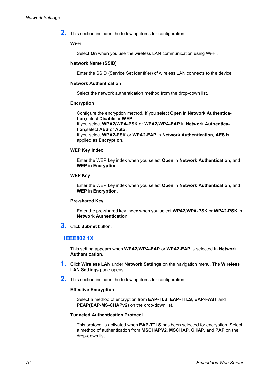**2.** This section includes the following items for configuration.

# **Wi-Fi**

Select **On** when you use the wireless LAN communication using Wi-Fi.

#### **Network Name (SSID)**

Enter the SSID (Service Set Identifier) of wireless LAN connects to the device.

# **Network Authentication**

Select the network authentication method from the drop-down list.

# **Encryption**

Configure the encryption method. If you select **Open** in **Network Authentication**,select **Disable** or **WEP**. If you select **WPA2/WPA-PSK** or **WPA2/WPA-EAP** in **Network Authentica-**

**tion**,select **AES** or **Auto**. If you select **WPA2-PSK** or **WPA2-EAP** in **Network Authentication**, **AES** is applied as **Encryption**.

#### **WEP Key Index**

Enter the WEP key index when you select **Open** in **Network Authentication**, and **WEP** in **Encryption**.

# **WEP Key**

Enter the WEP key index when you select **Open** in **Network Authentication**, and **WEP** in **Encryption**.

#### **Pre-shared Key**

Enter the pre-shared key index when you select **WPA2/WPA-PSK** or **WPA2-PSK** in **Network Authentication**.

**3.** Click **Submit** button.

# **IEEE802.1X**

This setting appears when **WPA2/WPA-EAP** or **WPA2-EAP** is selected in **Network Authentication**.

- **1.** Click **Wireless LAN** under **Network Settings** on the navigation menu. The **Wireless LAN Settings** page opens.
- **2.** This section includes the following items for configuration.

#### **Effective Encryption**

Select a method of encryption from **EAP-TLS**, **EAP-TTLS**, **EAP-FAST** and **PEAP(EAP-MS-CHAPv2)** on the drop-down list.

# **Tunneled Authentication Protocol**

This protocol is activated when **EAP-TTLS** has been selected for encryption. Select a method of authentication from **MSCHAPV2**, **MSCHAP**, **CHAP**, and **PAP** on the drop-down list.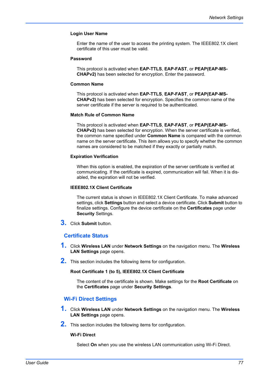# **Login User Name**

Enter the name of the user to access the printing system. The IEEE802.1X client certificate of this user must be valid.

# **Password**

This protocol is activated when **EAP-TTLS**, **EAP-FAST**, or **PEAP(EAP-MS-CHAPv2)** has been selected for encryption. Enter the password.

#### **Common Name**

This protocol is activated when **EAP-TTLS**, **EAP-FAST**, or **PEAP(EAP-MS-CHAPv2)** has been selected for encryption. Specifies the common name of the server certificate if the server is required to be authenticated.

#### **Match Rule of Common Name**

This protocol is activated when **EAP-TTLS**, **EAP-FAST**, or **PEAP(EAP-MS-CHAPv2)** has been selected for encryption. When the server certificate is verified, the common name specified under **Common Name** is compared with the common name on the server certificate. This item allows you to specify whether the common names are considered to be matched if they exactly or partially match.

#### **Expiration Verification**

When this option is enabled, the expiration of the server certificate is verified at communicating. If the certificate is expired, communication will fail. When it is disabled, the expiration will not be verified.

# **IEEE802.1X Client Certificate**

The current status is shown in IEEE802.1X Client Certificate. To make advanced settings, click **Settings** button and select a device certificate. Click **Submit** button to finalize settings. Configure the device certificate on the **Certificates** page under **Security** Settings.

**3.** Click **Submit** button.

# **Certificate Status**

- **1.** Click **Wireless LAN** under **Network Settings** on the navigation menu. The **Wireless LAN Settings** page opens.
- **2.** This section includes the following items for configuration.

# **Root Certificate 1 (to 5), IEEE802.1X Client Certificate**

The content of the certificate is shown. Make settings for the **Root Certificate** on the **Certificates** page under **Security Settings**.

# **Wi-Fi Direct Settings**

- **1.** Click **Wireless LAN** under **Network Settings** on the navigation menu. The **Wireless LAN Settings** page opens.
- **2.** This section includes the following items for configuration.

## **Wi-Fi Direct**

Select **On** when you use the wireless LAN communication using Wi-Fi Direct.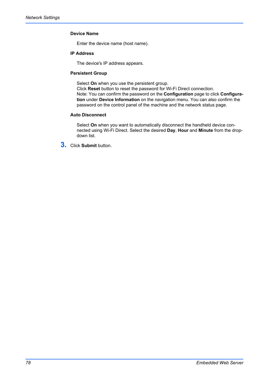# **Device Name**

Enter the device name (host name).

# **IP Address**

The device's IP address appears.

# **Persistent Group**

Select **On** when you use the persistent group.

Click **Reset** button to reset the password for Wi-Fi Direct connection. Note: You can confirm the password on the **Configuration** page to click **Configuration** under **Device Information** on the navigation menu. You can also confirm the password on the control panel of the machine and the network status page.

# **Auto Disconnect**

Select **On** when you want to automatically disconnect the handheld device connected using Wi-Fi Direct. Select the desired **Day**, **Hour** and **Minute** from the dropdown list.

**3.** Click **Submit** button.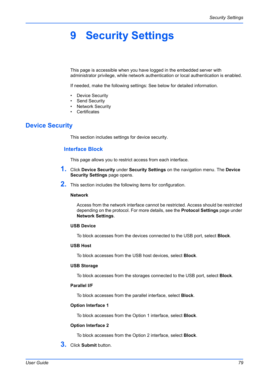# **9 Security Settings**

This page is accessible when you have logged in the embedded server with administrator privilege, while network authentication or local authentication is enabled.

If needed, make the following settings: See below for detailed information.

- **Device Security**
- Send Security
- Network Security
- Certificates

# **Device Security**

This section includes settings for device security.

# **Interface Block**

This page allows you to restrict access from each interface.

- **1.** Click **Device Security** under **Security Settings** on the navigation menu. The **Device Security Settings** page opens.
- **2.** This section includes the following items for configuration.

#### **Network**

Access from the network interface cannot be restricted. Access should be restricted depending on the protocol. For more details, see the **Protocol Settings** page under **Network Settings**.

# **USB Device**

To block accesses from the devices connected to the USB port, select **Block**.

# **USB Host**

To block accesses from the USB host devices, select **Block**.

# **USB Storage**

To block accesses from the storages connected to the USB port, select **Block**.

# **Parallel I/F**

To block accesses from the parallel interface, select **Block**.

## **Option Interface 1**

To block accesses from the Option 1 interface, select **Block**.

# **Option Interface 2**

To block accesses from the Option 2 interface, select **Block**.

**3.** Click **Submit** button.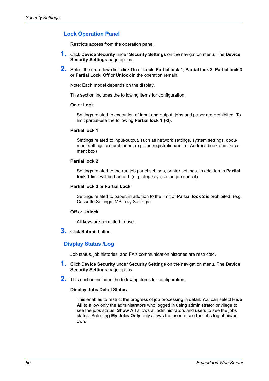# **Lock Operation Panel**

Restricts access from the operation panel.

- **1.** Click **Device Security** under **Security Settings** on the navigation menu. The **Device Security Settings** page opens.
- **2.** Select the drop-down list, click **On** or **Lock**, **Partial lock 1**, **Partial lock 2**, **Partial lock 3** or **Partial Lock**, **Off** or **Unlock** in the operation remain.

Note: Each model depends on the display.

This section includes the following items for configuration.

#### **On** or **Lock**

Settings related to execution of input and output, jobs and paper are prohibited. To limit partial-use the following **Partial lock 1 (-3)**.

#### **Partial lock 1**

Settings related to input/output, such as network settings, system settings, document settings are prohibited. (e.g. the registration/edit of Address book and Document box)

#### **Partial lock 2**

Settings related to the run job panel settings, printer settings, in addition to **Partial lock 1** limit will be banned. (e.g. stop key use the job cancel)

# **Partial lock 3** or **Partial Lock**

Settings related to paper, in addition to the limit of **Partial lock 2** is prohibited. (e.g. Cassette Settings, MP Tray Settings)

#### **Off** or **Unlock**

All keys are permitted to use.

**3.** Click **Submit** button.

# **Display Status /Log**

Job status, job histories, and FAX communication histories are restricted.

- **1.** Click **Device Security** under **Security Settings** on the navigation menu. The **Device Security Settings** page opens.
- **2.** This section includes the following items for configuration.

#### **Display Jobs Detail Status**

This enables to restrict the progress of job processing in detail. You can select **Hide All** to allow only the administrators who logged in using administrator privilege to see the jobs status. **Show All** allows all administrators and users to see the jobs status. Selecting **My Jobs Only** only allows the user to see the jobs log of his/her own.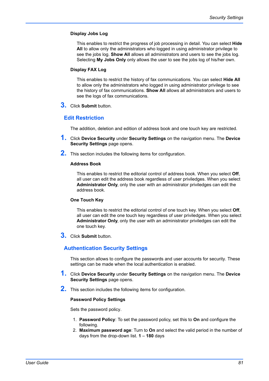# **Display Jobs Log**

This enables to restrict the progress of job processing in detail. You can select **Hide All** to allow only the administrators who logged in using administrator privilege to see the jobs log. **Show All** allows all administrators and users to see the jobs log. Selecting **My Jobs Only** only allows the user to see the jobs log of his/her own.

#### **Display FAX Log**

This enables to restrict the history of fax communications. You can select **Hide All** to allow only the administrators who logged in using administrator privilege to see the history of fax communications. **Show All** allows all administrators and users to see the logs of fax communications.

**3.** Click **Submit** button.

# **Edit Restriction**

The addition, deletion and edition of address book and one touch key are restricted.

- **1.** Click **Device Security** under **Security Settings** on the navigation menu. The **Device Security Settings** page opens.
- **2.** This section includes the following items for configuration.

#### **Address Book**

This enables to restrict the editorial control of address book. When you select **Off**, all user can edit the address book regardless of user priviledges. When you select **Administrator Only**, only the user with an administrator priviledges can edit the address book.

## **One Touch Key**

This enables to restrict the editorial control of one touch key. When you select **Off**, all user can edit the one touch key regardless of user priviledges. When you select **Administrator Only**, only the user with an administrator priviledges can edit the one touch key.

**3.** Click **Submit** button.

# **Authentication Security Settings**

This section allows to configure the passwords and user accounts for security. These settings can be made when the local authentication is enabled.

- **1.** Click **Device Security** under **Security Settings** on the navigation menu. The **Device Security Settings** page opens.
- **2.** This section includes the following items for configuration.

#### **Password Policy Settings**

Sets the password policy.

- 1. **Password Policy**: To set the password policy, set this to **On** and configure the following.
- 2. **Maximum password age**: Turn to **On** and select the valid period in the number of days from the drop-down list. **1** – **180** days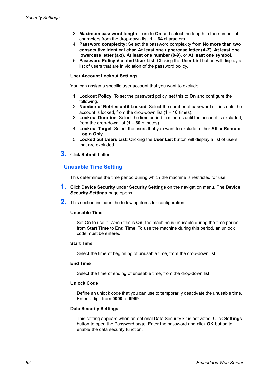- 3. **Maximum password length**: Turn to **On** and select the length in the number of characters from the drop-down list. **1** – **64** characters.
- 4. **Password complexity**: Select the password complexity from **No more than two consecutive identical char**, **At least one uppercase letter (A-Z)**, **At least one lowercase letter (a-z)**, **At least one number (0-9)**, or **At least one symbol**.
- 5. **Password Policy Violated User List**: Clicking the **User List** button will display a list of users that are in violation of the password policy.

# **User Account Lockout Settings**

You can assign a specific user account that you want to exclude.

- 1. **Lockout Policy**: To set the password policy, set this to **On** and configure the following.
- 2. **Number of Retries until Locked**: Select the number of password retries until the account is locked, from the drop-down list (**1** – **10** times).
- 3. **Lockout Duration**: Select the time period in minutes until the account is excluded, from the drop-down list (**1** – **60** minutes).
- 4. **Lockout Target**: Select the users that you want to exclude, either **All** or **Remote Login Only**.
- 5. **Locked out Users List**: Clicking the **User List** button will display a list of users that are excluded.
- **3.** Click **Submit** button.

# **Unusable Time Setting**

This determines the time period during which the machine is restricted for use.

- **1.** Click **Device Security** under **Security Settings** on the navigation menu. The **Device Security Settings** page opens.
- **2.** This section includes the following items for configuration.

#### **Unusable Time**

Set On to use it. When this is **On**, the machine is unusable during the time period from **Start Time** to **End Time**. To use the machine during this period, an unlock code must be entered.

#### **Start Time**

Select the time of beginning of unusable time, from the drop-down list.

## **End Time**

Select the time of ending of unusable time, from the drop-down list.

# **Unlock Code**

Define an unlock code that you can use to temporarily deactivate the unusable time. Enter a digit from **0000** to **9999**.

#### **Data Security Settings**

This setting appears when an optional Data Security kit is activated. Click **Settings** button to open the Password page. Enter the password and click **OK** button to enable the data security function.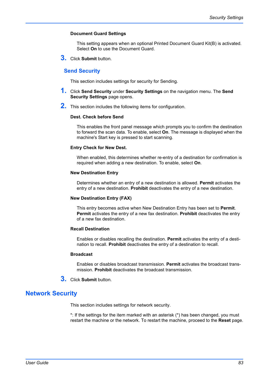## **Document Guard Settings**

This setting appears when an optional Printed Document Guard Kit(B) is activated. Select **On** to use the Document Guard.

**3.** Click **Submit** button.

# **Send Security**

This section includes settings for security for Sending.

- **1.** Click **Send Security** under **Security Settings** on the navigation menu. The **Send Security Settings** page opens.
- **2.** This section includes the following items for configuration.

#### **Dest. Check before Send**

This enables the front panel message which prompts you to confirm the destination to forward the scan data. To enable, select **On**. The message is displayed when the machine's Start key is pressed to start scanning.

#### **Entry Check for New Dest.**

When enabled, this determines whether re-entry of a destination for confirmation is required when adding a new destination. To enable, select **On**.

#### **New Destination Entry**

Determines whether an entry of a new destination is allowed. **Permit** activates the entry of a new destination. **Prohibit** deactivates the entry of a new destination.

#### **New Destination Entry (FAX)**

This entry becomes active when New Destination Entry has been set to **Permit**. **Permit** activates the entry of a new fax destination. **Prohibit** deactivates the entry of a new fax destination.

#### **Recall Destination**

Enables or disables recalling the destination. **Permit** activates the entry of a destination to recall. **Prohibit** deactivates the entry of a destination to recall.

#### **Broadcast**

Enables or disables broadcast transmission. **Permit** activates the broadcast transmission. **Prohibit** deactivates the broadcast transmission.

**3.** Click **Submit** button.

# **Network Security**

This section includes settings for network security.

\*: If the settings for the item marked with an asterisk (\*) has been changed, you must restart the machine or the network. To restart the machine, proceed to the **Reset** page.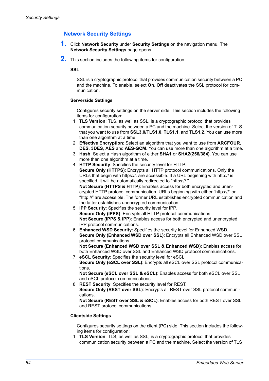# **Network Security Settings**

- **1.** Click **Network Security** under **Security Settings** on the navigation menu. The **Network Security Settings** page opens.
- **2.** This section includes the following items for configuration.

#### **SSL**

SSL is a cryptographic protocol that provides communication security between a PC and the machine. To enable, select **On**. **Off** deactivates the SSL protocol for communication.

# **Serverside Settings**

Configures security settings on the server side. This section includes the following items for configuration:

- 1. **TLS Version**: TLS, as well as SSL, is a cryptographic protocol that provides communication security between a PC and the machine. Select the version of TLS that you want to use from **SSL3.0/TLS1.0**, **TLS1.1**, and **TLS1.2**. You can use more than one algorithm at a time.
- 2. **Effective Encryption**: Select an algorithm that you want to use from **ARCFOUR**, **DES**, **3DES**, **AES** and **AES-GCM**. You can use more than one algorithm at a time.
- 3. **Hash**: Select a Hash algorithm of either **SHA1** or **SHA2(256/384)**. You can use more than one algorithm at a time.
- 4. **HTTP Security**: Specifies the security level for HTTP. **Secure Only (HTTPS)**: Encrypts all HTTP protocol communications. Only the URLs that begin with https://. are accessible. If a URL beginning with http:// is specified, it will be automatically redirected to "https://." **Not Secure (HTTPS & HTTP)**: Enables access for both encrypted and unencrypted HTTP protocol communication. URLs beginning with either "https://" or "http://" are accessible. The former URL establishes encrypted communication and the latter establishes unencrypted communication.
- 5. **IPP Security**: Specifies the security level for IPP. **Secure Only (IPPS)**: Encrypts all HTTP protocol communications. **Not Secure (IPPS & IPP)**: Enables access for both encrypted and unencrypted IPP protocol communications.
- 6. **Enhanced WSD Security**: Specifies the security level for Enhanced WSD. **Secure Only (Enhanced WSD over SSL)**: Encrypts all Enhanced WSD over SSL protocol communications. **Not Secure (Enhanced WSD over SSL & Enhanced WSD)**: Enables access for both Enhanced WSD over SSL and Enhanced WSD protocol communications.
- 7. **eSCL Security**: Specifies the security level for eSCL. **Secure Only (eSCL over SSL)**: Encrypts all eSCL over SSL protocol communications.

**Not Secure (eSCL over SSL & eSCL)**: Enables access for both eSCL over SSL and eSCL protocol communications.

8. **REST Security**: Specifies the security level for REST. **Secure Only (REST over SSL)**: Encrypts all REST over SSL protocol communications.

**Not Secure (REST over SSL & eSCL)**: Enables access for both REST over SSL and REST protocol communications.

#### **Clientside Settings**

Configures security settings on the client (PC) side. This section includes the following items for configuration:

1. **TLS Version**: TLS, as well as SSL, is a cryptographic protocol that provides communication security between a PC and the machine. Select the version of TLS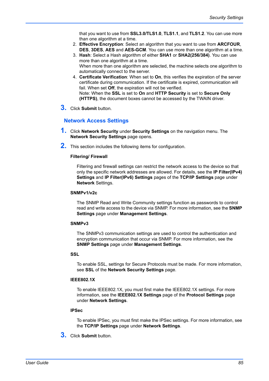that you want to use from **SSL3.0/TLS1.0**, **TLS1.1**, and **TLS1.2**. You can use more than one algorithm at a time.

- 2. **Effective Encryption**: Select an algorithm that you want to use from **ARCFOUR**, **DES**, **3DES**, **AES** and **AES-GCM**. You can use more than one algorithm at a time.
- 3. **Hash**: Select a Hash algorithm of either **SHA1** or **SHA2(256/384)**. You can use more than one algorithm at a time. When more than one algorithm are selected, the machine selects one algorithm to automatically connect to the server.
- 4. **Certificate Verification**: When set to **On**, this verifies the expiration of the server certificate during communication. If the certificate is expired, communication will fail. When set **Off**, the expiration will not be verified. Note: When the **SSL** is set to **On** and **HTTP Security** is set to **Secure Only (HTTPS)**, the document boxes cannot be accessed by the TWAIN driver.
- **3.** Click **Submit** button.

# **Network Access Settings**

- **1.** Click **Network Security** under **Security Settings** on the navigation menu. The **Network Security Settings** page opens.
- **2.** This section includes the following items for configuration.

# **Filtering/ Firewall**

Filtering and firewall settings can restrict the network access to the device so that only the specific network addresses are allowed. For details, see the **IP Filter(IPv4) Settings** and **IP Filter(IPv6) Settings** pages of the **TCP/IP Settings** page under **Network** Settings.

# **SNMPv1/v2c**

The SNMP Read and Write Community settings function as passwords to control read and write access to the device via SNMP. For more information, see the **SNMP Settings** page under **Management Settings**.

#### **SNMPv3**

The SNMPv3 communication settings are used to control the authentication and encryption communication that occur via SNMP. For more information, see the **SNMP Settings** page under **Management Settings**.

#### **SSL**

To enable SSL, settings for Secure Protocols must be made. For more information, see **SSL** of the **Network Security Settings** page.

# **IEEE802.1X**

To enable IEEE802.1X, you must first make the IEEE802.1X settings. For more information, see the **IEEE802.1X Settings** page of the **Protocol Settings** page under **Network Settings**.

# **IPSec**

To enable IPSec, you must first make the IPSec settings. For more information, see the **TCP/IP Settings** page under **Network Settings**.

**3.** Click **Submit** button.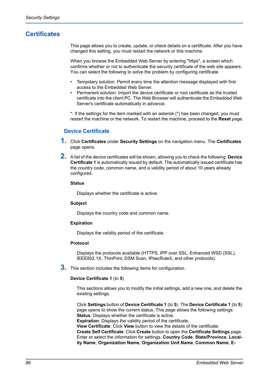# **Certificates**

This page allows you to create, update, or check details on a certificate. After you have changed this setting, you must restart the network or this machine.

When you browse the Embedded Web Server by entering "https", a screen which confirms whether or not to authenticate the security certificate of the web site appears. You can select the following to solve the problem by configuring certificate.

- Tempolary solution: Permit every time the attention message displayed with first access to the Embedded Web Server.
- Permanent solution: Import the device certificate or root certificate as the trusted certificate into the client PC. The Web Browser will authenticate the Embedded Web Server's certificate automatically in advance.

\*: If the settings for the item marked with an asterisk (\*) has been changed, you must restart the machine or the network. To restart the machine, proceed to the **Reset** page.

# **Device Certificate**

- **1.** Click **Certificates** under **Security Settings** on the navigation menu. The **Certificates**  page opens.
- **2.** A list of the device certificates will be shown, allowing you to check the following: **Device Certificate 1** is automatically issued by default. The automatically issued certificate has the country code, common name, and a validity period of about 10 years already configured.

## **Status**

Displays whether the certificate is active.

#### **Subject**

Displays the country code and common name.

#### **Expiration**

Displays the validity period of the certificate.

#### **Protocol**

Displays the protocols available (HTTPS, IPP over SSL, Enhanced WSD (SSL), IEEE802.1X, ThinPrint, DSM Scan, IPsecRuleX, and other protocols).

**3.** This section includes the following items for configuration.

#### **Device Certificate 1** (to **5**)

This sections allows you to modify the initial settings, add a new one, and delete the existing settings.

Click **Settings** button of **Device Certificate 1** (to **5**). The **Device Certificate 1** (to **5**) page opens to show the current status. This page allows the following settings: **Status**: Displays whether the certificate is active.

**Expiration**: Displays the validity period of the certificate.

**View Certificate**: Click **View** button to view the details of the certificate.

**Create Self Certificate**: Click **Create** button to open the **Certificate Settings** page. Enter or select the information for settings. **Country Code**, **State/Province**, **Locality Name**, **Organization Name**, **Organization Unit Name**, **Common Name**, **E-**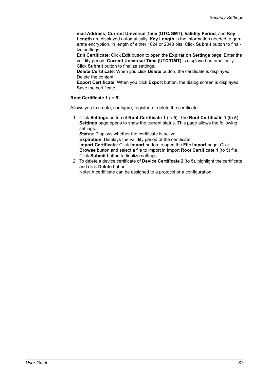**mail Address**, **Current Universal Time (UTC/GMT)**, **Validity Period**, and **Key Length** are displayed automatically. **Key Length** is the information needed to generate encryption, in length of either 1024 or 2048 bits. Click **Submit** button to finalize settings.

**Edit Certificate**: Click **Edit** button to open the **Expiration Settings** page. Enter the validity period. **Current Universal Time (UTC/GMT)** is displayed automatically. Click **Submit** button to finalize settings.

**Delete Certificate**: When you click **Delete** button, the certificate is displayed. Delete the content.

**Export Certificate**: When you click **Export** button, the dialog screen is displayed. Save the certificate.

# **Root Certificate 1** (to **5**)

Allows you to create, configure, register, or delete the certificate.

1. Click **Settings** button of **Root Certificate 1** (to **5**). The **Root Certificate 1** (to **5**) **Settings** page opens to show the current status. This page allows the following settings:

**Status**: Displays whether the certificate is active. **Expiration**: Displays the validity period of the certificate. **Import Certificate**: Click **Import** button to open the **File Import** page. Click **Browse** button and select a file to import in Import **Root Certificate 1** (to **5**) file. Click **Submit** button to finalize settings.

2. To delete a device certificate of **Device Certificate 2** (to **5**), highlight the certificate and click **Delete** button.

Note: A certificate can be assigned to a protocol or a configuration.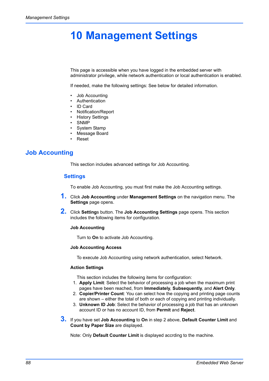# **10 Management Settings**

This page is accessible when you have logged in the embedded server with administrator privilege, while network authentication or local authentication is enabled.

If needed, make the following settings: See below for detailed information.

- Job Accounting
- **Authentication**
- ID Card
- Notification/Report
- History Settings
- SNMP
- System Stamp
- Message Board
- Reset

# **Job Accounting**

This section includes advanced settings for Job Accounting.

# **Settings**

To enable Job Accounting, you must first make the Job Accounting settings.

- **1.** Click **Job Accounting** under **Management Settings** on the navigation menu. The **Settings** page opens.
- **2.** Click **Setting**s button. The **Job Accounting Settings** page opens. This section includes the following items for configuration.

#### **Job Accounting**

Turn to **On** to activate Job Accounting.

#### **Job Accounting Access**

To execute Job Accounting using network authentication, select Network.

#### **Action Settings**

This section includes the following items for configuration:

- 1. **Apply Limit**: Select the behavior of processing a job when the maximum print pages have been reached, from **Immediately**, **Subsequently**, and **Alert Only**.
- 2. **Copier/Printer Count**: You can select how the copying and printing page counts are shown – either the total of both or each of copying and printing individually.
- 3. **Unknown ID Job**: Select the behavior of processing a job that has an unknown account ID or has no account ID, from **Permit** and **Reject**.
- **3.** If you have set **Job Accounting** to **On** in step 2 above, **Default Counter Limit** and **Count by Paper Size** are displayed.

Note: Only **Default Counter Limit** is displayed accrding to the machine.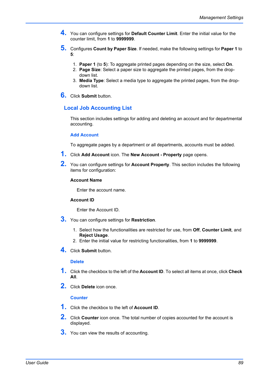- **4.** You can configure settings for **Default Counter Limit**. Enter the initial value for the counter limit, from **1** to **9999999**.
- **5.** Configures **Count by Paper Size**. If needed, make the following settings for **Paper 1** to **5**:
	- 1. **Paper 1** (to **5**): To aggregate printed pages depending on the size, select **On**.
	- 2. **Page Size**: Select a paper size to aggregate the printed pages, from the dropdown list.
	- 3. **Media Type**: Select a media type to aggregate the printed pages, from the dropdown list.
- **6.** Click **Submit** button.

# **Local Job Accounting List**

This section includes settings for adding and deleting an account and for departmental accounting.

# **Add Account**

To aggregate pages by a department or all departments, accounts must be added.

- **1.** Click **Add Account** icon. The **New Account Property** page opens.
- **2.** You can configure settings for **Account Property**. This section includes the following items for configuration:

# **Account Name**

Enter the account name.

#### **Account ID**

Enter the Account ID.

- **3.** You can configure settings for **Restriction**.
	- 1. Select how the functionalities are restricted for use, from **Off**, **Counter Limit**, and **Reject Usage**.
	- 2. Enter the initial value for restricting functionalities, from **1** to **9999999**.
- **4.** Click **Submit** button.

#### **Delete**

- **1.** Click the checkbox to the left of the **Account ID**. To select all items at once, click **Check All**.
- **2.** Click **Delete** icon once.

# **Counter**

- **1.** Click the checkbox to the left of **Account ID**.
- **2.** Click **Counter** icon once. The total number of copies accounted for the account is displayed.
- **3.** You can view the results of accounting.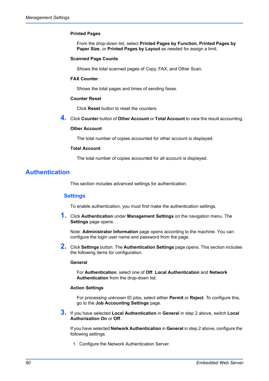# **Printed Pages**

From the drop-down list, select **Printed Pages by Function**, **Printed Pages by Paper Size**, or **Printed Pages by Layout** as needed for assign a limit.

#### **Scanned Page Counts**

Shows the total scanned pages of Copy, FAX, and Other Scan.

#### **FAX Counter**

Shows the total pages and times of sending faxes.

#### **Counter Reset**

Click **Reset** button to reset the counters.

**4.** Click **Counter** button of **Other Account** or **Total Account** to view the result accounting.

## **Other Account**

The total number of copies accounted for other account is displayed.

#### **Total Account**

The total number of copies accounted for all account is displayed.

# <span id="page-93-0"></span>**Authentication**

This section includes advanced settings for authentication.

# **Settings**

To enable authentication, you must first make the authentication settings.

**1.** Click **Authentication** under **Management Settings** on the navigation menu. The **Settings** page opens.

Note: **Administrator Information** page opens according to the machine. You can configure the login user name and password from the page.

**2.** Click **Settings** button. The **Authentication Settings** page opens. This section includes the following items for configuration.

#### **General**

For **Authentication**, select one of **Off**, **Local Authentication** and **Network Authentication** from the drop-down list.

#### **Action Settings**

For processing unknown ID jobs, select either **Permit** or **Reject**. To configure this, go to the **Job Accounting Settings** page.

**3.** If you have selected **Local Authentication** in **General** in step 2 above, switch **Local Authorization On** or **Off**.

If you have selected **Network Authentication** in **General** in step 2 above, configure the following settings.

1. Configure the Network Authentication Server.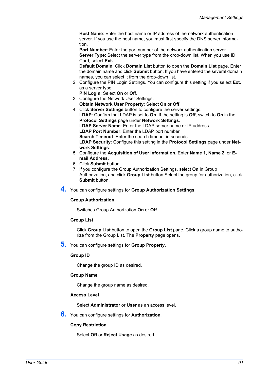**Host Name**: Enter the host name or IP address of the network authentication server. If you use the host name, you must first specify the DNS server information.

**Port Number:** Enter the port number of the network authentication server. **Server Type:** Select the server type from the drop-down list. When you use ID Card, select **Ext.**.

**Default Domain**: Click **Domain List** button to open the **Domain List** page. Enter the domain name and click **Submit** button. If you have entered the several domain names, you can select it from the drop-down list.

- 2. Configure the PIN Login Settings. You can configure this setting if you select **Ext.** as a server type.
	- **PIN Login**: Select **On** or **Off**.
- 3. Configure the Network User Settings. **Obtain Network User Property**: Select **On** or **Off**.
- 4. Click **Server Settings** button to configure the server settings. **LDAP**: Confirm that LDAP is set to **On**. If the setting is **Off**, switch to **On** in the **Protocol Settings** page under **Network Settings**. **LDAP Server Name**: Enter the LDAP server name or IP address. **LDAP Port Number**: Enter the LDAP port number. **Search Timeout**: Enter the search timeout in seconds. **LDAP Security**: Configure this setting in the **Protocol Settings** page under **Network Settings**.
- 5. Configure the **Acquisition of User Information**. Enter **Name 1**, **Name 2**, or **Email Address**.
- 6. Click **Submit** button.
- 7. If you configure the Group Authorization Settings, select **On** in Group Authorization, and click **Group List** button.Select the group for authorization, click **Submit** button.
- **4.** You can configure settings for **Group Authorization Settings**.

#### **Group Authorization**

Switches Group Authorization **On** or **Off**.

#### **Group List**

Click **Group List** button to open the **Group List** page. Click a group name to authorize from the Group List. The **Property** page opens.

**5.** You can configure settings for **Group Property**.

#### **Group ID**

Change the group ID as desired.

#### **Group Name**

Change the group name as desired.

# **Access Level**

Select **Administrator** or **User** as an access level.

**6.** You can configure settings for **Authorization**.

# **Copy Restriction**

Select **Off** or **Reject Usage** as desired.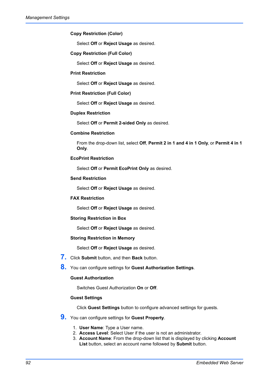# **Copy Restriction (Color)**

Select **Off** or **Reject Usage** as desired.

# **Copy Restriction (Full Color)**

Select **Off** or **Reject Usage** as desired.

#### **Print Restriction**

Select **Off** or **Reject Usage** as desired.

# **Print Restriction (Full Color)**

Select **Off** or **Reject Usage** as desired.

# **Duplex Restriction**

Select **Off** or **Permit 2-sided Only** as desired.

# **Combine Restriction**

From the drop-down list, select **Off**, **Permit 2 in 1 and 4 in 1 Only**, or **Permit 4 in 1 Only**.

# **EcoPrint Restriction**

Select **Off** or **Permit EcoPrint Only** as desired.

# **Send Restriction**

Select **Off** or **Reject Usage** as desired.

#### **FAX Restriction**

Select **Off** or **Reject Usage** as desired.

#### **Storing Restriction in Box**

Select **Off** or **Reject Usage** as desired.

#### **Storing Restriction in Memory**

Select **Off** or **Reject Usage** as desired.

**7.** Click **Submit** button, and then **Back** button.

**8.** You can configure settings for **Guest Authorization Settings**.

#### **Guest Authorization**

Switches Guest Authorization **On** or **Off**.

#### **Guest Settings**

Click **Guest Settings** button to configure advanced settings for guests.

# **9.** You can configure settings for **Guest Property**.

- 1. **User Name**: Type a User name.
- 2. **Access Level**: Select User if the user is not an administrator.
- 3. **Account Name**: From the drop-down list that is displayed by clicking **Account List** button, select an account name followed by **Submit** button.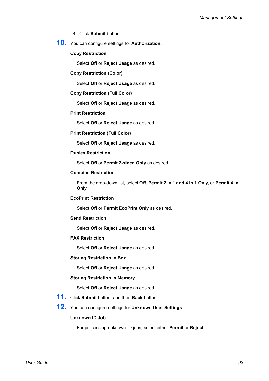- 4. Click **Submit** button.
- **10.** You can configure settings for **Authorization**.

# **Copy Restriction**

Select **Off** or **Reject Usage** as desired.

# **Copy Restriction (Color)**

Select **Off** or **Reject Usage** as desired.

# **Copy Restriction (Full Color)**

Select **Off** or **Reject Usage** as desired.

# **Print Restriction**

Select **Off** or **Reject Usage** as desired.

# **Print Restriction (Full Color)**

Select **Off** or **Reject Usage** as desired.

# **Duplex Restriction**

Select **Off** or **Permit 2-sided Only** as desired.

# **Combine Restriction**

From the drop-down list, select **Off**, **Permit 2 in 1 and 4 in 1 Only**, or **Permit 4 in 1 Only**.

# **EcoPrint Restriction**

Select **Off** or **Permit EcoPrint Only** as desired.

#### **Send Restriction**

Select **Off** or **Reject Usage** as desired.

# **FAX Restriction**

Select **Off** or **Reject Usage** as desired.

#### **Storing Restriction in Box**

Select **Off** or **Reject Usage** as desired.

#### **Storing Restriction in Memory**

Select **Off** or **Reject Usage** as desired.

**11.** Click **Submit** button, and then **Back** button.

# **12.** You can configure settings for **Unknown User Settings**.

# **Unknown ID Job**

For processing unknown ID jobs, select either **Permit** or **Reject**.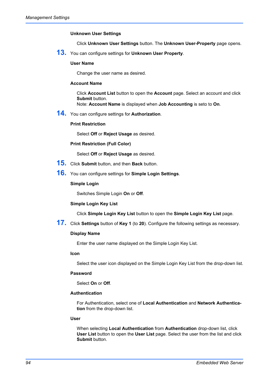# **Unknown User Settings**

Click **Unknown User Settings** button. The **Unknown User-Property** page opens.

**13.** You can configure settings for **Unknown User Property**.

# **User Name**

Change the user name as desired.

# **Account Name**

Click **Account List** button to open the **Account** page. Select an account and click **Submit** button.

Note: **Account Name** is displayed when **Job Accounting** is seto to **On**.

**14.** You can configure settings for **Authorization**.

# **Print Restriction**

Select **Off** or **Reject Usage** as desired.

## **Print Restriction (Full Color)**

Select **Off** or **Reject Usage** as desired.

- **15.** Click **Submit** button, and then **Back** button.
- **16.** You can configure settings for **Simple Login Settings**.

#### **Simple Login**

Switches Simple Login **On** or **Off**.

#### **Simple Login Key List**

Click **Simple Login Key List** button to open the **Simple Login Key List** page.

**17.** Click **Settings** button of **Key 1** (to **20**). Configure the following settings as necessary.

# **Display Name**

Enter the user name displayed on the Simple Login Key List.

#### **Icon**

Select the user icon displayed on the Simple Login Key List from the drop-down list.

## **Password**

Select **On** or **Off**.

#### **Authentication**

For Authentication, select one of **Local Authentication** and **Network Authentication** from the drop-down list.

#### **User**

When selecting **Local Authentication** from **Authentication** drop-down list, click **User List** button to open the **User List** page. Select the user from the list and click **Submit** button.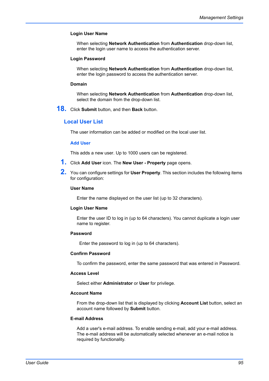# **Login User Name**

When selecting **Network Authentication** from **Authentication** drop-down list, enter the login user name to access the authentication server.

#### **Login Password**

When selecting **Network Authentication** from **Authentication** drop-down list, enter the login password to access the authentication server.

#### **Domain**

When selecting **Network Authentication** from **Authentication** drop-down list, select the domain from the drop-down list.

**18.** Click **Submit** button, and then **Back** button.

# **Local User List**

The user information can be added or modified on the local user list.

#### **Add User**

This adds a new user. Up to 1000 users can be registered.

- **1.** Click **Add User** icon. The **New User Property** page opens.
- **2.** You can configure settings for **User Property**. This section includes the following items for configuration:

#### **User Name**

Enter the name displayed on the user list (up to 32 characters).

#### **Login User Name**

Enter the user ID to log in (up to 64 characters). You cannot duplicate a login user name to register.

#### **Password**

Enter the password to log in (up to 64 characters).

#### **Confirm Password**

To confirm the password, enter the same password that was entered in Password.

#### **Access Level**

Select either **Administrator** or **User** for privilege.

#### **Account Name**

From the drop-down list that is displayed by clicking **Account List** button, select an account name followed by **Submit** button.

#### **E-mail Address**

Add a user's e-mail address. To enable sending e-mail, add your e-mail address. The e-mail address will be automatically selected whenever an e-mail notice is required by functionality.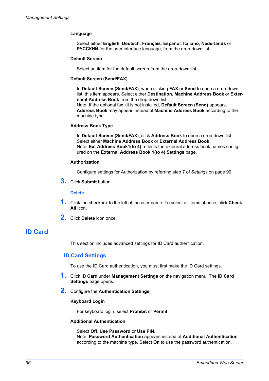# **Language**

Select either **English**, **Deutsch**, **Français**, **Español**, **Italiano**, **Nederlands** or **РУССКИЙ** for the user interface language, from the drop-down list.

# **Default Screen**

Select an item for the default screen from the drop-down list.

### **Default Screen (Send/FAX)**

In **Default Screen (Send/FAX)**, when clicking **FAX** or **Send** to open a drop-down list, this item appears. Select either **Destination**, **Machine Address Book** or **Externaml Address Book** from the drop-down list.

Note: If the optional fax kit is not installed, **Default Screen (Send)** appears. **Address Book** may appear instead of **Machine Address Book** according to the machine type.

# **Address Book Type**

In **Default Screen (Send/FAX)**, click **Address Book** to open a drop-down list. Select either **Machine Address Book** or **External Address Book**. Note: **Ext Address Book1(to 4)** reflects the external address book names configured on the **External Address Book 1(to 4) Settings** page.

#### **Authorization**

Configure settings for Authorization by referring step 7 of *Settings* [on page 90](#page-93-0).

**3.** Click **Submit** button.

# **Delete**

- **1.** Click the checkbox to the left of the user name. To select all items at once, click **Check All** icon.
- **2.** Click **Delete** icon once.

# **ID Card**

This section includes advanced settings for ID Card authentication.

# **ID Card Settings**

To use the ID Card authentication, you must first make the ID Card settings.

- **1.** Click **ID Card** under **Management Settings** on the navigation menu. The **ID Card Settings** page opens.
- **2.** Configure the **Authentication Settings**.

# **Keyboard Login**

For keyboard login, select **Prohibit** or **Permit**.

#### **Additional Authentication**

Select **Off**, **Use Password** or **Use PIN**. Note: **Password Authentication** appears instead of **Additional Authentication** according to the machine type. Select **On** to use the password authentication.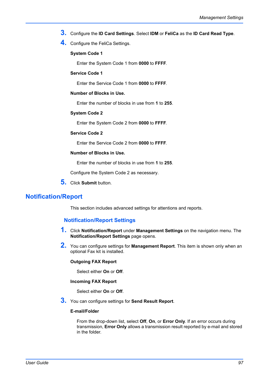- **3.** Configure the **ID Card Settings**. Select **IDM** or **FeliCa** as the **ID Card Read Type**.
- **4.** Configure the FeliCa Settings.

# **System Code 1**

Enter the System Code 1 from **0000** to **FFFF**.

# **Service Code 1**

Enter the Service Code 1 from **0000** to **FFFF**.

# **Number of Blocks in Use.**

Enter the number of blocks in use from **1** to **255**.

# **System Code 2**

Enter the System Code 2 from **0000** to **FFFF**.

# **Service Code 2**

Enter the Service Code 2 from **0000** to **FFFF**.

# **Number of Blocks in Use.**

Enter the number of blocks in use from **1** to **255**.

Configure the System Code 2 as necessary.

**5.** Click **Submit** button.

# **Notification/Report**

This section includes advanced settings for attentions and reports.

# **Notification/Report Settings**

- **1.** Click **Notification/Report** under **Management Settings** on the navigation menu. The **Notification/Report Settings** page opens.
- **2.** You can configure settings for **Management Report**. This item is shown only when an optional Fax kit is installed.

## **Outgoing FAX Report**

Select either **On** or **Off**.

#### **Incoming FAX Report**

Select either **On** or **Off**.

**3.** You can configure settings for **Send Result Report**.

# **E-mail/Folder**

From the drop-down list, select **Off**, **On**, or **Error Only**. If an error occurs during transmission, **Error Only** allows a transmission result reported by e-mail and stored in the folder.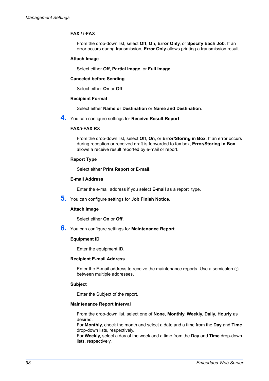# **FAX / i-FAX**

From the drop-down list, select **Off**, **On**, **Error Only**, or **Specify Each Job**. If an error occurs during transmission, **Error Only** allows printing a transmission result.

# **Attach Image**

Select either **Off**, **Partial Image**, or **Full Image**.

#### **Canceled before Sending**

Select either **On** or **Off**.

#### **Recipient Format**

Select either **Name or Destination** or **Name and Destination**.

**4.** You can configure settings for **Receive Result Report**.

# **FAX/i-FAX RX**

From the drop-down list, select **Off**, **On**, or **Error/Storing in Box**. If an error occurs during reception or received draft is forwarded to fax box, **Error/Storing in Box** allows a receive result reported by e-mail or report.

## **Report Type**

Select either **Print Report** or **E-mail**.

#### **E-mail Address**

Enter the e-mail address if you select **E-mail** as a report type.

**5.** You can configure settings for **Job Finish Notice**.

#### **Attach Image**

Select either **On** or **Off**.

**6.** You can configure settings for **Maintenance Report**.

#### **Equipment ID**

Enter the equipment ID.

#### **Recipient E-mail Address**

Enter the E-mail address to receive the maintenance reports. Use a semicolon (;) between multiple addresses.

# **Subject**

Enter the Subject of the report.

# **Maintenance Report Interval**

From the drop-down list, select one of **None**, **Monthly**, **Weekly**, **Daily**, **Hourly** as desired.

For **Monthly**, check the month and select a date and a time from the **Day** and **Time** drop-down lists, respectively.

For **Weekly**, select a day of the week and a time from the **Day** and **Time** drop-down lists, respectively.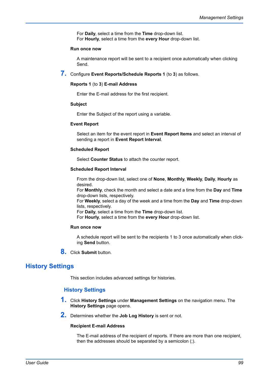For **Daily**, select a time from the **Time** drop-down list. For **Hourly**, select a time from the **every Hour** drop-down list.

## **Run once now**

A maintenance report will be sent to a recipient once automatically when clicking Send.

# **7.** Configure **Event Reports/Schedule Reports 1** (to **3**) as follows.

# **Reports 1** (to **3**) **E-mail Address**

Enter the E-mail address for the first recipient.

#### **Subject**

Enter the Subject of the report using a variable.

# **Event Report**

Select an item for the event report in **Event Report Items** and select an interval of sending a report in **Event Report Interval**.

# **Scheduled Report**

Select **Counter Status** to attach the counter report.

# **Scheduled Report Interval**

From the drop-down list, select one of **None**, **Monthly**, **Weekly**, **Daily**, **Hourly** as desired.

For **Monthly**, check the month and select a date and a time from the **Day** and **Time** drop-down lists, respectively.

For **Weekly**, select a day of the week and a time from the **Day** and **Time** drop-down lists, respectively.

For **Daily**, select a time from the **Time** drop-down list.

For **Hourly**, select a time from the **every Hour** drop-down list.

#### **Run once now**

A schedule report will be sent to the recipients 1 to 3 once automatically when clicking **Send** button.

**8.** Click **Submit** button.

# **History Settings**

This section includes advanced settings for histories.

# **History Settings**

- **1.** Click **History Settings** under **Management Settings** on the navigation menu. The **History Settings** page opens.
- **2.** Determines whether the **Job Log History** is sent or not.

#### **Recipient E-mail Address**

The E-mail address of the recipient of reports. If there are more than one recipient, then the addresses should be separated by a semicolon (;).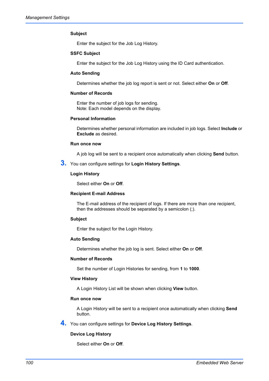# **Subject**

Enter the subject for the Job Log History.

## **SSFC Subject**

Enter the subject for the Job Log History using the ID Card authentication.

# **Auto Sending**

Determines whether the job log report is sent or not. Select either **On** or **Off**.

# **Number of Records**

Enter the number of job logs for sending. Note: Each model depends on the display.

#### **Personal Information**

Determines whether personal information are included in job logs. Select **Include** or **Exclude** as desired.

#### **Run once now**

A job log will be sent to a recipient once automatically when clicking **Send** button.

**3.** You can configure settings for **Login History Settings**.

#### **Login History**

Select either **On** or **Off**.

#### **Recipient E-mail Address**

The E-mail address of the recipient of logs. If there are more than one recipient, then the addresses should be separated by a semicolon (;).

#### **Subject**

Enter the subject for the Login History.

#### **Auto Sending**

Determines whether the job log is sent. Select either **On** or **Off**.

#### **Number of Records**

Set the number of Login Histories for sending, from **1** to **1000**.

## **View History**

A Login History List will be shown when clicking **View** button.

#### **Run once now**

A Login History will be sent to a recipient once automatically when clicking **Send** button.

**4.** You can configure settings for **Device Log History Settings**.

#### **Device Log History**

Select either **On** or **Off**.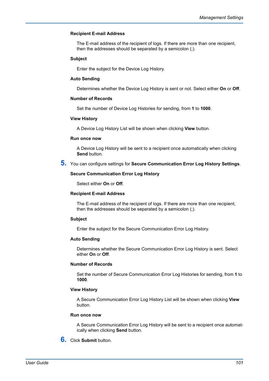# **Recipient E-mail Address**

The E-mail address of the recipient of logs. If there are more than one recipient, then the addresses should be separated by a semicolon (;).

# **Subject**

Enter the subject for the Device Log History.

#### **Auto Sending**

Determines whether the Device Log History is sent or not. Select either **On** or **Off**.

#### **Number of Records**

Set the number of Device Log Histories for sending, from **1** to **1000**.

# **View History**

A Device Log History List will be shown when clicking **View** button.

#### **Run once now**

A Device Log History will be sent to a recipient once automatically when clicking **Send** button.

**5.** You can configure settings for **Secure Communication Error Log History Settings**.

#### **Secure Communication Error Log History**

Select either **On** or **Off**.

#### **Recipient E-mail Address**

The E-mail address of the recipient of logs. If there are more than one recipient, then the addresses should be separated by a semicolon (;).

#### **Subject**

Enter the subject for the Secure Communication Error Log History.

#### **Auto Sending**

Determines whether the Secure Communication Error Log History is sent. Select either **On** or **Off**.

# **Number of Records**

Set the number of Secure Communication Error Log Histories for sending, from **1** to **1000**.

#### **View History**

A Secure Communication Error Log History List will be shown when clicking **View** button.

#### **Run once now**

A Secure Communication Error Log History will be sent to a recipient once automatically when clicking **Send** button.

**6.** Click **Submit** button.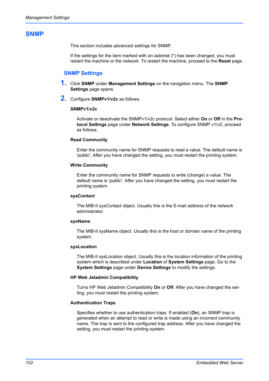# **SNMP**

This section includes advanced settings for SNMP.

If the settings for the item marked with an asterisk (\*) has been changed, you must restart the machine or the network. To restart the machine, proceed to the **Reset** page.

# **SNMP Settings**

- **1.** Click **SNMP** under **Management Settings** on the navigation menu. The **SNMP Settings** page opens.
- **2.** Configure **SNMPv1/v2c** as follows.

#### **SNMPv1/v2c**

Activate or deactivate the SNMPv1/v2c protocol. Select either **On** or **Off** in the **Protocol Settings** page under **Network Settings**. To configure SNMP v1/v2, proceed as follows.

#### **Read Community**

Enter the community name for SNMP requests to read a value. The default name is 'public'. After you have changed the setting, you must restart the printing system.

#### **Write Community**

Enter the community name for SNMP requests to write (change) a value. The default name is 'public'. After you have changed the setting, you must restart the printing system.

## **sysContact**

The MIB-II sysContact object. Usually this is the E-mail address of the network administrator.

#### **sysName**

The MIB-II sysName object. Usually this is the host or domain name of the printing system.

# **sysLocation**

The MIB-II sysLocation object. Usually this is the location information of the printing system which is described under **Location** of **System Settings** page. Go to the **System Settings** page under **Device Settings** to modify the settings.

#### **HP Web Jetadmin Compatibility**

Turns HP Web Jetadmin Compatibility **On** or **Off**. After you have changed the setting, you must restart the printing system.

#### **Authentication Traps**

Specifies whether to use authentication traps. If enabled (**On**), an SNMP trap is generated when an attempt to read or write is made using an incorrect community name. The trap is sent to the configured trap address. After you have changed the setting, you must restart the printing system.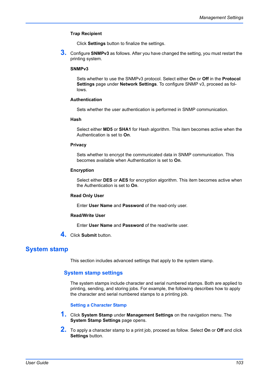# **Trap Recipient**

Click **Settings** button to finalize the settings.

**3.** Configure **SNMPv3** as follows. After you have changed the setting, you must restart the printing system.

#### **SNMPv3**

Sets whether to use the SNMPv3 protocol. Select either **On** or **Off** in the **Protocol Settings** page under **Network Settings**. To configure SNMP v3, proceed as follows.

# **Authentication**

Sets whether the user authentication is performed in SNMP communication.

#### **Hash**

Select either **MD5** or **SHA1** for Hash algorithm. This item becomes active when the Authentication is set to **On**.

#### **Privacy**

Sets whether to encrypt the communicated data in SNMP communication. This becomes available when Authentication is set to **On**.

#### **Encryption**

Select either **DES** or **AES** for encryption algorithm. This item becomes active when the Authentication is set to **On**.

#### **Read Only User**

Enter **User Name** and **Password** of the read-only user.

## **Read/Write User**

Enter **User Name** and **Password** of the read/write user.

**4.** Click **Submit** button.

# **System stamp**

This section includes advanced settings that apply to the system stamp.

# **System stamp settings**

The system stamps include character and serial numbered stamps. Both are applied to printing, sending, and storing jobs. For example, the following describes how to apply the character and serial numbered stamps to a printing job.

# **Setting a Character Stamp**

- **1.** Click **System Stamp** under **Management Settings** on the navigation menu. The **System Stamp Settings** page opens.
- **2.** To apply a character stamp to a print job, proceed as follow. Select **On** or **Off** and click **Settings** button.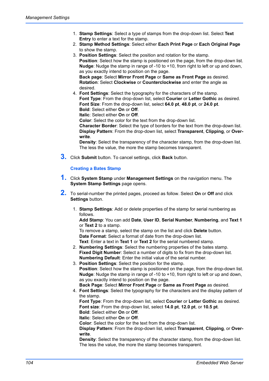- 1. **Stamp Settings**: Select a type of stamps from the drop-down list. Select **Text Entry** to enter a text for the stamp.
- 2. **Stamp Method Settings**: Select either **Each Print Page** or **Each Original Page** to show the stamp.
- 3. **Position Settings**: Select the position and rotation for the stamp. **Position**: Select how the stamp is positioned on the page, from the drop-down list. **Nudge**: Nudge the stamp in range of -10 to +10, from right to left or up and down, as you exactly intend to position on the page. **Back page**: Select **Mirror Front Page** or **Same as Front Page** as desired.

**Rotation**: Select **Clockwise** or **Counterclockwise** and enter the angle as desired.

4. **Font Settings**: Select the typography for the characters of the stamp. **Font Type**: From the drop-down list, select **Courier** or **Letter Gothic** as desired. **Font Size**: From the drop-down list, select **64.0 pt**, **48.0 pt**, or **24.0 pt**. **Bold**: Select either **On** or **Off**.

**Italic**: Select either **On** or **Off**.

**Color**: Select the color for the text from the drop-down list.

**Character Border**: Select the type of borders for the text from the drop-down list. **Display Pattern**: From the drop-down list, select **Transparent**, **Clipping**, or **Overwrite**.

**Density**: Select the transparency of the character stamp, from the drop-down list. The less the value, the more the stamp becomes transparent.

**3.** Click **Submit** button. To cancel settings, click **Back** button.

# **Creating a Bates Stamp**

- **1.** Click **System Stamp** under **Management Settings** on the navigation menu. The **System Stamp Settings** page opens.
- **2.** To serial-number the printed pages, proceed as follow. Select **On** or **Off** and click **Settings** button.
	- 1. **Stamp Settings**: Add or delete properties of the stamp for serial numbering as follows.

**Add Stamp**: You can add **Date**, **User ID**, **Serial Number**, **Numbering**, and **Text 1** or **Text 2** to a stamp.

To remove a stamp, select the stamp on the list and click **Delete** button. **Date Format**: Select a format of date from the drop-down list. **Text**: Enter a text in **Text 1** or **Text 2** for the serial numbered stamp.

2. **Numbering Settings**: Select the numbering properties of the bates stamp. **Fixed Digit Number**: Select a number of digits to fix from the drop-down list. **Numbering Default**: Enter the initial value of the serial number.

3. **Position Settings**: Select the position for the stamp. **Position**: Select how the stamp is positioned on the page, from the drop-down list. **Nudge**: Nudge the stamp in range of -10 to +10, from right to left or up and down, as you exactly intend to position on the page.

- **Back Page**: Select **Mirror Front Page** or **Same as Front Page** as desired.
- 4. **Font Settings**: Select the typography for the characters and the display pattern of the stamp.

**Font Type**: From the drop-down list, select **Courier** or **Letter Gothic** as desired. **Font size**: From the drop-down list, select **14.0 pt**, **12.0 pt**, or **10.5 pt**. **Bold**: Select either **On** or **Off**.

**Italic**: Select either **On** or **Off**.

**Color**: Select the color for the text from the drop-down list.

**Display Pattern**: From the drop-down list, select **Transparent**, **Clipping**, or **Overwrite**.

**Density**: Select the transparency of the character stamp, from the drop-down list. The less the value, the more the stamp becomes transparent.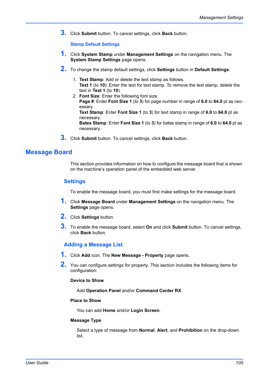**3.** Click **Submit** button. To cancel settings, click **Back** button.

#### **Stamp Default Settings**

- **1.** Click **System Stamp** under **Management Settings** on the navigation menu. The **System Stamp Settings** page opens.
- **2.** To change the stamp default settings, click **Settings** button in **Default Settings**.
	- 1. **Text Stamp**: Add or delete the text stamp as follows. **Text 1** (to **10**): Enter the text for text stamp. To remove the text stamp, delete the text in **Text 1** (to **10**).
	- 2. **Font Size**: Enter the following font size. **Page #**: Enter **Font Size 1** (to **3**) for page number in range of **6.0** to **64.0** pt as necessary. **Text Stamp**: Enter **Font Size 1** (to **3**) for text stamp in range of **6.0** to **64.0** pt as necessary.

**Bates Stamp**: Enter **Font Size 1** (to **3**) for bates stamp in range of **6.0** to **64.0** pt as necessary.

**3.** Click **Submit** button. To cancel settings, click **Back** button.

# **Message Board**

This section provides information on how to configure the message board that is shown on the machine's operation panel of the embedded web server.

#### **Settings**

To enable the message board, you must first make settings for the message board.

- **1.** Click **Message Board** under **Management Settings** on the navigation menu. The **Settings** page opens.
- **2.** Click **Settings** button.
- **3.** To enable the message board, select **On** and click **Submit** button. To cancel settings, click **Back** button.

#### **Adding a Message List**

- **1.** Click **Add** icon. The **New Message Property** page opens.
- **2.** You can configure settings for property. This section includes the following items for configuration:

#### **Device to Show**

Add **Operation Panel** and/or **Command Center RX**.

#### **Place to Show**

You can add **Home** and/or **Login Screen**.

#### **Message Type**

Select a type of message from **Normal**, **Alert**, and **Prohibition** on the drop-down list.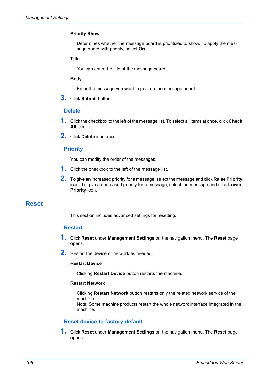#### **Priority Show**

Determines whether the message board is prioritized to show. To apply the message board with priority, select **On**.

#### **Title**

You can enter the title of the message board.

#### **Body**

Enter the message you want to post on the message board.

**3.** Click **Submit** button.

#### **Delete**

- **1.** Click the checkbox to the left of the message list. To select all items at once, click **Check All** icon.
- **2.** Click **Delete** icon once.

#### **Priority**

You can modify the order of the messages.

- **1.** Click the checkbox to the left of the message list.
- **2.** To give an increased priority for a message, select the message and click **Raise Priority** icon. To give a decreased priority for a message, select the message and click **Lower Priority** icon.

## <span id="page-109-0"></span>**Reset**

This section includes advanced settings for resetting.

#### **Restart**

- **1.** Click **Reset** under **Management Settings** on the navigation menu. The **Reset** page opens.
- **2.** Restart the device or network as needed.

#### **Restart Device**

Clicking **Restart Device** button restarts the machine.

#### **Restart Network**

Clicking **Restart Network** button restarts only the related network service of the machine.

Note: Some machine products restart the whole network interface integrated in the machine.

#### **Reset device to factory default**

**1.** Click **Reset** under **Management Settings** on the navigation menu. The **Reset** page opens.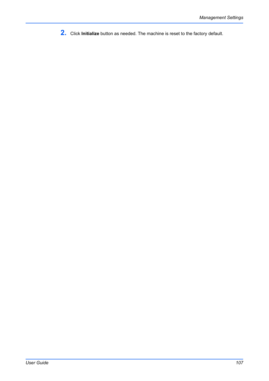**2.** Click **Initialize** button as needed. The machine is reset to the factory default.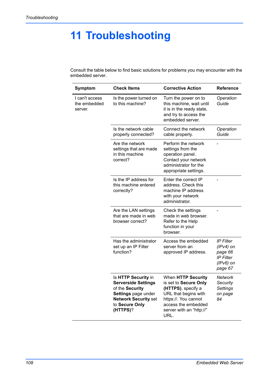# **11 Troubleshooting**

Consult the table below to find basic solutions for problems you may encounter with the embedded server.

| Symptom                                   | <b>Check Items</b>                                                                                                                                       | <b>Corrective Action</b>                                                                                                                                                     | <b>Reference</b>                                                                         |
|-------------------------------------------|----------------------------------------------------------------------------------------------------------------------------------------------------------|------------------------------------------------------------------------------------------------------------------------------------------------------------------------------|------------------------------------------------------------------------------------------|
| I can't access<br>the embedded<br>server. | Is the power turned on<br>to this machine?                                                                                                               | Turn the power on to<br>this machine, wait until<br>it is in the ready state,<br>and try to access the<br>embedded server.                                                   | Operation<br>Guide                                                                       |
|                                           | Is the network cable<br>properly connected?                                                                                                              | Connect the network<br>cable properly.                                                                                                                                       | Operation<br>Guide                                                                       |
|                                           | Are the network<br>settings that are made<br>in this machine<br>correct?                                                                                 | Perform the network<br>settings from the<br>operation panel.<br>Contact your network<br>administrator for the<br>appropriate settings.                                       |                                                                                          |
|                                           | Is the IP address for<br>this machine entered<br>correctly?                                                                                              | Enter the correct IP<br>address. Check this<br>machine IP address<br>with your network<br>administrator.                                                                     |                                                                                          |
|                                           | Are the LAN settings<br>that are made in web<br>browser correct?                                                                                         | Check the settings<br>made in web browser.<br>Refer to the Help<br>function in your<br>browser.                                                                              |                                                                                          |
|                                           | Has the administrator<br>set up an IP Filter<br>function?                                                                                                | Access the embedded<br>server from an<br>approved IP address.                                                                                                                | <b>IP Filter</b><br>$(IPv4)$ on<br>page 66<br><b>IP Filter</b><br>$(IPv6)$ on<br>page 67 |
|                                           | Is HTTP Security in<br><b>Serverside Settings</b><br>of the Security<br>Settings page under<br><b>Network Security set</b><br>to Secure Only<br>(HTTPS)? | When HTTP Security<br>is set to Secure Only<br>(HTTPS), specify a<br>URL that begins with<br>https://. You cannot<br>access the embedded<br>server with an "http://"<br>URL. | Network<br>Security<br>Settings<br>on page<br>84                                         |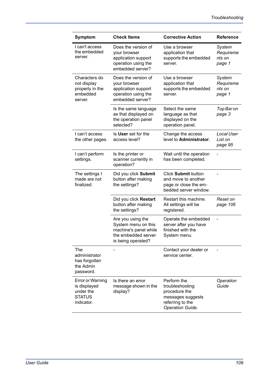| <b>Symptom</b>                                                                      | <b>Check Items</b>                                                                                             | <b>Corrective Action</b>                                                                                     | <b>Reference</b>                        |
|-------------------------------------------------------------------------------------|----------------------------------------------------------------------------------------------------------------|--------------------------------------------------------------------------------------------------------------|-----------------------------------------|
| I can't access<br>the embedded<br>server.                                           | Does the version of<br>your browser<br>application support<br>operation using the<br>embedded server?          | Use a browser<br>application that<br>supports the embedded<br>server.                                        | System<br>Requireme<br>nts on<br>page 1 |
| Characters do<br>not display<br>properly in the<br>embedded<br>server.              | Does the version of<br>your browser<br>application support<br>operation using the<br>embedded server?          | Use a browser<br>application that<br>supports the embedded<br>server.                                        | System<br>Requireme<br>nts on<br>page 1 |
|                                                                                     | Is the same language<br>as that displayed on<br>the operation panel<br>selected?                               | Select the same<br>language as that<br>displayed on the<br>operation panel.                                  | Top Bar on<br>page 3                    |
| I can't access<br>the other pages.                                                  | Is User set for the<br>access level?                                                                           | Change the access<br>level to Administrator.                                                                 | Local User<br>List on<br>page 95        |
| I can't perform<br>settings.                                                        | Is the printer or<br>scanner currently in<br>operation?                                                        | Wait until the operation<br>has been completed.                                                              |                                         |
| The settings I<br>made are not<br>finalized.                                        | Did you click Submit<br>button after making<br>the settings?                                                   | Click Submit button<br>and move to another<br>page or close the em-<br>bedded server window.                 |                                         |
|                                                                                     | Did you click Restart<br>button after making<br>the settings?                                                  | Restart this machine.<br>All settings will be<br>registered.                                                 | Reset on<br>page 106                    |
|                                                                                     | Are you using the<br>System menu on this<br>machine's panel while<br>the embedded server<br>is being operated? | Operate the embedded<br>server after you have<br>finished with the<br>System menu.                           |                                         |
| The<br>administrator<br>has forgotten<br>the Admin<br>password.                     |                                                                                                                | Contact your dealer or<br>service center.                                                                    |                                         |
| <b>Error or Warning</b><br>is displayed<br>under the<br><b>STATUS</b><br>indicator. | Is there an error<br>message shown in the<br>display?                                                          | Perform the<br>troubleshooting<br>procedure the<br>messages suggests<br>referring to the<br>Operation Guide. | Operation<br>Guide                      |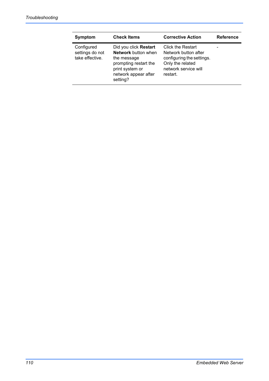| <b>Symptom</b>                                   | <b>Check Items</b>                                                                                                                                 | <b>Corrective Action</b>                                                                                                              | <b>Reference</b> |
|--------------------------------------------------|----------------------------------------------------------------------------------------------------------------------------------------------------|---------------------------------------------------------------------------------------------------------------------------------------|------------------|
| Configured<br>settings do not<br>take effective. | Did you click Restart<br><b>Network</b> button when<br>the message<br>prompting restart the<br>print system or<br>network appear after<br>setting? | <b>Click the Restart</b><br>Network button after<br>configuring the settings.<br>Only the related<br>network service will<br>restart. |                  |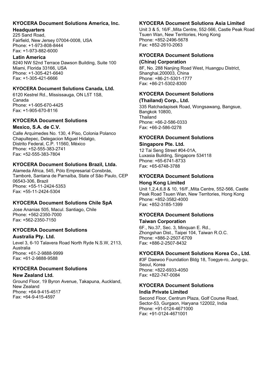## **KYOCERA Document Solutions America, Inc.**

#### **Headquarters**

225 Sand Road, Fairfield, New Jersey 07004-0008, USA Phone: +1-973-808-8444 Fax: +1-973-882-6000

#### **Latin America**

8240 NW 52nd Terrace Dawson Building, Suite 100 Miami, Florida 33166, USA Phone: +1-305-421-6640 Fax: +1-305-421-6666

## **KYOCERA Document Solutions Canada, Ltd.**

6120 Kestrel Rd., Mississauga, ON L5T 1S8, Canada Phone: +1-905-670-4425 Fax: +1-905-670-8116

#### **KYOCERA Document Solutions Mexico, S.A. de C.V.**

Calle Arquimedes No. 130, 4 Piso, Colonia Polanco Chapultepec, Delegacion Miguel Hidalgo, Distrito Federal, C.P. 11560, México Phone: +52-555-383-2741 Fax: +52-555-383-7804

# **KYOCERA Document Solutions Brazil, Ltda.**

Alameda África, 545, Pólo Empresarial Consbrás, Tamboré, Santana de Parnaíba, State of São Paulo, CEP 06543-306, Brazil Phone: +55-11-2424-5353 Fax: +55-11-2424-5304

# **KYOCERA Document Solutions Chile SpA**

Jose Ananias 505, Macul. Santiago, Chile Phone: +562-2350-7000 Fax: +562-2350-7150

# **KYOCERA Document Solutions**

#### **Australia Pty. Ltd.**

Level 3, 6-10 Talavera Road North Ryde N.S.W, 2113, Australia Phone: +61-2-9888-9999 Fax: +61-2-9888-9588

# **KYOCERA Document Solutions**

**New Zealand Ltd.**  Ground Floor, 19 Byron Avenue, Takapuna, Auckland, New Zealand Phone: +64-9-415-4517 Fax: +64-9-415-4597

# **KYOCERA Document Solutions Asia Limited**

Unit 3 & 5, 16/F.,Mita Centre, 552-566, Castle Peak Road Ts*u*en Wan, New Territories, Hong Kong Phone: +852-2496-5678 Fax: +852-2610-2063

# **KYOCERA Document Solutions**

## **(China) Corporation**

8F, No. 288 Nanjing Road West, Huangpu District, Shanghai,200003, China Phone: +86-21-5301-1777 Fax: +86-21-5302-8300

# **KYOCERA Document Solutions**

# **(Thailand) Corp., Ltd.**

335 Ratchadapisek Road, Wongsawang, Bangsue, Bangkok 10800, **Thailand** Phone: +66-2-586-0333 Fax: +66-2-586-0278

#### **KYOCERA Document Solutions Singapore Pte. Ltd.**

12 Tai Seng Street #04-01A, Luxasia Building, Singapore 534118 Phone: +65-6741-8733 Fax: +65-6748-3788

# **KYOCERA Document Solutions Hong Kong Limited**

Unit 1,2,4,6,8 & 10, 16/F.,Mita Centre, 552-566, Castle Peak Road Tsuen Wan, New Territories, Hong Kong Phone: +852-3582-4000 Fax: +852-3185-1399

# **KYOCERA Document Solutions**

# **Taiwan Corporation**

6F., No.37, Sec. 3, Minquan E. Rd., Zhongshan Dist., Taipei 104, Taiwan R.O.C. Phone: +886-2-2507-6709 Fax: +886-2-2507-8432

# **KYOCERA Document Solutions Korea Co., Ltd.**

#3F Daewoo Foundation Bldg 18, Toegye-ro, Jung-gu, Seoul, Korea Phone: +822-6933-4050 Fax: +822-747-0084

# **KYOCERA Document Solutions**

# **India Private Limited**

Second Floor, Centrum Plaza, Golf Course Road, Sector-53, Gurgaon, Haryana 122002, India Phone: +91-0124-4671000 Fax: +91-0124-4671001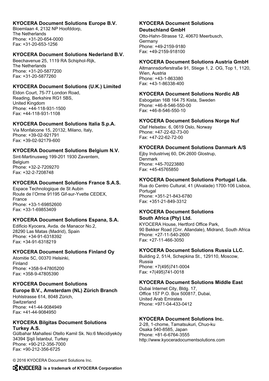#### **KYOCERA Document Solutions Europe B.V.**

Bloemlaan 4, 2132 NP Hoofddorp, The Netherlands Phone: +31-20-654-0000 Fax: +31-20-653-1256

#### **KYOCERA Document Solutions Nederland B.V.**

Beechavenue 25, 1119 RA Schiphol-Rijk, The Netherlands Phone: +31-20-5877200 Fax: +31-20-5877260

## **KYOCERA Document Solutions (U.K.) Limited**

Eldon Court, 75-77 London Road, Reading, Berkshire RG1 5BS, United Kingdom Phone: +44-118-931-1500 Fax: +44-118-931-1108

## **KYOCERA Document Solutions Italia S.p.A.**

Via Monfalcone 15, 20132, Milano, Italy, Phone: +39-02-921791 Fax: +39-02-92179-600

## **KYOCERA Document Solutions Belgium N.V.**

Sint-Martinusweg 199-201 1930 Zaventem, **Belgium** Phone: +32-2-7209270 Fax: +32-2-7208748

## **KYOCERA Document Solutions France S.A.S.**

Espace Technologique de St Aubin Route de l'Orme 91195 Gif-sur-Yvette CEDEX, France Phone: +33-1-69852600 Fax: +33-1-69853409

# **KYOCERA Document Solutions Espana, S.A.**

Edificio Kyocera, Avda. de Manacor No.2, 28290 Las Matas (Madrid), Spain Phone: +34-91-6318392 Fax: +34-91-6318219

# **KYOCERA Document Solutions Finland Oy**

Atomitie 5C, 00370 Helsinki, Finland Phone: +358-9-47805200 Fax: +358-9-47805390

#### **KYOCERA Document Solutions Europe B.V., Amsterdam (NL) Zürich Branch**

Hohlstrasse 614, 8048 Zürich, **Switzerland** Phone: +41-44-9084949 Fax: +41-44-9084950

#### **KYOCERA Bilgitas Document Solutions Turkey A.S.**

Gülbahar Mahallesi Otello Kamil Sk. No:6 Mecidiyeköy 34394 Sisli İstanbul, Turkey Phone: +90-212-356-7000 Fax: +90-212-356-6725

#### **KYOCERA Document Solutions Deutschland GmbH**

Otto-Hahn-Strasse 12, 40670 Meerbusch, Germany Phone: +49-2159-9180 Fax: +49-2159-918100

## **KYOCERA Document Solutions Austria GmbH**

Altmannsdorferstraße 91, Stiege 1, 2. OG, Top 1, 1120, Wien, Austria Phone: +43-1-863380 Fax: +43-1-86338-400

#### **KYOCERA Document Solutions Nordic AB**

Esbogatan 16B 164 75 Kista, Sweden Phone: +46-8-546-550-00 Fax: +46-8-546-550-10

## **KYOCERA Document Solutions Norge Nuf**

Olaf Helsetsv. 6, 0619 Oslo, Norway Phone: +47-22-62-73-00 Fax: +47-22-62-72-00

## **KYOCERA Document Solutions Danmark A/S**

Ejby Industrivej 60, DK-2600 Glostrup, Denmark Phone: +45-70223880 Fax: +45-45765850

# **KYOCERA Document Solutions Portugal Lda.**

Rua do Centro Cultural, 41 (Alvalade) 1700-106 Lisboa, **Portugal** Phone: +351-21-843-6780 Fax: +351-21-849-3312

# **KYOCERA Document Solutions**

#### **South Africa (Pty) Ltd.**

KYOCERA House, Hertford Office Park, 90 Bekker Road (Cnr. Allandale), Midrand, South Africa Phone: +27-11-540-2600 Fax: +27-11-466-3050

#### **KYOCERA Document Solutions Russia LLC.**

Building 2, 51/4, Schepkina St., 129110, Moscow, Russia Phone: +7(495)741-0004 Fax: +7(495)741-0018

#### **KYOCERA Document Solutions Middle East**

Dubai Internet City, Bldg. 17, Office 157 P.O. Box 500817, Dubai, United Arab Emirates Phone: +971-04-433-0412

# **KYOCERA Document Solutions Inc.**

2-28, 1-chome, Tamatsukuri, Chuo-ku Osaka 540-8585, Japan Phone: +81-6-6764-3555 http://www.kyoceradocumentsolutions.com

© 2016 KYOCERA Document Solutions Inc.

**12 KUDEERE** is a trademark of KYOCERA Corporation